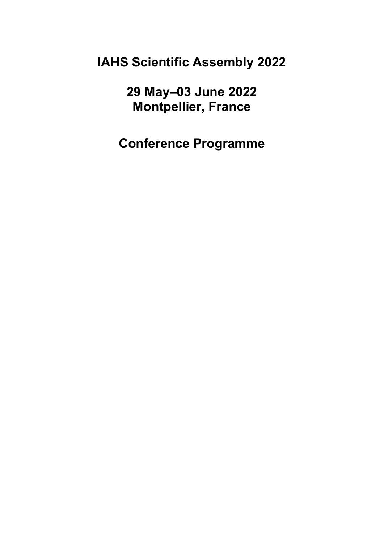**IAHS Scientific Assembly 2022**

**29 May–03 June 2022 Montpellier, France**

**Conference Programme**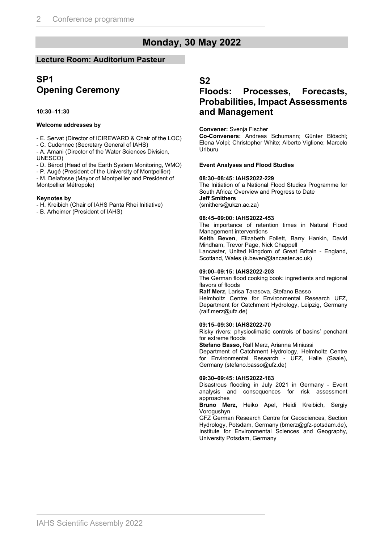# **Monday, 30 May 2022**

### **Lecture Room: Auditorium Pasteur**

### **SP1 Opening Ceremony**

#### **10:30–11:30**

#### **Welcome addresses by**

- E. Servat (Director of ICIREWARD & Chair of the LOC)

- C. Cudennec (Secretary General of IAHS)

- A. Amani (Director of the Water Sciences Division,

UNESCO)

- D. Bérod (Head of the Earth System Monitoring, WMO)

- P. Augé (President of the University of Montpellier)

- M. Delafosse (Mayor of Montpellier and President of Montpellier Métropole)

#### **Keynotes by**

- H. Kreibich (Chair of IAHS Panta Rhei Initiative)

- B. Arheimer (President of IAHS)

### **S2**

### **Floods: Processes, Forecasts, Probabilities, Impact Assessments and Management**

#### **Convener:** Svenja Fischer

**Co-Conveners:** Andreas Schumann; Günter Blöschl; Elena Volpi; Christopher White; Alberto Viglione; Marcelo Uriburu

#### **Event Analyses and Flood Studies**

#### **08:30–08:45: IAHS2022-229**

The Initiation of a National Flood Studies Programme for South Africa: Overview and Progress to Date **Jeff Smithers**  (smithers@ukzn.ac.za)

#### **08:45–09:00: IAHS2022-453**

The importance of retention times in Natural Flood Management interventions

**Keith Beven**, Elizabeth Follett, Barry Hankin, David Mindham, Trevor Page, Nick Chappell

Lancaster, United Kingdom of Great Britain - England, Scotland, Wales (k.beven@lancaster.ac.uk)

#### **09:00–09:15: IAHS2022-203**

The German flood cooking book: ingredients and regional flavors of floods

**Ralf Merz,** Larisa Tarasova, Stefano Basso

Helmholtz Centre for Environmental Research UFZ, Department for Catchment Hydrology, Leipzig, Germany (ralf.merz@ufz.de)

#### **09:15–09:30: IAHS2022-70**

Risky rivers: physioclimatic controls of basins' penchant for extreme floods

**Stefano Basso,** Ralf Merz, Arianna Miniussi

Department of Catchment Hydrology, Helmholtz Centre for Environmental Research - UFZ, Halle (Saale), Germany (stefano.basso@ufz.de)

#### **09:30–09:45: IAHS2022-183**

Disastrous flooding in July 2021 in Germany - Event analysis and consequences for risk assessment approaches

**Bruno Merz,** Heiko Apel, Heidi Kreibich, Sergiy Vorogushyn

GFZ German Research Centre for Geosciences, Section Hydrology, Potsdam, Germany (bmerz@gfz-potsdam.de), Institute for Environmental Sciences and Geography, University Potsdam, Germany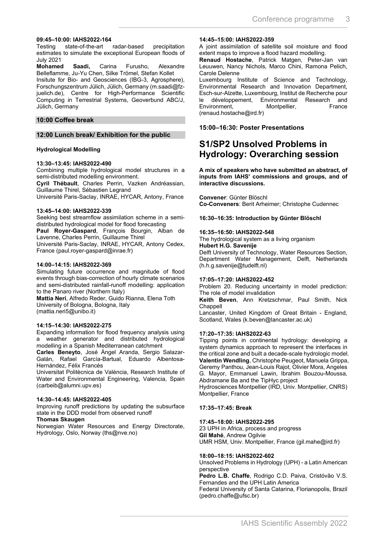#### **09:45–10:00: IAHS2022-164**

Testing state-of-the-art radar-based precipitation estimates to simulate the exceptional European floods of July 2021

**Mohamed Saadi,** Carina Furusho, Alexandre Belleflamme, Ju-Yu Chen, Silke Trömel, Stefan Kollet Insitute for Bio- and Geosciences (IBG-3, Agrosphere), Forschungszentrum Jülich, Jülich, Germany (m.saadi@fzjuelich.de), Centre for High-Performance Scientific Computing in Terrestrial Systems, Geoverbund ABC/J, Jülich, Germany

#### **10:00 Coffee break**

#### **12:00 Lunch break/ Exhibition for the public**

#### **Hydrological Modelling**

#### **13:30–13:45: IAHS2022-490**

Combining multiple hydrological model structures in a semi-distributed modelling environment.

**Cyril Thébault**, Charles Perrin, Vazken Andréassian, Guillaume Thirel, Sébastien Legrand

Université Paris-Saclay, INRAE, HYCAR, Antony, France

#### **13:45–14:00: IAHS2022-339**

Seeking best streamflow assimilation scheme in a semidistributed hydrological model for flood forecasting

**Paul Royer-Gaspard**, François Bourgin, Alban de Lavenne, Charles Perrin, Guillaume Thirel

Université Paris-Saclay, INRAE, HYCAR, Antony Cedex, France (paul.royer-gaspard@inrae.fr)

#### **14:00–14:15: IAHS2022-369**

Simulating future occurrence and magnitude of flood events through bias-correction of hourly climate scenarios and semi-distributed rainfall-runoff modelling: application to the Panaro river (Northern Italy)

**Mattia Neri**, Alfredo Reder, Guido Rianna, Elena Toth University of Bologna, Bologna, Italy (mattia.neri5@unibo.it)

#### **14:15–14:30: IAHS2022-275**

Expanding information for flood frequency analysis using a weather generator and distributed hydrological modelling in a Spanish Mediterranean catchment

**Carles Beneyto**, José Ángel Aranda, Sergio Salazar-Galán, Rafael García-Bartual, Eduardo Albentosa-Hernández, Félix Francés

Universitat Politècnica de València, Research Institute of Water and Environmental Engineering, Valencia, Spain (carbeib@alumni.upv.es)

#### **14:30–14:45: IAHS2022-405**

Improving runoff predictions by updating the subsurface state in the DDD model from observed runoff

#### **Thomas Skaugen**

Norwegian Water Resources and Energy Directorate, Hydrology, Oslo, Norway (ths@nve.no)

#### **14:45–15:00: IAHS2022-359**

A joint assimilation of satellite soil moisture and flood extent maps to improve a flood hazard modelling.

**Renaud Hostache**, Patrick Matgen, Peter-Jan van Leuuwen, Nancy Nichols, Marco Chini, Ramona Pelich, Carole Delenne

Luxembourg Institute of Science and Technology, Environmental Research and Innovation Department, Esch-sur-Alzette, Luxembourg, Institut de Recherche pour le développement, Environmental Research and<br>Environment, Montpellier, France Environment, Montpellier, France (renaud.hostache@ird.fr)

#### **15:00–16:30: Poster Presentations**

### **S1/SP2 Unsolved Problems in Hydrology: Overarching session**

**A mix of speakers who have submitted an abstract, of inputs from IAHS' commissions and groups, and of interactive discussions.**

**Convener**: Günter Blöschl **Co-Conveners**: Berit Arheimer; Christophe Cudennec

#### **16:30–16:35: Introduction by Günter Blöschl**

#### **16:35–16:50: IAHS2022-548**

The hydrological system as a living organism

**Hubert H.G. Savenije**

Delft University of Technology, Water Resources Section, Department Water Management, Delft, Netherlands (h.h.g.savenije@tudelft.nl)

#### **17:05–17:20: IAHS2022-452**

Problem 20. Reducing uncertainty in model prediction: The role of model invalidation

**Keith Beven**, Ann Kretzschmar, Paul Smith, Nick Chappell

Lancaster, United Kingdom of Great Britain - England, Scotland, Wales (k.beven@lancaster.ac.uk)

#### **17:20–17:35: IAHS2022-63**

Tipping points in continental hydrology: developing a system dynamics approach to represent the interfaces in the critical zone and built a decade-scale hydrologic model. **Valentin Wendling**, Christophe Peugeot, Manuela Grippa, Geremy Panthou, Jean-Louis Rajot, Olivier Mora, Angeles G. Mayor, Emmanuel Lawin, Ibrahim Bouzou-Moussa, Abdramane Ba and the TipHyc project Hydrosciences Montpellier (IRD, Univ. Montpellier, CNRS) Montpellier, France

#### **17:35–17:45: Break**

#### **17:45–18:00: IAHS2022-295**

23 UPH in Africa, process and progress **Gil Mahé**, Andrew Ogilvie UMR HSM, Univ. Montpellier, France (gil.mahe@ird.fr)

#### **18:00–18:15: IAHS2022-602**

Unsolved Problems in Hydrology (UPH) - a Latin American perspective

**Pedro L.B. Chaffe**, Rodrigo C.D. Paiva, Cristóvão V.S. Fernandes and the UPH Latin America

Federal University of Santa Catarina, Florianopolis, Brazil (pedro.chaffe@ufsc.br)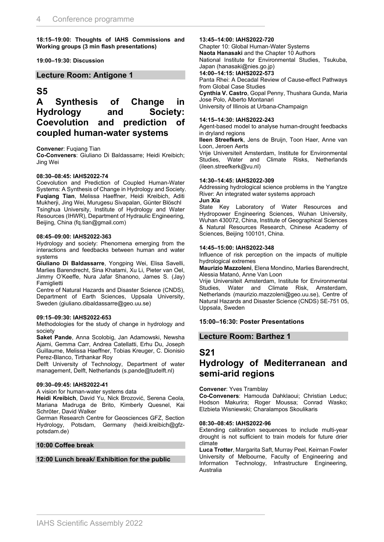**18:15–19:00: Thoughts of IAHS Commissions and Working groups (3 min flash presentations)**

#### **19:00–19:30: Discussion**

#### **Lecture Room: Antigone 1**

#### **S5**

### **A Synthesis of Change in Hydrology and Society: Coevolution and prediction of coupled human-water systems**

#### **Convener**: Fuqiang Tian

**Co-Conveners**: Giuliano Di Baldassarre; Heidi Kreibich; Jing Wei

#### **08:30–08:45: IAHS2022-74**

Coevolution and Prediction of Coupled Human-Water Systems: A Synthesis of Change in Hydrology and Society. **Fuqiang Tian**, Melissa Haeffner, Heidi Kreibich, Aditi Mukherji, Jing Wei, Murugesu Sivapalan, Günter Blöschl Tsinghua University, Institute of Hydrology and Water Resources (IHWR), Department of Hydraulic Engineering, Beijing, China (fq.tian@gmail.com)

#### **08:45–09:00: IAHS2022-363**

Hydrology and society: Phenomena emerging from the interactions and feedbacks between human and water systems

**Giuliano Di Baldassarre**, Yongping Wei, Elisa Savelli, Marlies Barendrecht, Sina Khatami, Xu Li, Pieter van Oel, Jimmy O'Keeffe, Nura Jafar Shanono, James S. (Jay) **Famiglietti** 

Centre of Natural Hazards and Disaster Science (CNDS), Department of Earth Sciences, Uppsala University, Sweden (giuliano.dibaldassarre@geo.uu.se)

#### **09:15–09:30: IAHS2022-653**

Methodologies for the study of change in hydrology and society

**Saket Pande**, Anna Scolobig, Jan Adamowski, Newsha Ajami, Gemma Carr, Andrea Catellatti, Erhu Du, Joseph Guillaume, Melissa Haeffner, Tobias Kreuger, C. Dionisio Perez-Blanco, Tirthankar Roy

Delft University of Technology, Department of water management, Delft, Netherlands (s.pande@tudelft.nl)

#### **09:30–09:45: IAHS2022-41**

A vision for human-water systems data

**Heidi Kreibich**, David Yu, Nick Brozović, Serena Ceola, Mariana Madruga de Brito, Kimberly Quesnel, Kai Schröter, David Walker

German Research Centre for Geosciences GFZ, Section Hydrology, Potsdam, Germany (heidi.kreibich@gfzpotsdam.de)

#### **10:00 Coffee break**

#### **12:00 Lunch break/ Exhibition for the public**

**13:45–14:00: IAHS2022-720** Chapter 10: Global Human-Water Systems **Naota Hanasaki** and the Chapter 10 Authors National Institute for Environmental Studies, Tsukuba, Japan (hanasaki@nies.go.jp) **14:00–14:15: IAHS2022-573** Panta Rhei: A Decadal Review of Cause-effect Pathways from Global Case Studies **Cynthia V. Castro**, Gopal Penny, Thushara Gunda, Maria Jose Polo, Alberto Montanari University of Illinois at Urbana-Champaign

#### **14:15–14:30: IAHS2022-243**

Agent-based model to analyse human-drought feedbacks in dryland regions

**Ileen Streefkerk**, Jens de Bruijn, Toon Haer, Anne van Loon, Jeroen Aerts

Vrije Universiteit Amsterdam, Institute for Environmental Studies, Water and Climate Risks, Netherlands (ileen.streefkerk@vu.nl)

#### **14:30–14:45: IAHS2022-309**

Addressing hydrological science problems in the Yangtze River: An integrated water systems approach **Jun Xia**

State Key Laboratory of Water Resources and Hydropower Engineering Sciences, Wuhan University, Wuhan 430072, China, Institute of Geographical Sciences & Natural Resources Research, Chinese Academy of Sciences, Beijing 100101, China.

#### **14:45–15:00: IAHS2022-348**

Influence of risk perception on the impacts of multiple hydrological extremes

**Maurizio Mazzoleni**, Elena Mondino, Marlies Barendrecht, Alessia Matanó, Anne Van Loon

Vrije Universiteit Amsterdam, Institute for Environmental Studies, Water and Climate Risk, Amsterdam, Netherlands (maurizio.mazzoleni@geo.uu.se), Centre of Natural Hazards and Disaster Science (CNDS) SE-751 05, Uppsala, Sweden

#### **15:00–16:30: Poster Presentations**

#### **Lecture Room: Barthez 1**

### **S21**

### **Hydrology of Mediterranean and semi-arid regions**

**Convener**: Yves Tramblay

**Co-Conveners**: Hamouda Dahklaoui; Christian Leduc; Hodson Makurira; Roger Moussa; Conrad Wasko; Elzbieta Wisniewski; Charalampos Skoulikaris

#### **08:30–08:45: IAHS2022-96**

Extending calibration sequences to include multi-year drought is not sufficient to train models for future drier climate

**Luca Trotter**, Margarita Saft, Murray Peel, Keirnan Fowler University of Melbourne, Faculty of Engineering and Information Technology, Infrastructure Engineering, Australia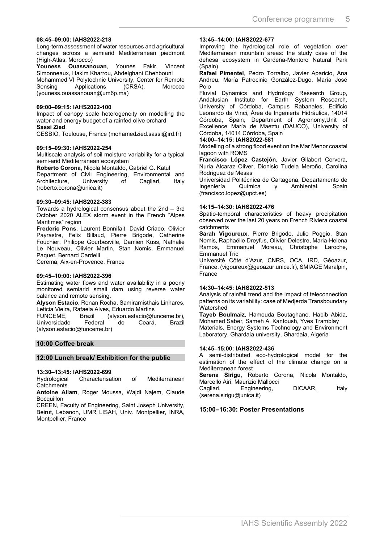#### **08:45–09:00: IAHS2022-218**

Long-term assessment of water resources and agricultural changes across a semiarid Mediterranean piedmont (High-Atlas, Morocco)

**Youness Ouassanouan**, Younes Fakir, Vincent Simonneaux, Hakim Kharrou, Abdelghani Chehbouni Mohammed VI Polytechnic University, Center for Remote Sensing Applications (CRSA), Morocco (youness.ouassanouan@um6p.ma)

#### **09:00–09:15: IAHS2022-100**

Impact of canopy scale heterogeneity on modelling the water and energy budget of a rainfed olive orchard **Sassi Zied**

CESBIO, Toulouse, France (mohamedzied.sassi@ird.fr)

#### **09:15–09:30: IAHS2022-254**

Multiscale analysis of soil moisture variability for a typical semi-arid Mediterranean ecosystem

**Roberto Corona**, Nicola Montaldo, Gabriel G. Katul Department of Civil Engineering, Environmental and

Architecture, University of Cagliari, Italy (roberto.corona@unica.it)

#### **09:30–09:45: IAHS2022-383**

Towards a hydrological consensus about the 2nd – 3rd October 2020 ALEX storm event in the French "Alpes Maritimes" region

**Frederic Pons**, Laurent Bonnifait, David Criado, Olivier Payrastre, Felix Billaud, Pierre Brigode, Catherine Fouchier, Philippe Gourbesville, Damien Kuss, Nathalie Le Nouveau, Olivier Martin, Stan Nomis, Emmanuel Paquet, Bernard Cardelli

Cerema, Aix-en-Provence, France

#### **09:45–10:00: IAHS2022-396**

Estimating water flows and water availability in a poorly monitored semiarid small dam using reverse water balance and remote sensing.

**Alyson Estacio**, Renan Rocha, Samiramisthais Linhares, Leticia Vieira, Rafaela Alves, Eduardo Martins<br>FUNCEME. Brazil (alvson.estacio@ft

 $(alyson.estacio@funceme.br)$ , Universidade Federal do Ceará, Brazil (alyson.estacio@funceme.br)

#### **10:00 Coffee break**

#### **12:00 Lunch break/ Exhibition for the public**

#### **13:30–13:45: IAHS2022-699**

Hydrological Characterisation of Mediterranean **Catchments** 

**Antoine Allam**, Roger Moussa, Wajdi Najem, Claude **Bocquillon** 

CREEN, Faculty of Engineering, Saint Joseph University, Beirut, Lebanon, UMR LISAH, Univ. Montpellier, INRA, Montpellier, France

#### **13:45–14:00: IAHS2022-677**

Improving the hydrological role of vegetation over Mediterranean mountain areas: the study case of the dehesa ecosystem in Cardeña-Montoro Natural Park (Spain)

**Rafael Pimentel**, Pedro Torralbo, Javier Aparicio, Ana Andreu, María Patrocinio González-Dugo, María José Polo

Fluvial Dynamics and Hydrology Research Group, Andalusian Institute for Earth System Research, University of Córdoba, Campus Rabanales, Edificio Leonardo da Vinci, Área de Ingeniería Hidráulica, 14014 Córdoba, Spain, Department of Agronomy,Unit of Excellence María de Maeztu (DAUCO), University of Córdoba, 14014 Córdoba, Spain

#### **14:00–14:15: IAHS2022-581**

Modelling of a strong flood event on the Mar Menor coastal lagoon with ROMS

**Francisco López Castejón**, Javier Gilabert Cervera, Nuria Alcaraz Oliver, Dionisio Tudela Meroño, Carolina Rodriguez de Mesas

Universidad Politécnica de Cartagena, Departamento de Ingeniería Química y Ambiental, Spain (francisco.lopez@upct.es)

#### **14:15–14:30: IAHS2022-476**

Spatio-temporal characteristics of heavy precipitation observed over the last 20 years on French Riviera coastal catchments

**Sarah Vigoureux**, Pierre Brigode, Julie Poggio, Stan Nomis, Raphaëlle Dreyfus, Olivier Delestre, Maria-Helena Ramos, Emmanuel Moreau, Christophe Laroche, Emmanuel Tric

Université Côte d'Azur, CNRS, OCA, IRD, Géoazur, France. (vigoureux@geoazur.unice.fr), SMIAGE Maralpin, France

#### **14:30–14:45: IAHS2022-513**

Analysis of rainfall trend and the impact of teleconnection patterns on its variability: case of Medjerda Transboundary Watershed

**Tayeb Boulmaiz**, Hamouda Boutaghane, Habib Abida, Mohamed Saber, Sameh A. Kantoush, Yves Tramblay Materials, Energy Systems Technology and Environment Laboratory, Ghardaia university, Ghardaia, Algeria

#### **14:45–15:00: IAHS2022-436**

A semi-distributed eco-hydrological model for the estimation of the effect of the climate change on a Mediterranean forest

**Serena Sirigu**, Roberto Corona, Nicola Montaldo, Marcello Airi, Maurizio Mallocci

Cagliari, Engineering, DICAAR, Italy (serena.sirigu@unica.it)

#### **15:00–16:30: Poster Presentations**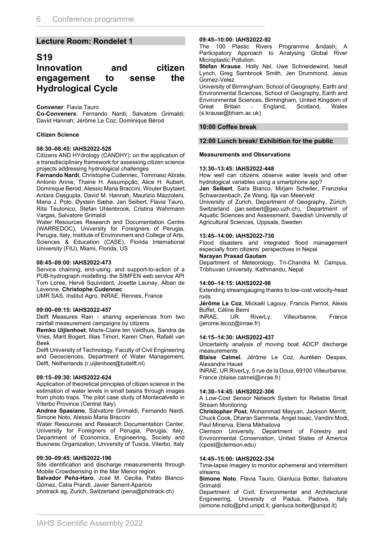#### **Lecture Room: Rondelet 1**

### **S19**

### **Innovation and citizen engagement to sense the Hydrological Cycle**

#### **Convener**: Flavia Tauro

**Co-Conveners**: Fernando Nardi; Salvatore Grimaldi; David Hannah; Jérôme Le Coz; Dominique Bérod

#### **Citizen Science**

#### **08:30–08:45: IAHS2022-528**

Citizens AND HYdrology (CANDHY): on the application of a transdisciplinary framework for assessing citizen science projects addressing hydrological challenges

**Fernando Nardi**, Christophe Cudennec, Tommaso Abrate, Antonio Annis, Thaine H. Assumpção, Alice H. Aubert, Dominique Berod, Alessio Maria Braccini, Wouter Buytaert, Antara Dasgupta, David M. Hannah, Maurizio Mazzoleni, Maria J. Polo, Øystein Sæbø, Jan Seibert, Flavia Tauro, Rita Teutonico, Stefan Uhlenbrook, Cristina Wahrmann Vargas, Salvatore Grimaldi

Water Resources Research and Documentation Centre (WARREDOC), University for Foreigners of Perugia, Perugia, Italy, Institute of Environment and College of Arts, Sciences & Education (CASE), Florida International University (FIU), Miami, Florida, US

#### **08:45–09:00: IAHS2022-473**

Service chaining, end-using, and support-to-action of a PUB-hydrograph modelling: the SIMFEN web service API Tom Loree, Hervé Squividant, Josette Launay, Alban de Lavenne, **Christophe Cudennec**

UMR SAS, Institut Agro, INRAE, Rennes, France

#### **09:00–09:15: IAHS2022-457**

Delft Measures Rain - sharing experiences from two rainfall measurement campaigns by citizens

**Remko Uijlenhoet**, Marie-Claire ten Veldhuis, Sandra de Vries, Marit Bogert, Illias Timori, Karen Chen, Rafaël van Beek

Delft University of Technology, Faculty of Civil Engineering and Geosciences, Department of Water Management, Delft, Netherlands (r.uijlenhoet@tudelft.nl)

#### **09:15–09:30: IAHS2022-624**

Application of theoretical principles of citizen science in the estimation of water levels in small basins through images from photo traps. The pilot case study of Montecalvello in Viterbo Province (Central Italy)

**Andrea Spasiano**, Salvatore Grimaldi, Fernando Nardi, Simone Noto, Alessio Maria Braccini

Water Resources and Research Documentation Center, University for Foreigners of Perugia, Perugia, Italy, Department of Economics, Engineering, Society and Business Organization, University of Tuscia, Viterbo, Italy

#### **09:30–09:45: IAHS2022-196**

Site identification and discharge measurements through Mobile Crowdsensing in the Mar Menor region

**Salvador Peña-Haro**, José M. Cecilia, Pablo Blanco-Gómez, Catia Prandi, Javier Senent-Aparicio

photrack ag, Zurich, Switzerland (pena@photrack.ch)

#### **09:45–10:00: IAHS2022-92**

The 100 Plastic Rivers Programme – A Participatory Approach to Analysing Global River Microplastic Pollution.

**Stefan Krause**, Holly Nel, Uwe Schneidewind, Iseult Lynch, Greg Sambrook Smith, Jen Drummond, Jesus Gomez-Velez

University of Birmingham, School of Geography, Earth and Environmental Sciences, School of Geography, Earth and Environmental Sciences, Birmingham, United Kingdom of Great Britain - England, Scotland, Wales (s.krause@bham.ac.uk)

#### **10:00 Coffee break**

#### **12:00 Lunch break/ Exhibition for the public**

#### **Measurements and Observations**

#### **13:30–13:45: IAHS2022-448**

How well can citizens observe water levels and other hydrological variables using a smartphone app?

**Jan Seibert**, Sara Blanco, Mirjam Scheller, Franziska Schwarzenbach, Ze Wang, Ilja van Meerveld

University of Zurich, Department of Geography, Zürich, Switzerland (jan.seibert@geo.uzh.ch), Department of Aquatic Sciences and Assessment, Swedish University of Agricultural Sciences, Uppsala, Sweden

#### **13:45–14:00: IAHS2022-730**

Flood disasters and integrated flood management especially from citizens' perspectives in Nepal

#### **Narayan Prasad Gautam**

Department of Meteorology, Tri-Chandra M. Campus, Tribhuvan University, Kathmandu, Nepal

#### **14:00–14:15: IAHS2022-98**

Extending streamgauging thanks to low-cost velocity-head rods

**Jérôme Le Coz**, Mickaël Lagouy, Francis Pernot, Alexis

Buffet, Céline Berni<br>INRAE. UR RiverLy. Villeurbanne. France (jerome.lecoz@inrae.fr)

#### **14:15–14:30: IAHS2022-437**

Uncertainty analysis of moving boat ADCP discharge measurements

**Blaise Calmel**, Jérôme Le Coz, Aurélien Despax, Alexandre Hauet

INRAE, UR RiverLy, 5 rue de la Doua, 69100 Villeurbanne, France (blaise.calmel@inrae.fr)

#### **14:30–14:45: IAHS2022-306**

A Low-Cost Sensor Network System for Reliable Small Stream Monitoring

**Christopher Post**, Mohammad Mayyan, Jackson Merritt, Chuck Cook, Dharan Sammeta, Angel Isaac, Vandini Modi, Paul Minerva, Elena Mikhailova

Clemson University, Department of Forestry and Environmental Conservation, United States of America (cpost@clemson.edu)

#### **14:45–15:00: IAHS2022-334**

Time-lapse imagery to monitor ephemeral and intermittent streams.

**Simone Noto**, Flavia Tauro, Gianluca Botter, Salvatore Grimaldi

Department of Civil, Environmental and Architectural Engineering, University of Padua, Padova, Italy (simone.noto@phd.unipd.it, gianluca.botter@unipd.it)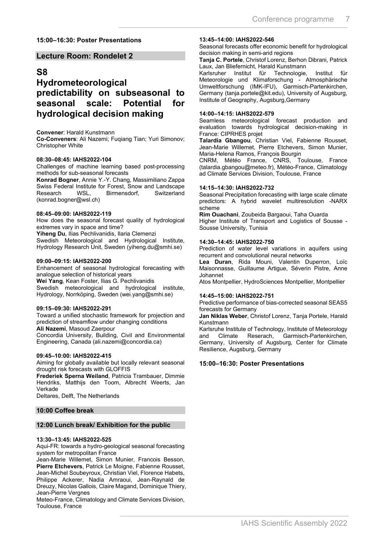#### **15:00–16:30: Poster Presentations**

#### **Lecture Room: Rondelet 2**

### **S8**

### **Hydrometeorological predictability on subseasonal to seasonal scale: Potential for hydrological decision making**

#### **Convener**: Harald Kunstmann

**Co-Conveners: Ali Nazemi: Fugiang Tian: Yuri Simonov:** Christopher White

#### **08:30–08:45: IAHS2022-104**

Challenges of machine learning based post-processing methods for sub-seasonal forecasts

**Konrad Bogner**, Annie Y.-Y. Chang, Massimiliano Zappa Swiss Federal Institute for Forest, Snow and Landscape Birmensdorf. (konrad.bogner@wsl.ch)

#### **08:45–09:00: IAHS2022-119**

How does the seasonal forecast quality of hydrological extremes vary in space and time?

**Yiheng Du**, Ilias Pechlivanidis, Ilaria Clemenzi

Swedish Meteorological and Hydrological Institute, Hydrology Research Unit, Sweden (yiheng.du@smhi.se)

#### **09:00–09:15: IAHS2022-200**

Enhancement of seasonal hydrological forecasting with analogue selection of historical years **Wei Yang**, Kean Foster, Ilias G. Pechlivanidis Swedish meteorological and hydrological institute, Hydrology, Norrköping, Sweden (wei.yang@smhi.se)

#### **09:15–09:30: IAHS2022-291**

Toward a unified stochastic framework for projection and prediction of streamflow under changing conditions **Ali Nazemi**, Masoud Zaerpour

Concordia University, Building, Civil and Environmental Engineering, Canada (ali.nazemi@concordia.ca)

#### **09:45–10:00: IAHS2022-415**

Aiming for globally available but locally relevant seasonal drought risk forecasts with GLOFFIS

**Frederiek Sperna Weiland**, Patricia Trambauer, Dimmie Hendriks, Matthijs den Toom, Albrecht Weerts, Jan Verkade

Deltares, Delft, The Netherlands

#### **10:00 Coffee break**

#### **12:00 Lunch break/ Exhibition for the public**

#### **13:30–13:45: IAHS2022-525**

Aqui-FR: towards a hydro-geological seasonal forecasting system for metropolitan France

Jean-Marie Willemet, Simon Munier, Francois Besson, **Pierre Etchevers**, Patrick Le Moigne, Fabienne Rousset, Jean-Michel Soubeyroux, Christian Viel, Florence Habets, Philippe Ackerer, Nadia Amraoui, Jean-Raynald de Dreuzy, Nicolas Gallois, Claire Magand, Dominique Thiery, Jean-Pierre Vergnes

Meteo-France, Climatology and Climate Services Division, Toulouse, France

#### **13:45–14:00: IAHS2022-546**

Seasonal forecasts offer economic benefit for hydrological decision making in semi-arid regions

**Tanja C. Portele**, Christof Lorenz, Berhon Dibrani, Patrick Laux, Jan Bliefernicht, Harald Kunstmann

Karlsruher Institut für Technologie, Institut für Meteorologie und Klimaforschung - Atmosphärische Umweltforschung (IMK-IFU), Garmisch-Partenkirchen, Germany (tanja.portele@kit.edu), University of Augsburg, Institute of Geography, Augsburg,Germany

#### **14:00–14:15: IAHS2022-579**

Seamless meteorological forecast production and evaluation towards hydrological decision-making in France: CIPRHES projet

**Talardia Gbangou**, Christian Viel, Fabienne Rousset, Jean-Marie Willemet, Pierre Etchevers, Simon Munier, Maria-Helena Ramos, François Bourgin

CNRM, Météo France, CNRS, Toulouse, France (talardia.gbangou@meteo.fr), Météo-France, Climatology ad Climate Services Division, Toulouse, France

#### **14:15–14:30: IAHS2022-732**

Seasonal Precipitation forecasting with large scale climate predictors: A hybrid wavelet multiresolution -NARX scheme

**Rim Ouachani**, Zoubeida Bargaoui, Taha Ouarda Higher Institute of Transport and Logistics of Sousse - Sousse University, Tunisia

#### **14:30–14:45: IAHS2022-750**

Prediction of water level variations in aquifers using recurrent and convolutional neural networks

**Lea Duran**, Rida Mouni, Valentin Duperron, Loïc Maisonnasse, Guillaume Artigue, Séverin Pistre, Anne Johannet

Atos Montpellier, HydroSciences Montpellier, Montpellier

#### **14:45–15:00: IAHS2022-751**

Predictive performance of bias-corrected seasonal SEAS5 forecasts for Germany

**Jan Niklas Weber**, Christof Lorenz, Tanja Portele, Harald Kunstmann

Karlsruhe Institute of Technology, Institute of Meteorology<br>and Climate Reserach, Garmisch-Partenkirchen, and Climate Reserach, Garmisch-Partenkirchen, Germany, University of Augsburg, Center for Climate Resilience, Augsburg, Germany

#### **15:00–16:30: Poster Presentations**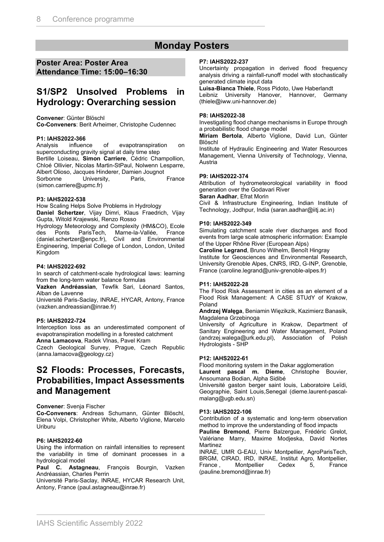### **Monday Posters**

#### **Poster Area: Poster Area Attendance Time: 15:00–16:30**

### **S1/SP2 Unsolved Problems in Hydrology: Overarching session**

#### **Convener**: Günter Blöschl

**Co-Conveners**: Berit Arheimer, Christophe Cudennec

# **P1: IAHS2022-366**

Analysis influence of evapotranspiration on superconducting gravity signal at daily time step Bertille Loiseau, **Simon Carriere**, Cédric Champollion, Chloé Ollivier, Nicolas Martin-StPaul, Nolwenn Lesparre, Albert Olioso, Jacques Hinderer, Damien Jougnot University, Paris, France (simon.carriere@upmc.fr)

#### **P3: IAHS2022-538**

How Scaling Helps Solve Problems in Hydrology

**Daniel Schertzer**, Vijay Dimri, Klaus Fraedrich, Vijay Gupta, Witold Krajewski, Renzo Rosso

Hydrology Meteorology and Complexity (HM&CO), Ecole des Ponts ParisTech, Marne-la-Vallée, France (daniel.schertzer@enpc.fr), Civil and Environmental Engineering, Imperial College of London, London, United Kingdom

#### **P4: IAHS2022-692**

In search of catchment-scale hydrological laws: learning from the long-term water balance formulas

**Vazken Andréassian**, Tewfik Sari, Léonard Santos, Alban de Lavenne

Université Paris-Saclay, INRAE, HYCAR, Antony, France (vazken.andreassian@inrae.fr)

#### **P5: IAHS2022-724**

Interception loss as an underestimated component of evapotranspiration modelling in a forested catchment

**Anna Lamacova**, Radek Vlnas, Pavel Kram

Czech Geological Survey, Prague, Czech Republic (anna.lamacova@geology.cz)

### **S2 Floods: Processes, Forecasts, Probabilities, Impact Assessments and Management**

#### **Convener**: Svenja Fischer

**Co-Conveners**: Andreas Schumann, Günter Blöschl, Elena Volpi, Christopher White, Alberto Viglione, Marcelo Uriburu

#### **P6: IAHS2022-60**

Using the information on rainfall intensities to represent the variability in time of dominant processes in a hydrological model

**Paul C. Astagneau**, François Bourgin, Vazken Andréassian, Charles Perrin

Université Paris-Saclay, INRAE, HYCAR Research Unit, Antony, France (paul.astagneau@inrae.fr)

#### **P7: IAHS2022-237**

Uncertainty propagation in derived flood frequency analysis driving a rainfall-runoff model with stochastically generated climate input data

#### **Luisa-Bianca Thiele**, Ross Pidoto, Uwe Haberlandt

Leibniz University Hanover, Hannover, Germany (thiele@iww.uni-hannover.de)

#### **P8: IAHS2022-38**

Investigating flood change mechanisms in Europe through a probabilistic flood change model

**Miriam Bertola**, Alberto Viglione, David Lun, Günter Blöschl

Institute of Hydraulic Engineering and Water Resources Management, Vienna University of Technology, Vienna, Austria

#### **P9: IAHS2022-374**

Attribution of hydrometeorological variability in flood generation over the Godavari River

#### **Saran Aadhar**, Efrat Morin

Civil & Infrastructure Engineering, Indian Institute of Technology, Jodhpur, India (saran.aadhar@iitj.ac.in)

#### **P10: IAHS2022-349**

Simulating catchment scale river discharges and flood events from large scale atmospheric information: Example of the Upper Rhône River (European Alps)

**Caroline Legrand**, Bruno Wilhelm, Benoît Hingray Institute for Geosciences and Environmental Research, University Grenoble Alpes, CNRS, IRD, G-INP, Grenoble, France (caroline.legrand@univ-grenoble-alpes.fr)

#### **P11: IAHS2022-28**

The Flood Risk Assessment in cities as an element of a Flood Risk Management: A CASE STUdY of Krakow, Poland

**Andrzej Wałęga**, Beniamin Więzikzik, Kazimierz Banasik, Magdalena Grzebinoga

University of Agriculture in Krakow, Department of Sanitary Engineering and Water Management, Poland (andrzej.walega@urk.edu.pl), Association of Polish Hydrologists - SHP

#### **P12: IAHS2022-61**

Flood monitoring system in the Dakar agglomeration **Laurent pascal m. Dieme**, Christophe Bouvier,

Ansoumana Bodian, Alpha Sidibé Université gaston berger saint louis, Laboratoire Leïdi, Geographie, Saint Louis,Senegal (dieme.laurent-pascalmalang@ugb.edu.sn)

#### **P13: IAHS2022-106**

Contribution of a systematic and long-term observation method to improve the understanding of flood impacts

**Pauline Bremond**, Pierre Balzergue, Frédéric Grelot, Valériane Marry, Maxime Modjeska, David Nortes Martinez

INRAE, UMR G-EAU, Univ Montpellier, AgroParisTech, BRGM, CIRAD, IRD, INRAE, Institut Agro, Montpellier, France , Montpellier Cedex 5, France (pauline.bremond@inrae.fr)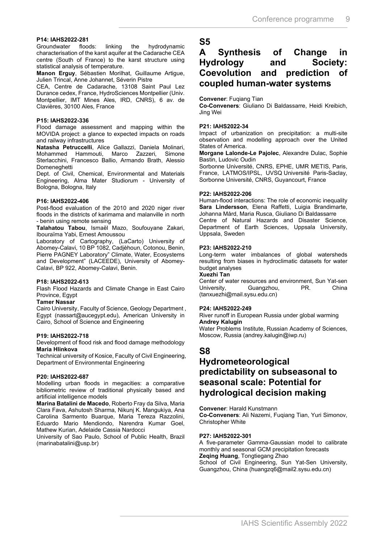# **P14: IAHS2022-281**

linking the hydrodynamic characterisation of the karst aquifer at the Cadarache CEA centre (South of France) to the karst structure using statistical analysis of temperature.

**Manon Erguy**, Sébastien Morilhat, Guillaume Artigue, Julien Trincal, Anne Johannet, Séverin Pistre

CEA, Centre de Cadarache, 13108 Saint Paul Lez Durance cedex, France, HydroSciences Montpellier (Univ. Montpellier, IMT Mines Ales, IRD, CNRS), 6 av. de Clavières, 30100 Ales, France

#### **P15: IAHS2022-336**

Flood damage assessment and mapping within the MOVIDA project: a glance to expected impacts on roads and railway infrastructures

**Natasha Petruccelli**, Alice Gallazzi, Daniela Molinari, Mohammed Hammouti, Marco Zazzeri, Sterlacchini, Francesco Ballio, Armando Brath, Alessio Domeneghetti

Dept. of Civil, Chemical, Environmental and Materials Engineering, Alma Mater Studiorum - University of Bologna, Bologna, Italy

#### **P16: IAHS2022-406**

Post-flood evaluation of the 2010 and 2020 niger river floods in the districts of karimama and malanville in north - benin using remote sensing

**Talahatou Tabou**, Ismaël Mazo, Soufouyane Zakari, Ibouraïma Yabi, Ernest Amoussou

Laboratory of Cartography, (LaCarto) University of Abomey-Calavi, 10 BP 1082, Cadjèhoun, Cotonou, Benin, Pierre PAGNEY Laboratory" Climate, Water, Ecosystems and Development" (LACEEDE), University of Abomey-Calavi, BP 922, Abomey-Calavi, Benin.

#### **P18: IAHS2022-613**

Flash Flood Hazards and Climate Change in East Cairo Province, Egypt

#### **Tamer Nassar**

Cairo University, Faculty of Science, Geology Department , Egypt (nassart@aucegypt.edu), American University in Cairo, School of Science and Engineering

#### **P19: IAHS2022-718**

Development of flood risk and flood damage methodology **Maria Hlinkova**

Technical university of Kosice, Faculty of Civil Engineering, Department of Environmental Engineering

#### **P20: IAHS2022-687**

Modelling urban floods in megacities: a comparative bibliometric review of traditional physically based and artificial intelligence models

**Marina Batalini de Macedo**, Roberto Fray da Silva, Maria Clara Fava, Ashutosh Sharma, Nikunj K. Mangukiya, Ana Carolina Sarmento Buarque, Maria Tereza Razzolini, Eduardo Mario Mendiondo, Narendra Kumar Goel, Mathew Kurian, Adelaide Cassia Nardocci

University of Sao Paulo, School of Public Health, Brazil (marinabatalini@usp.br)

### **S5**

### **A Synthesis of Change in Hydrology and Society: Coevolution and prediction of coupled human-water systems**

#### **Convener**: Fuqiang Tian

**Co-Conveners**: Giuliano Di Baldassarre, Heidi Kreibich, Jing Wei

#### **P21: IAHS2022-34**

Impact of urbanization on precipitation: a multi-site observation and modelling approach over the United States of America.

**Morgane Lalonde-Le Pajolec**, Alexandre Dulac, Sophie Bastin, Ludovic Oudin

Sorbonne Université, CNRS, EPHE, UMR METIS, Paris, France, LATMOS/IPSL, UVSQ Université Paris-Saclay, Sorbonne Université, CNRS, Guyancourt, France

#### **P22: IAHS2022-206**

Human-flood interactions: The role of economic inequality **Sara Lindersson**, Elena Raffetti, Luigia Brandimarte, Johanna Mård, Maria Rusca, Giuliano Di Baldassarre

Centre of Natural Hazards and Disaster Science, Department of Earth Sciences, Uppsala University, Uppsala, Sweden

#### **P23: IAHS2022-210**

Long-term water imbalances of global watersheds resulting from biases in hydroclimatic datasets for water budget analyses

#### **Xuezhi Tan**

Center of water resources and environment, Sun Yat-sen University, Guangzhou, PR. China (tanxuezhi@mail.sysu.edu.cn)

#### **P24: IAHS2022-249**

River runoff in European Russia under global warming **Andrey Kalugin**

Water Problems Institute, Russian Academy of Sciences, Moscow, Russia (andrey.kalugin@iwp.ru)

### **S8**

### **Hydrometeorological predictability on subseasonal to seasonal scale: Potential for hydrological decision making**

**Convener**: Harald Kunstmann **Co-Conveners**: Ali Nazemi, Fuqiang Tian, Yuri Simonov, Christopher White

#### **P27: IAHS2022-301**

A five-parameter Gamma-Gaussian model to calibrate monthly and seasonal GCM precipitation forecasts **Zeqing Huang**, Tongtiegang Zhao

School of Civil Engineering, Sun Yat-Sen University, Guangzhou, China (huangzq6@mail2.sysu.edu.cn)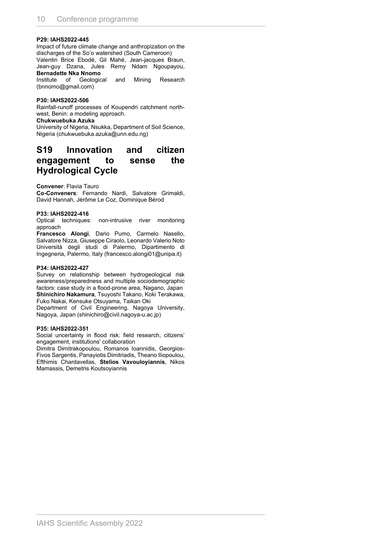#### **P29: IAHS2022-445**

Impact of future climate change and anthropization on the discharges of the So'o watershed (South Cameroon) Valentin Brice Ebodé, Gil Mahé, Jean-jacques Braun,

Jean-guy Dzana, Jules Remy Ndam Ngoupayou, **Bernadette Nka Nnomo**

Institute of Geological and Mining Research (bnnomo@gmail.com)

#### **P30: IAHS2022-506**

Rainfall-runoff processes of Koupendri catchment northwest, Benin: a modeling approach.

#### **Chukwuebuka Azuka**

University of Nigeria, Nsukka, Department of Soil Science, Nigeria (chukwuebuka.azuka@unn.edu.ng)

### **S19 Innovation and citizen engagement to sense the Hydrological Cycle**

**Convener**: Flavia Tauro

**Co-Conveners**: Fernando Nardi, Salvatore Grimaldi, David Hannah, Jérôme Le Coz, Dominique Bérod

#### **P33: IAHS2022-416**

Optical techniques: non-intrusive river monitoring approach

**Francesco Alongi**, Dario Pumo, Carmelo Nasello, Salvatore Nizza, Giuseppe Ciraolo, Leonardo Valerio Noto Università degli studi di Palermo, Dipartimento di Ingegneria, Palermo, Italy (francesco.alongi01@unipa.it)

#### **P34: IAHS2022-427**

Survey on relationship between hydrogeological risk awareness/preparedness and multiple sociodemographic factors: case study in a flood-prone area, Nagano, Japan **Shinichiro Nakamura**, Tsuyoshi Takano, Koki Terakawa, Fuko Nakai, Kensuke Otsuyama, Taikan Oki

Department of Civil Engineering, Nagoya University, Nagoya, Japan (shinichiro@civil.nagoya-u.ac.jp)

#### **P35: IAHS2022-351**

Social uncertainty in flood risk: field research, citizens' engagement, institutions' collaboration

Dimitra Dimitrakopoulou, Romanos Ioannidis, Georgios-Fivos Sargentis, Panayiotis Dimitriadis, Theano Iliopoulou, Efthimis Chardavellas, **Stelios Vavouloyiannis**, Nikos Mamassis, Demetris Koutsoyiannis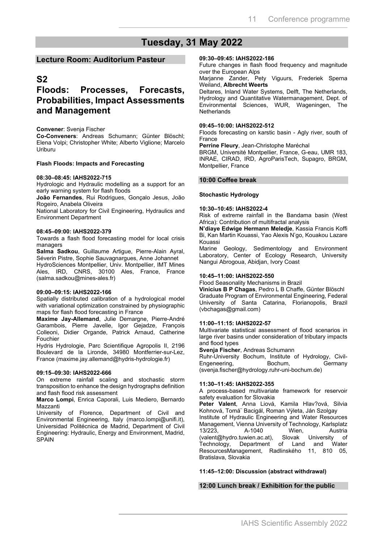# **Tuesday, 31 May 2022**

#### **Lecture Room: Auditorium Pasteur**

### **S2**

### **Floods: Processes, Forecasts, Probabilities, Impact Assessments and Management**

#### **Convener**: Svenja Fischer

**Co-Conveners**: Andreas Schumann; Günter Blöschl; Elena Volpi; Christopher White; Alberto Viglione; Marcelo Uriburu

#### **Flash Floods: Impacts and Forecasting**

#### **08:30–08:45: IAHS2022-715**

Hydrologic and Hydraulic modelling as a support for an early warning system for flash floods

**João Fernandes**, Rui Rodrigues, Gonçalo Jesus, João Rogeiro, Anabela Oliveira

National Laboratory for Civil Engineering, Hydraulics and Environment Department

#### **08:45–09:00: IAHS2022-379**

Towards a flash flood forecasting model for local crisis managers

**Salma Sadkou**, Guillaume Artigue, Pierre-Alain Ayral, Séverin Pistre, Sophie Sauvagnargues, Anne Johannet HydroSciences Montpellier, Univ. Montpellier, IMT Mines Ales, IRD, CNRS, 30100 Ales, France, France (salma.sadkou@mines-ales.fr)

#### **09:00–09:15: IAHS2022-166**

Spatially distributed calibration of a hydrological model with variational optimization constrained by physiographic maps for flash flood forecasting in France

**Maxime Jay-Allemand**, Julie Demargne, Pierre-André Garambois, Pierre Javelle, Igor Gejadze, François Colleoni, Didier Organde, Patrick Arnaud, Catherine Fouchier

Hydris Hydrologie, Parc Scientifique Agropolis II, 2196 Boulevard de la Lironde, 34980 Montferrier-sur-Lez, France (maxime.jay.allemand@hydris-hydrologie.fr)

#### **09:15–09:30: IAHS2022-666**

On extreme rainfall scaling and stochastic storm transposition to enhance the design hydrographs definition and flash flood risk assessment

**Marco Lompi**, Enrica Caporali, Luis Mediero, Bernardo Mazzanti

University of Florence, Department of Civil and Environmental Engineering, Italy (marco.lompi@unifi.it), Universidad Politécnica de Madrid, Department of Civil Engineering: Hydraulic, Energy and Environment, Madrid, **SPAIN** 

#### **09:30–09:45: IAHS2022-186**

Future changes in flash flood frequency and magnitude over the European Alps

Marjanne Zander, Pety Viguurs, Frederiek Sperna Weiland, **Albrecht Weerts**

Deltares, Inland Water Systems, Delft, The Netherlands, Hydrology and Quantitative Watermanagement, Dept. of Environmental Sciences, WUR, Wageningen, The **Netherlands** 

#### **09:45–10:00: IAHS2022-512**

Floods forecasting on karstic basin - Agly river, south of France

**Perrine Fleury**, Jean-Christophe Maréchal

BRGM, Université Montpellier, France, G-eau, UMR 183, INRAE, CIRAD, IRD, AgroParisTech, Supagro, BRGM, Montpellier, France

#### **10:00 Coffee break**

#### **Stochastic Hydrology**

#### **10:30–10:45: IAHS2022-4**

Risk of extreme rainfall in the Bandama basin (West Africa): Contribution of multifractal analysis

**N'diaye Edwige Hermann Meledje**, Kassia Francis Koffi Bi, Kan Martin Kouassi, Yao Alexis N'go, Kouakou Lazare Kouassi

Marine Geology, Sedimentology and Environment Laboratory, Center of Ecology Research, University Nangui Abrogoua, Abidjan, Ivory Coast

#### **10:45–11:00: IAHS2022-550**

Flood Seasonality Mechanisms in Brazil

**Vinícius B P Chagas**, Pedro L B Chaffe, Günter Blöschl Graduate Program of Environmental Engineering, Federal University of Santa Catarina, Florianopolis, Brazil (vbchagas@gmail.com)

#### **11:00–11:15: IAHS2022-57**

Multivariate statistical assessment of flood scenarios in large river basins under consideration of tributary impacts and flood types

**Svenja Fischer**, Andreas Schumann

Ruhr-University Bochum, Institute of Hydrology, Civil-<br>Engeneering, Bochum, Germany Engeneering, (svenja.fischer@hydrology.ruhr-uni-bochum.de)

#### **11:30–11:45: IAHS2022-355**

A process-based multivariate framework for reservoir safety evaluation for Slovakia

**Peter Valent**, Anna Liová, Kamila Hlav?ová, Silvia Kohnová, Tomá<sup>:</sup> Bacigál, Roman Výleta, Ján Szolgay Institute of Hydraulic Engineering and Water Resources Management, Vienna University of Technology, Karlsplatz 13/223, A-1040 Wien, Austria<br>(valent@hydro.tuwien.ac.at). Slovak University of (valent@hydro.tuwien.ac.at), Slovak University of Department of Land and Water ResourcesManagement, Radlinského 11, 810 05, Bratislava, Slovakia

#### **11:45–12:00: Discussion (abstract withdrawal)**

#### **12:00 Lunch break / Exhibition for the public**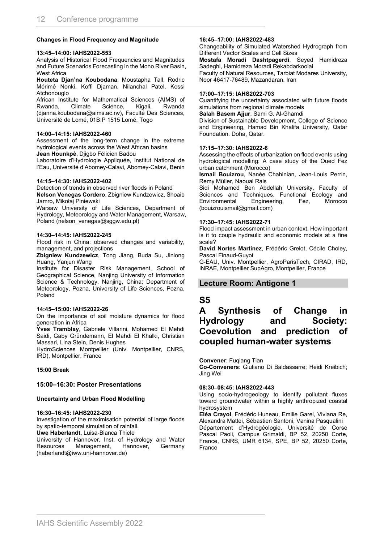#### **Changes in Flood Frequency and Magnitude**

#### **13:45–14:00: IAHS2022-553**

Analysis of Historical Flood Frequencies and Magnitudes and Future Scenarios Forecasting in the Mono River Basin, West Africa

**Houteta Djan'na Koubodana**, Moustapha Tall, Rodric Mérimé Nonki, Koffi Djaman, Nilanchal Patel, Kossi Atchonouglo

African Institute for Mathematical Sciences (AIMS) of Rwanda, Climate Science, Kigali, Rwanda (djanna.koubodana@aims.ac.rw), Faculté Des Sciences, Université de Lomé, 01B:P 1515 Lomé, Togo

#### **14:00–14:15: IAHS2022-460**

Assessment of the long-term change in the extreme hydrological events across the West African basins **Jean Hounkpè**, Djigbo Félicien Badou

Laboratoire d'Hydrologie Appliquée, Institut National de l'Eau, Université d'Abomey-Calavi, Abomey-Calavi, Benin

#### **14:15–14:30: IAHS2022-402**

Detection of trends in observed river floods in Poland **Nelson Venegas Cordero**, Zbigniew Kundzewicz, Shoaib Jamro, Mikołaj Piniewski

Warsaw University of Life Sciences, Department of Hydrology, Meteorology and Water Management, Warsaw, Poland (nelson\_venegas@sggw.edu.pl)

#### **14:30–14:45: IAHS2022-245**

Flood risk in China: observed changes and variability, management, and projections

**Zbigniew Kundzewicz**, Tong Jiang, Buda Su, Jinlong Huang, Yanjun Wang

Institute for Disaster Risk Management, School of Geographical Science, Nanjing University of Information Science & Technology, Nanjing, China; Department of Meteorology, Pozna, University of Life Sciences, Pozna, Poland

#### **14:45–15:00: IAHS2022-26**

On the importance of soil moisture dynamics for flood generation in Africa

**Yves Tramblay**, Gabriele Villarini, Mohamed El Mehdi Saidi, Gaby Gründemann, El Mahdi El Khalki, Christian Massari, Lina Stein, Denis Hughes

HydroSciences Montpellier (Univ. Montpellier, CNRS, IRD), Montpellier, France

#### **15:00 Break**

#### **15:00–16:30: Poster Presentations**

#### **Uncertainty and Urban Flood Modelling**

#### **16:30–16:45: IAHS2022-230**

Investigation of the maximisation potential of large floods by spatio-temporal simulation of rainfall.

**Uwe Haberlandt**, Luisa-Bianca Thiele

University of Hannover, Inst. of Hydrology and Water Resources Management, Hannover, Germany (haberlandt@iww.uni-hannover.de)

#### **16:45–17:00: IAHS2022-483**

Changeability of Simulated Watershed Hydrograph from Different Vector Scales and Cell Sizes

**Mostafa Moradi Dashtpagerdi**, Seyed Hamidreza Sadeghi, Hamidreza Moradi Rekabdarkoolai

Faculty of Natural Resources, Tarbiat Modares University, Noor 46417-76489, Mazandaran, Iran

#### **17:00–17:15: IAHS2022-703**

Quantifying the uncertainty associated with future floods simulations from regional climate models **Salah Basem Ajjur**, Sami G. Al-Ghamdi

Division of Sustainable Development, College of Science and Engineering, Hamad Bin Khalifa University, Qatar Foundation. Doha, Qatar.

#### **17:15–17:30: IAHS2022-6**

Assessing the effects of urbanization on flood events using hydrological modelling: A case study of the Oued Fez urban catchment (Morocco)

**Ismail Bouizrou**, Nanée Chahinian, Jean-Louis Perrin, Remy Müller, Naoual Rais

Sidi Mohamed Ben Abdellah University, Faculty of Sciences and Techniques, Functional Ecology and Environmental Engineering, Fez, Morocco (bouizrouismail@gmail.com)

#### **17:30–17:45: IAHS2022-71**

Flood impact assessment in urban context. How important is it to couple hydraulic and economic models at a fine scale?

**David Nortes Martinez**, Frédéric Grelot, Cécile Choley, Pascal Finaud-Guyot

G-EAU, Univ. Montpellier, AgroParisTech, CIRAD, IRD, INRAE, Montpellier SupAgro, Montpellier, France

#### **Lecture Room: Antigone 1**

### **S5**

### **A Synthesis of Change in Hydrology and Society: Coevolution and prediction of coupled human-water systems**

**Convener**: Fuqiang Tian

**Co-Conveners**: Giuliano Di Baldassarre; Heidi Kreibich; Jing Wei

#### **08:30–08:45: IAHS2022-443**

Using socio-hydrogeology to identify pollutant fluxes toward groundwater within a highly anthropized coastal hydrosystem

**Eléa Crayol**, Frédéric Huneau, Emilie Garel, Viviana Re, Alexandra Mattei, Sébastien Santoni, Vanina Pasqualini Département d'Hydrogéologie, Université de Corse Pascal Paoli, Campus Grimaldi, BP 52, 20250 Corte, France, CNRS, UMR 6134, SPE, BP 52, 20250 Corte, France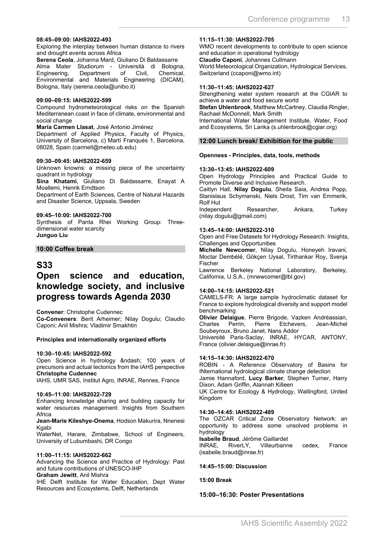#### **08:45–09:00: IAHS2022-493**

Exploring the interplay between human distance to rivers and drought events across Africa

**Serena Ceola**, Johanna Mard, Giuliano Di Baldassarre Alma Mater Studiorum - Università di Bologna, Engineering, Department of Civil, Chemical, Environmental and Materials Engineering (DICAM), Bologna, Italy (serena.ceola@unibo.it)

#### **09:00–09:15: IAHS2022-599**

Compound hydrometeorological risks on the Spanish Mediterranean coast in face of climate, environmental and social change

**María Carmen Llasat**, José Antonio Jiménez

Department of Applied Physics, Faculty of Physics, University of Barcelona, c) Martí Franqués 1, Barcelona, 08028, Spain (carmell@meteo.ub.edu)

#### **09:30–09:45: IAHS2022-659**

Unknown knowns: a missing piece of the uncertainty quadrant in hydrology

**Sina Khatami**, Giuliano Di Baldassarre, Enayat A Moallemi, Henrik Erndtson

Department of Earth Sciences, Centre of Natural Hazards and Disaster Science, Uppsala, Sweden

#### **09:45–10:00: IAHS2022-700**

Synthesis of Panta Rhei Working Group: Threedimensional water scarcity **Junguo Liu**

#### **10:00 Coffee break**

#### **S33**

### **Open science and education, knowledge society, and inclusive progress towards Agenda 2030**

**Convener**: Christophe Cudennec

**Co-Conveners**: Berit Arheimer; Nilay Dogulu; Claudio Caponi; Anil Mishra; Vladimir Smakhtin

#### **Principles and internationally organized efforts**

#### **10:30–10:45: IAHS2022-592**

Open Science in hydrology – 100 years of precursors and actual tectonics from the IAHS perspective **Christophe Cudennec**

IAHS, UMR SAS, Institut Agro, INRAE, Rennes, France

#### **10:45–11:00: IAHS2022-729**

Enhancing knowledge sharing and building capacity for water resources management: Insights from Southern Africa

**Jean-Marie Kileshye-Onema**, Hodson Makurira, Nnenesi Kgabi

WaterNet, Harare, Zimbabwe, School of Engineers, University of Lubumbashi, DR Congo

#### **11:00–11:15: IAHS2022-662**

Advancing the Science and Practice of Hydrology: Past and future contributions of UNESCO-IHP

**Graham Jewitt**, Anil Mishra IHE Delft Institute for Water Education, Dept Water Resources and Ecosystems, Delft, Netherlands

#### **11:15–11:30: IAHS2022-705**

WMO recent developments to contribute to open science and education in operational hydrology **Claudio Caponi**, Johannes Cullmann World Meteorological Organization, Hydrological Services, Switzerland (ccaponi@wmo.int)

#### **11:30–11:45: IAHS2022-627**

Strengthening water system research at the CGIAR to achieve a water and food secure world

**Stefan Uhlenbrook**, Matthew McCartney, Claudia Ringler, Rachael McDonnell, Mark Smith

International Water Management Institute, Water, Food and Ecosystems, Sri Lanka (s.uhlenbrook@cgiar.org)

#### **12:00 Lunch break/ Exhibition for the public**

#### **Openness - Principles, data, tools, methods**

#### **13:30–13:45: IAHS2022-609**

Open Hydrology Principles and Practical Guide to Promote Diverse and Inclusive Research.

Caitlyn Hall, **Nilay Dogulu**, Sheila Saia, Andrea Popp, Stanislaus Schymanski, Niels Drost, Tim van Emmerik, Rolf Hut<br>Independent

Researcher, Ankara, Turkey (nilay.dogulu@gmail.com)

#### **13:45–14:00: IAHS2022-310**

Open and Free Datasets for Hydrology Research: Insights, Challenges and Opportunities

**Michelle Newcomer**, Nilay Dogulu, Honeyeh Iravani, Moctar Dembélé, Gökçen Uysal, Tirthankar Roy, Svenja Fischer

Lawrence Berkeley National Laboratory, Berkeley, California, U.S.A., (mnewcomer@lbl.gov)

#### **14:00–14:15: IAHS2022-521**

CAMELS-FR: A large sample hydroclimatic dataset for France to explore hydrological diversity and support model benchmarking

**Olivier Delaigue**, Pierre Brigode, Vazken Andréassian, Charles Perrin, Pierre Etchevers, Jean-Michel Soubeyroux, Bruno Janet, Nans Addor

Université Paris-Saclay, INRAE, HYCAR, ANTONY, France (olivier.delaigue@inrae.fr)

#### **14:15–14:30: IAHS2022-670**

ROBIN - A Reference Observatory of Basins for INternational hydrological climate change detection

Jamie Hannaford, **Lucy Barker**, Stephen Turner, Harry Dixon, Adam Griffin, Alannah Killeen

UK Centre for Ecology & Hydrology, Wallingford, United Kingdom

#### **14:30–14:45: IAHS2022-489**

The OZCAR Critical Zone Observatory Network: an opportunity to address some unsolved problems in hydrology

**Isabelle Braud**, Jérôme Gaillardet

INRAE, RiverLY, Villeurbanne cedex, France (isabelle.braud@inrae.fr)

#### **14:45–15:00: Discussion**

#### **15:00 Break**

#### **15:00–16:30: Poster Presentations**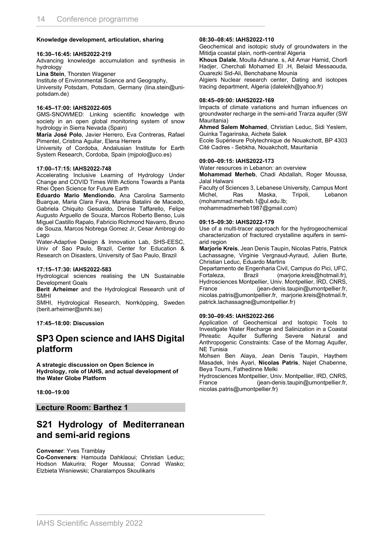#### **Knowledge development, articulation, sharing**

#### **16:30–16:45: IAHS2022-219**

Advancing knowledge accumulation and synthesis in hydrology

**Lina Stein**, Thorsten Wagener

Institute of Environmental Science and Geography,

University Potsdam, Potsdam, Germany (lina.stein@unipotsdam.de)

#### **16:45–17:00: IAHS2022-605**

GMS-SNOWMED: Linking scientific knowledge with society in an open global monitoring system of snow hydrology in Sierra Nevada (Spain)

**María José Polo**, Javier Herrero, Eva Contreras, Rafael Pimentel, Cristina Aguilar, Elena Herrera

University of Cordoba, Andalusian Institute for Earth System Research, Cordoba, Spain (mjpolo@uco.es)

#### **17:00–17:15: IAHS2022-748**

Accelerating Inclusive Learning of Hydrology Under Change and COVID Times With Actions Towards a Panta Rhei Open Science for Future Earth

**Eduardo Mario Mendiondo**, Ana Carolina Sarmento Buarque, Maria Clara Fava, Marina Batalini de Macedo, Gabriela Chiquito Gesualdo, Denise Taffarello, Felipe Augusto Arguello de Souza, Marcos Roberto Benso, Luis Miguel Castillo Rapalo, Fabricio Richmond Navarro, Bruno de Souza, Marcos Nobrega Gomez Jr, Cesar Ambrogi do Lago

Water-Adaptive Design & Innovation Lab, SHS-EESC, Univ of Sao Paulo, Brazil, Center for Education & Research on Disasters, University of Sao Paulo, Brazil

#### **17:15–17:30: IAHS2022-583**

Hydrological sciences realising the UN Sustainable Development Goals

**Berit Arheimer** and the Hydrological Research unit of SMHI

SMHI, Hydrological Research, Norrköpping, Sweden (berit.arheimer@smhi.se)

#### **17:45–18:00: Discussion**

### **SP3 Open science and IAHS Digital platform**

**A strategic discussion on Open Science in Hydrology, role of IAHS, and actual development of the Water Globe Platform**

**18:00–19:00**

**Lecture Room: Barthez 1**

### **S21 Hydrology of Mediterranean and semi-arid regions**

**Convener**: Yves Tramblay

**Co-Conveners**: Hamouda Dahklaoui; Christian Leduc; Hodson Makurira; Roger Moussa; Conrad Wasko; Elzbieta Wisniewski; Charalampos Skoulikaris

#### **08:30–08:45: IAHS2022-110**

Geochemical and isotopic study of groundwaters in the Mitidja coastal plain, north-central Algeria

**Khous Dalale**, Moulla Adnane. s, Ait Amar Hamid, Chorfi Hadjer, Cherchali Mohamed El .H, Belaid Messaouda, Ouarezki Sid-Ali, Benchabane Mounia

Algiers Nuclear research center, Dating and isotopes tracing department, Algeria (dalelekh@yahoo.fr)

#### **08:45–09:00: IAHS2022-169**

Impacts of climate variations and human influences on groundwater recharge in the semi-arid Trarza aquifer (SW Mauritania)

**Ahmed Salem Mohamed**, Christian Leduc, Sidi Yeslem, Guinka Tagarinska, Aichete Salek

Ecole Supérieure Polytechnique de Nouakchott, BP 4303 Cité Cadres - Sebkha, Nouakchott, Mauritania

#### **09:00–09:15: IAHS2022-173**

Water resources in Lebanon: an overview

**Mohammad Merheb**, Chadi Abdallah, Roger Moussa, Jalal Halwani

Faculty of Sciences 3, Lebanese University, Campus Mont Michel, Ras Maska, Tripoli, Lebanon (mohammad.merheb.1@ul.edu.lb; mohammadmerheb1987@gmail.com)

#### **09:15–09:30: IAHS2022-179**

Use of a multi-tracer approach for the hydrogeochemical characterization of fractured crystalline aquifers in semiarid region

**Marjorie Kreis**, Jean Denis Taupin, Nicolas Patris, Patrick Lachassagne, Virginie Vergnaud-Ayraud, Julien Burte, Christian Leduc, Eduardo Martins

Departamento de Engenharia Civil, Campus do Pici, UFC,<br>Fortaleza, Brazil (marjorie.kreis@hotmail.fr), Brazil (marjorie.kreis@hotmail.fr), Hydrosciences Montpellier, Univ. Montpellier, IRD, CNRS, France (jean-denis.taupin@umontpellier.fr, nicolas.patris@umontpellier.fr, marjorie.kreis@hotmail.fr, patrick.lachassagne@umontpellier.fr)

#### **09:30–09:45: IAHS2022-266**

Application of Geochemical and Isotopic Tools to Investigate Water Recharge and Salinization in a Coastal Phreatic Aquifer Suffering Severe Natural and Anthropogenic Constraints: Case of the Mornag Aquifer, NE Tunisia

Mohsen Ben Alaya, Jean Denis Taupin, Haythem Masadek, Inès Ayari, **Nicolas Patris**, Najet Chabenne, Beya Toumi, Fathedinne Melki

Hydrosciences Montpellier, Univ. Montpellier, IRD, CNRS, France (jean-denis.taupin@umontpellier.fr, nicolas.patris@umontpellier.fr)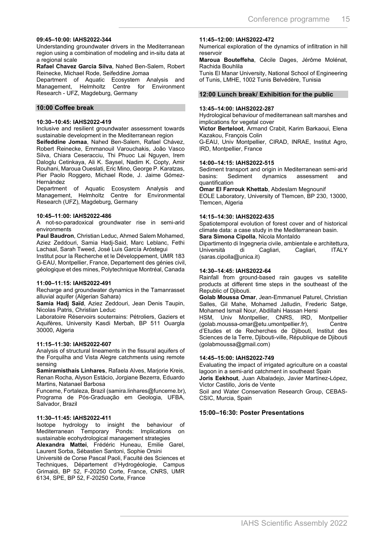#### **09:45–10:00: IAHS2022-344**

Understanding groundwater drivers in the Mediterranean region using a combination of modeling and in-situ data at a regional scale

**Rafael Chavez Garcia Silva**, Nahed Ben-Salem, Robert Reinecke, Michael Rode, Seifeddine Jomaa

Department of Aquatic Ecosystem Analysis and Management, Helmholtz Centre for Environment Research - UFZ, Magdeburg, Germany

#### **10:00 Coffee break**

#### **10:30–10:45: IAHS2022-419**

Inclusive and resilient groundwater assessment towards sustainable development in the Mediterranean region

**Seifeddine Jomaa**, Nahed Ben-Salem, Rafael Chávez, Robert Reinecke, Emmanouil Varouchakis, João Vasco Silva, Chiara Ceseracciu, Thi Phuoc Lai Nguyen, Irem Daloglu Cetinkaya, Ali K. Saysel, Nadim K. Copty, Amir Rouhani, Maroua Oueslati, Eric Mino, George P. Karatzas, Pier Paolo Roggero, Michael Rode, J. Jaime Gómez-Hernández

Department of Aquatic Ecosystem Analysis and Management, Helmholtz Centre for Environmental Research (UFZ), Magdeburg, Germany

#### **10:45–11:00: IAHS2022-486**

A not-so-paradoxical groundwater rise in semi-arid environments

**Paul Baudron**, Christian Leduc, Ahmed Salem Mohamed, Aziez Zeddouri, Samia Hadj-Said, Marc Leblanc, Fethi Lachaal, Sarah Tweed, José Luis García Aróstegui

Institut pour la Recherche et le Développement, UMR 183 G-EAU, Montpellier, France, Departement des génies civil, géologique et des mines, Polytechnique Montréal, Canada

#### **11:00–11:15: IAHS2022-491**

Recharge and groundwater dynamics in the Tamanrasset alluvial aquifer (Algerian Sahara)

**Samia Hadj Saïd**, Aziez Zeddouri, Jean Denis Taupin, Nicolas Patris, Christian Leduc

Laboratoire Réservoirs souterrains: Pétroliers, Gaziers et Aquifères, University Kasdi Merbah, BP 511 Ouargla 30000, Algeria

#### **11:15–11:30: IAHS2022-607**

Analysis of structural lineaments in the fissural aquifers of the Forquilha and Vista Alegre catchments using remote sensing

**Samiramisthaís Linhares**, Rafaela Alves, Marjorie Kreis, Renan Rocha, Alyson Estácio, Jorgiane Bezerra, Eduardo Martins, Natanael Barbosa

Funceme, Fortaleza, Brazil (samira.linhares@funceme.br), Programa de Pós-Graduação em Geologia, UFBA, Salvador, Brazil

#### **11:30–11:45: IAHS2022-411**

Isotope hydrology to insight the behaviour of Mediterranean Temporary Ponds: Implications on sustainable ecohydrological management strategies

**Alexandra Mattei**, Frédéric Huneau, Emilie Garel, Laurent Sorba, Sébastien Santoni, Sophie Orsini

Université de Corse Pascal Paoli, Faculté des Sciences et Techniques, Département d'Hydrogéologie, Campus Grimaldi, BP 52, F-20250 Corte, France, CNRS, UMR 6134, SPE, BP 52, F-20250 Corte, France

#### **11:45–12:00: IAHS2022-472**

Numerical exploration of the dynamics of infiltration in hill reservoir

**Maroua Bouteffeha**, Cécile Dages, Jérôme Molénat, Rachida Bouhlila

Tunis El Manar University, National School of Engineering of Tunis, LMHE, 1002 Tunis Belvédère, Tunisia

#### **12:00 Lunch break/ Exhibition for the public**

#### **13:45–14:00: IAHS2022-287**

Hydrological behaviour of mediterranean salt marshes and implications for vegetal cover

**Victor Berteloot**, Armand Crabit, Karim Barkaoui, Elena Kazakou, François Colin

G-EAU, Univ Montpellier, CIRAD, INRAE, Institut Agro, IRD, Montpellier, France

#### **14:00–14:15: IAHS2022-515**

Sediment transport and origin in Mediterranean semi-arid<br>basins: Sediment dynamics assessment and assessment quantification

**Omar El Farrouk Khettab**, Abdeslam Megnounif EOLE Laboratory, University of Tlemcen, BP 230, 13000, Tlemcen, Algeria

#### **14:15–14:30: IAHS2022-635**

Spatiotemporal evolution of forest cover and of historical climate data: a case study in the Mediterranean basin.

**Sara Simona Cipolla**, Nicola Montaldo

Dipartimento di Ingegneria civile, ambientale e architettura, Cagliari, (saras.cipolla@unica.it)

#### **14:30–14:45: IAHS2022-64**

Rainfall from ground-based rain gauges vs satellite products at different time steps in the southeast of the Republic of Djibouti.

**Golab Moussa Omar**, Jean-Emmanuel Paturel, Christian Salles, Gil Mahe, Mohamed Jalludin, Frederic Satge, Mohamed Ismail Nour, Abdillahi Hassan Hersi

HSM, Univ Montpellier, CNRS, IRD, Montpellier (golab.moussa-omar@etu.umontpellier.fr), Centre d'Etudes et de Recherches de Djibouti, Institut des Sciences de la Terre, Djibouti-ville, République de Djibouti (golabmoussa@gmail.com)

#### **14:45–15:00: IAHS2022-749**

Evaluating the impact of irrigated agriculture on a coastal lagoon in a semi-arid catchment in southeast Spain **Joris Eekhout**, Juan Albaladejo, Javier Martínez-López,

Victor Castillo, Joris de Vente Soil and Water Conservation Research Group, CEBAS-

CSIC, Murcia, Spain

#### **15:00–16:30: Poster Presentations**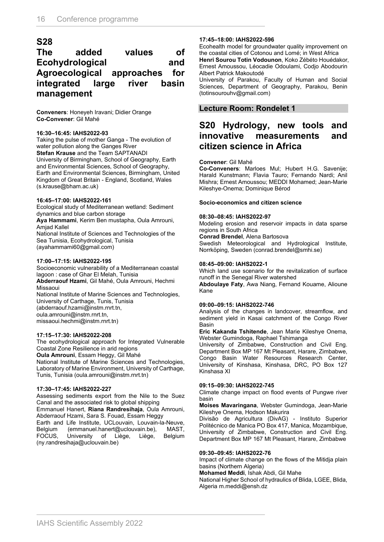### **S28**

### **The added values of Ecohydrological and Agroecological approaches for integrated large river basin management**

**Conveners**: Honeyeh Iravani; Didier Orange **Co-Convener**: Gil Mahé

#### **16:30–16:45: IAHS2022-93**

Taking the pulse of mother Ganga - The evolution of water pollution along the Ganges River **Stefan Krause** and the Team SAPTANADI University of Birmingham, School of Geography, Earth and Environmental Sciences, School of Geography, Earth and Environmental Sciences, Birmingham, United Kingdom of Great Britain - England, Scotland, Wales (s.krause@bham.ac.uk)

#### **16:45–17:00: IAHS2022-161**

Ecological study of Mediterranean wetland: Sediment dynamics and blue carbon storage

**Aya Hammami**, Kerim Ben mustapha, Oula Amrouni, Amjad Kallel

National Institute of Sciences and Technologies of the Sea Tunisia, Ecohydrological, Tunisia (ayahammami60@gmail.com)

#### **17:00–17:15: IAHS2022-195**

Socioeconomic vulnerability of a Mediterranean coastal lagoon : case of Ghar El Melah, Tunisia **Abderraouf Hzami**, Gil Mahé, Oula Amrouni, Hechmi Missaoui National Institute of Marine Sciences and Technologies, University of Carthage, Tunis, Tunisia

(abderraouf.hzami@instm.rnrt.tn,

oula.amrouni@instm.rnrt.tn,

missaoui.hechmi@instm.rnrt.tn)

#### **17:15–17:30: IAHS2022-208**

The ecohydrological approach for Integrated Vulnerable Coastal Zone Resilience in arid regions

**Oula Amrouni**, Essam Heggy, Gil Mahé National Institute of Marine Sciences and Technologies,

Laboratory of Marine Environment, University of Carthage, Tunis, Tunisia (oula.amrouni@instm.rnrt.tn)

#### **17:30–17:45: IAHS2022-227**

Assessing sediments export from the Nile to the Suez Canal and the associated risk to global shipping Emmanuel Hanert, **Riana Randresihaja**, Oula Amrouni,

Abderraouf Hzami, Sara S. Fouad, Essam Heggy

Earth and Life Institute, UCLouvain, Louvain-la-Neuve, Belgium (emmanuel.hanert@uclouvain.be), MAST, of Liège, Liège, (ny.randresihaja@uclouvain.be)

#### **17:45–18:00: IAHS2022-596**

Ecohealth model for groundwater quality improvement on the coastal cities of Cotonou and Lomé; in West Africa **Henri Sourou Totin Vodounon**, Koko Zébéto Houédakor,

Ernest Amoussou, Léocadie Odoulami, Codjo Abodourin Albert Patrick Makoutodé

University of Parakou, Faculty of Human and Social Sciences, Department of Geography, Parakou, Benin (totinsourouhv@gmail.com)

#### **Lecture Room: Rondelet 1**

### **S20 Hydrology, new tools and innovative measurements and citizen science in Africa**

#### **Convener**: Gil Mahé

**Co-Conveners**: Marloes Mul; Hubert H.G. Savenije; Harald Kunstmann; Flavia Tauro; Fernando Nardi; Anil Mishra; Ernest Amoussou; MEDDI Mohamed; Jean-Marie Kileshye-Onema; Dominique Bérod

#### **Socio-economics and citizen science**

#### **08:30–08:45: IAHS2022-97**

Modeling erosion and reservoir impacts in data sparse regions in South Africa

**Conrad Brendel**, Alena Bartosova

Swedish Meteorological and Hydrological Institute, Norrköping, Sweden (conrad.brendel@smhi.se)

#### **08:45–09:00: IAHS2022-1**

Which land use scenario for the revitalization of surface runoff in the Senegal River watershed

**Abdoulaye Faty**, Awa Niang, Fernand Kouame, Alioune Kane

#### **09:00–09:15: IAHS2022-746**

Analysis of the changes in landcover, streamflow, and sediment yield in Kasai catchment of the Congo River Basin

**Eric Kakanda Tshitende**, Jean Marie Kileshye Onema, Webster Gumindoga, Raphael Tshimanga

University of Zimbabwe, Construction and Civil Eng. Department Box MP 167 Mt Pleasant, Harare, Zimbabwe, Congo Basin Water Resources Research Center, University of Kinshasa, Kinshasa, DRC, PO Box 127 Kinshasa XI

#### **09:15–09:30: IAHS2022-745**

Climate change impact on flood events of Pungwe river basin

**Moises Mavaringana**, Webster Gumindoga, Jean-Marie Kileshye Onema, Hodson Makurira

Divisão de Agricultura (DivAG) - Instituto Superior Politécnico de Manica PO Box 417, Manica, Mozambique, University of Zimbabwe, Construction and Civil Eng. Department Box MP 167 Mt Pleasant, Harare, Zimbabwe

#### **09:30–09:45: IAHS2022-76**

Impact of climate change on the flows of the Mitidja plain basins (Northern Algeria)

**Mohamed Meddi**, Ishak Abdi, Gil Mahe

National Higher School of hydraulics of Blida, LGEE, Blida, Algeria m.meddi@ensh.dz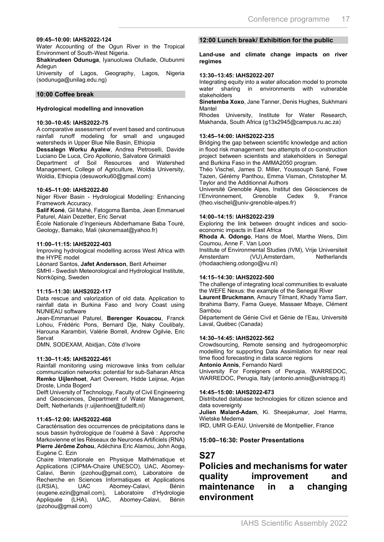#### **09:45–10:00: IAHS2022-124**

Water Accounting of the Ogun River in the Tropical Environment of South-West Nigeria.

**Shakirudeen Odunuga**, Iyanuoluwa Olufiade, Olubunmi **Adegun** 

University of Lagos, Geography, Lagos, Nigeria (sodunuga@unilag.edu.ng)

#### **10:00 Coffee break**

#### **Hydrological modelling and innovation**

#### **10:30–10:45: IAHS2022-75**

A comparative assessment of event based and continuous rainfall runoff modeling for small and ungauged watersheds in Upper Blue Nile Basin, Ethiopia

**Dessalegn Worku Ayalew**, Andrea Petroselli, Davide Luciano De Luca, Ciro Apollonio, Salvatore Grimaldi

Department of Soil Resources and Watershed Management, College of Agriculture, Woldia University, Woldia, Ethiopia (desuworku60@gmail.com)

#### **10:45–11:00: IAHS2022-80**

Niger River Basin - Hydrological Modelling: Enhancing Framework Accuracy.

**Salif Koné**, Gil Mahé, Fatogoma Bamba, Jean Emmanuel Paturel, Alain Dezetter, Eric Servat

École Nationale d'Ingenieurs Abderhamane Baba Touré, Geology, Bamako, Mali (skonemaat@yahoo.fr)

#### **11:00–11:15: IAHS2022-403**

Improving hydrological modelling across West Africa with the HYPE model

Léonard Santos, **Jafet Andersson**, Berit Arheimer SMHI - Swedish Meteorological and Hydrological Institute, Norrköping, Sweden

#### **11:15–11:30: IAHS2022-117**

Data rescue and valorization of old data. Application to rainfall data in Burkina Faso and Ivory Coast using NUNIEAU software

Jean-Emmanuel Paturel, **Berenger Kouacou**, Franck Lohou, Frédéric Pons, Bernard Dje, Naky Coulibaly, Harouna Karambiri, Valérie Borrell, Andrew Ogilvie, Eric Servat

DMN, SODEXAM, Abidjan, Côte d'Ivoire

#### **11:30–11:45: IAHS2022-461**

Rainfall monitoring using microwave links from cellular communication networks: potential for sub-Saharan Africa **Remko Uijlenhoet**, Aart Overeem, Hidde Leijnse, Arjan Droste, Linda Bogerd

Delft University of Technology, Faculty of Civil Engineering and Geosciences, Department of Water Management, Delft, Netherlands (r.uijlenhoet@tudelft.nl)

#### **11:45–12:00: IAHS2022-468**

Caractérisation des occurrences de précipitations dans le sous bassin hydrologique de l'ouémé à Savè : Approche Markovienne et les Réseaux de Neurones Artificiels (RNA) **Pierre Jérôme Zohou**, Adéchina Eric Alamou, John Aoga, Eugène C. Ezin

Chaire Internationale en Physique Mathématique et Applications (CIPMA-Chaire UNESCO), UAC, Abomey-Calavi, Benin (pzohou@gmail.com), Laboratoire de Recherche en Sciences Informatiques et Applications (LRSIA), UAC Abomey-Calavi, Bénin (eugene.ezin@gmail.com), Laboratoire d'Hydrologie Appliquée (LHA), UAC, Abomey-Calavi, Bénin (pzohou@gmail.com)

#### **12:00 Lunch break/ Exhibition for the public**

**Land-use and climate change impacts on river regimes**

#### **13:30–13:45: IAHS2022-207**

Integrating equity into a water allocation model to promote water sharing in environments with stakeholders

**Sinetemba Xoxo**, Jane Tanner, Denis Hughes, Sukhmani Mantel

Rhodes University, Institute for Water Research, Makhanda, South Africa (g13x2945@campus.ru.ac.za)

#### **13:45–14:00: IAHS2022-235**

Bridging the gap between scientific knowledge and action in flood risk management: two attempts of co-construction project between scientists and stakeholders in Senegal and Burkina Faso in the AMMA2050 program.

Théo Vischel, James D. Miller, Youssouph Sané, Fowe Tazen, Gérémy Panthou, Emma Visman, Christopher M. Taylor and the Additionnal Authors

Université Grenoble Alpes, Institut des Géosciences de<br>l'Environnement. Cirenoble Cedex 9, France l'Environnement, Grenoble Cedex 9, France (theo.vischel@univ-grenoble-alpes.fr)

#### **14:00–14:15: IAHS2022-239**

Exploring the link between drought indices and socioeconomic impacts in East Africa

**Rhoda A. Odongo**, Hans de Moel, Marthe Wens, Dim Coumou, Anne F. Van Loon

Institute of Environmental Studies (IVM), Vrije Universiteit (VU), Amsterdam, (rhodaachieng.odongo@vu.nl)

#### **14:15–14:30: IAHS2022-500**

The challenge of integrating local communities to evaluate the WEFE Nexus: the example of the Senegal River

**Laurent Bruckmann**, Amaury Tilmant, Khady Yama Sarr, Ibrahima Barry, Fama Gueye, Massaer Mbaye, Clément Sambou

Département de Génie Civil et Génie de l'Eau, Université Laval, Québec (Canada)

#### **14:30–14:45: IAHS2022-562**

Crowdsourcing, Remote sensing and hydrogeomorphic modelling for supporting Data Assimilation for near real time flood forecasting in data scarce regions

**Antonio Annis**, Fernando Nardi

University For Foreigners of Perugia, WARREDOC, WARREDOC, Perugia, Italy (antonio.annis@unistrapg.it)

#### **14:45–15:00: IAHS2022-673**

Distributed database technologies for citizen science and data sovereignty

**Julien Malard-Adam**, Ki. Sheejakumar, Joel Harms, Wietske Medema

IRD, UMR G-EAU, Université de Montpellier, France

#### **15:00–16:30: Poster Presentations**

#### **S27**

### **Policies and mechanisms for water quality improvement and maintenance in a changing environment**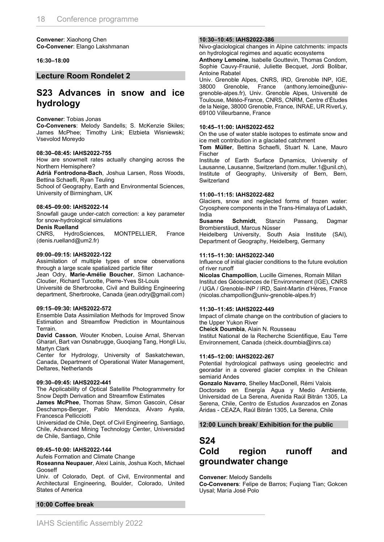**Convener**: Xiaohong Chen **Co-Convener**: Elango Lakshmanan

#### **16:30–18:00**

**Lecture Room Rondelet 2**

### **S23 Advances in snow and ice hydrology**

#### **Convener**: Tobias Jonas

**Co-Conveners**: Melody Sandells; S. McKenzie Skiles; James McPhee; Timothy Link; Elzbieta Wisniewski; Vsevolod Moreydo

#### **08:30–08:45: IAHS2022-755**

How are snowmelt rates actually changing across the Northern Hemisphere?

**Adrià Fontrodona-Bach**, Joshua Larsen, Ross Woods, Bettina Schaefli, Ryan Teuling

School of Geography, Earth and Environmental Sciences, University of Birmingham, UK

#### **08:45–09:00: IAHS2022-14**

Snowfall gauge under-catch correction: a key parameter for snow-hydrological simulations

#### **Denis Ruelland**

CNRS, HydroSciences, MONTPELLIER, France (denis.ruelland@um2.fr)

#### **09:00–09:15: IAHS2022-122**

Assimilation of multiple types of snow observations through a large scale spatialized particle filter

Jean Odry, **Marie-Amélie Boucher**, Simon Lachance-Cloutier, Richard Turcotte, Pierre-Yves St-Louis

Université de Sherbrooke, Civil and Building Engineering department, Sherbrooke, Canada (jean.odry@gmail.com)

#### **09:15–09:30: IAHS2022-572**

Ensemble Data Assimilation Methods for Improved Snow Estimation and Streamflow Prediction in Mountainous Terrain.

**David Casson**, Wouter Knoben, Louise Arnal, Shervan Gharari, Bart van Osnabrugge, Guoqiang Tang, Hongli Liu, Martyn Clark

Center for Hydrology, University of Saskatchewan, Canada, Department of Operational Water Management, Deltares, Netherlands

#### **09:30–09:45: IAHS2022-441**

The Applicability of Optical Satellite Photogrammetry for Snow Depth Derivation and Streamflow Estimates

**James McPhee**, Thomas Shaw, Simon Gascoin, César Deschamps-Berger, Pablo Mendoza, Álvaro Ayala, Francesca Pellicciotti

Universidad de Chile, Dept. of Civil Engineering, Santiago, Chile, Advanced Mining Technology Center, Universidad de Chile, Santiago, Chile

#### **09:45–10:00: IAHS2022-144**

Aufeis Formation and Climate Change

**Roseanna Neupauer**, Alexi Lainis, Joshua Koch, Michael Gooseff

Univ. of Colorado, Dept. of Civil, Environmental and Architectural Engineering, Boulder, Colorado, United States of America

#### **10:00 Coffee break**

#### **10:30–10:45: IAHS2022-386**

Nivo-glaciological changes in Alpine catchments: impacts on hydrological regimes and aquatic ecosystems

**Anthony Lemoine**, Isabelle Gouttevin, Thomas Condom, Sophie Cauvy-Fraunié, Juliette Becquet, Jordi Bolibar, Antoine Rabatel

Univ. Grenoble Alpes, CNRS, IRD, Grenoble INP, IGE, 38000 Grenoble, France (anthony.lemoine@univgrenoble-alpes.fr), Univ. Grenoble Alpes, Université de Toulouse, Météo-France, CNRS, CNRM, Centre d'Études de la Neige, 38000 Grenoble, France, INRAE, UR RiverLy, 69100 Villeurbanne, France

#### **10:45–11:00: IAHS2022-652**

On the use of water stable isotopes to estimate snow and ice melt contribution in a glaciated catchment

**Tom Müller**, Bettina Schaefli, Stuart N. Lane, Mauro Fischer

Institute of Earth Surface Dynamics, University of Lausanne, Lausanne, Switzerland (tom.muller.1@unil.ch), Institute of Geography, University of Bern, Bern, **Switzerland** 

#### **11:00–11:15: IAHS2022-682**

Glaciers, snow and neglected forms of frozen water: Cryosphere components in the Trans-Himalaya of Ladakh, India

**Susanne Schmidt**, Stanzin Passang, Dagmar Brombierstäudl, Marcus Nüsser

Heidelberg University, South Asia Institute (SAI), Department of Geography, Heidelberg, Germany

#### **11:15–11:30: IAHS2022-340**

Influence of initial glacier conditions to the future evolution of river runoff

**Nicolas Champollion**, Lucille Gimenes, Romain Millan Institut des Géosciences de l'Environnement (IGE), CNRS / UGA / Grenoble-INP / IRD, Saint-Martin d'Hères, France (nicolas.champollion@univ-grenoble-alpes.fr)

#### **11:30–11:45: IAHS2022-449**

Impact of climate change on the contribution of glaciers to the Upper Yukon River

**Cheick Doumbia**, Alain N. Rousseau

Institut National de la Recherche Scientifique, Eau Terre Environnement, Canada (cheick.doumbia@inrs.ca)

#### **11:45–12:00: IAHS2022-267**

Potential hydrological pathways using geoelectric and georadar in a covered glacier complex in the Chilean semiarid Andes

**Gonzalo Navarro**, Shelley MacDonell, Rémi Valois Doctorado en Energía Agua y Medio Ambiente, Universidad de La Serena, Avenida Raúl Bitrán 1305, La Serena, Chile, Centro de Estudios Avanzados en Zonas Áridas - CEAZA, Raúl Bitrán 1305, La Serena, Chile

#### **12:00 Lunch break/ Exhibition for the public**

#### **S24**

## **Cold region runoff and groundwater change**

**Convener**: Melody Sandells

**Co-Conveners**: Felipe de Barros; Fuqiang Tian; Gokcen Uysal; María José Polo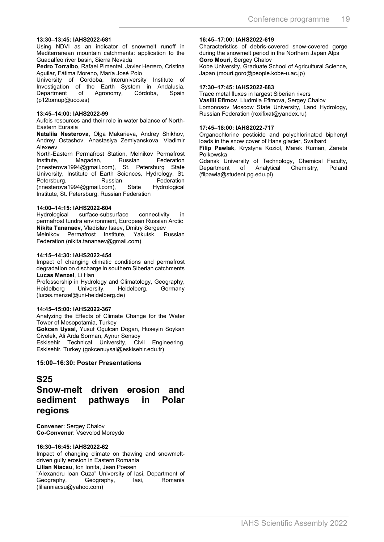#### **13:30–13:45: IAHS2022-681**

Using NDVI as an indicator of snowmelt runoff in Mediterranean mountain catchments: application to the Guadalfeo river basin, Sierra Nevada

**Pedro Torralbo**, Rafael Pimentel, Javier Herrero, Cristina Aguilar, Fátima Moreno, María José Polo

University of Cordoba, Interuniversity Institute of Investigation of the Earth System in Andalusia,<br>Department of Agronomy, Córdoba, Spain Department of Agronomy, Córdoba, Spain (p12tomup@uco.es)

#### **13:45–14:00: IAHS2022-99**

Aufeis resources and their role in water balance of North-Eastern Eurasia

**Nataliia Nesterova**, Olga Makarieva, Andrey Shikhov, Andrey Ostashov, Anastasiya Zemlyanskova, Vladimir Alexeev

North-Eastern Permafrost Station, Melnikov Permafrost Institute, Magadan, Russian Federation (nnesterova1994@gmail.com), St. Petersburg State University, Institute of Earth Sciences, Hydrology, St. Petersburg, Russian Federation<br>(nnesterova1994@gmail.com), State Hydrological (nnesterova1994@gmail.com), Institute, St. Petersburg, Russian Federation

# **14:00–14:15: IAHS2022-604**

surface-subsurface connectivity in permafrost tundra environment, European Russian Arctic **Nikita Tananaev**, Vladislav Isaev, Dmitry Sergeev Melnikov Permafrost Institute, Yakutsk, Russian Federation (nikita.tananaev@gmail.com)

#### **14:15–14:30: IAHS2022-454**

Impact of changing climatic conditions and permafrost degradation on discharge in southern Siberian catchments **Lucas Menzel**, Li Han

Professorship in Hydrology and Climatology, Geography, Heidelberg University, Heidelberg, Germany (lucas.menzel@uni-heidelberg.de)

#### **14:45–15:00: IAHS2022-367**

Analyzing the Effects of Climate Change for the Water Tower of Mesopotamia, Turkey

**Gokcen Uysal**, Yusuf Ogulcan Dogan, Huseyin Soykan Civelek, Ali Arda Sorman, Aynur Sensoy Eskisehir Technical University, Civil Engineering,

Eskisehir, Turkey (gokcenuysal@eskisehir.edu.tr)

#### **15:00–16:30: Poster Presentations**

### **S25**

### **Snow-melt driven erosion and sediment pathways in Polar regions**

**Convener**: Sergey Chalov **Co-Convener**: Vsevolod Moreydo

#### **16:30–16:45: IAHS2022-62**

Impact of changing climate on thawing and snowmeltdriven gully erosion in Eastern Romania **Lilian Niacsu**, Ion Ionita, Jean Poesen "Alexandru Ioan Cuza" University of Iasi, Department of Geography, Geography, Iasi, Romania (lilianniacsu@yahoo.com)

#### **16:45–17:00: IAHS2022-619**

Characteristics of debris-covered snow-covered gorge during the snowmelt period in the Northern Japan Alps **Goro Mouri**, Sergey Chalov

Kobe University, Graduate School of Agricultural Science, Japan (mouri.goro@people.kobe-u.ac.jp)

#### **17:30–17:45: IAHS2022-683**

Trace metal fluxes in largest Siberian rivers **Vasilii Efimov**, Liudmila Efimova, Sergey Chalov Lomonosov Moscow State University, Land Hydrology, Russian Federation (roxifixat@yandex.ru)

#### **17:45–18:00: IAHS2022-717**

Organochlorine pesticide and polychlorinated biphenyl loads in the snow cover of Hans glacier, Svalbard

**Filip Pawlak**, Krystyna Koziol, Marek Ruman, Zaneta Polkowska

Gdansk University of Technology, Chemical Faculty, Chemistry, Poland (filpawla@student.pg.edu.pl)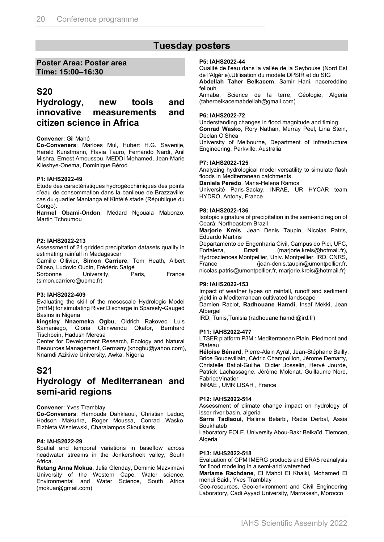### **Tuesday posters**

#### **Poster Area: Poster area Time: 15:00–16:30**

### **S20**

### **Hydrology, new tools and innovative measurements and citizen science in Africa**

#### **Convener**: Gil Mahé

**Co-Conveners**: Marloes Mul, Hubert H.G. Savenije, Harald Kunstmann, Flavia Tauro, Fernando Nardi, Anil Mishra, Ernest Amoussou, MEDDI Mohamed, Jean-Marie Kileshye-Onema, Dominique Bérod

#### **P1: IAHS2022-49**

Etude des caractéristiques hydrogéochimiques des points d'eau de consommation dans la banlieue de Brazzaville: cas du quartier Manianga et Kintélé stade (République du Congo).

**Harmel Obami-Ondon**, Médard Ngouala Mabonzo, Martin Tchoumou

#### **P2: IAHS2022-213**

Assessment of 21 gridded precipitation datasets quality in estimating rainfall in Madagascar

Camille Ollivier, **Simon Carriere**, Tom Heath, Albert Olioso, Ludovic Oudin, Frédéric Satgé

Sorbonne University, Paris, France (simon.carriere@upmc.fr)

#### **P3: IAHS2022-409**

Evaluating the skill of the mesoscale Hydrologic Model (mHM) for simulating River Discharge in Sparsely-Gauged Basins in Nigeria

**kingsley Nnaemeka Ogbu**, Oldrich Rakovec, Luis Samaniego, Gloria Chinwendu Okafor, Bernhard Tischbein, Hadush Meresa

Center for Development Research, Ecology and Natural Resources Management, Germany (knogbu@yahoo.com), Nnamdi Azikiwe University, Awka, Nigeria

### **S21 Hydrology of Mediterranean and semi-arid regions**

#### **Convener**: Yves Tramblay

**Co-Conveners**: Hamouda Dahklaoui, Christian Leduc, Hodson Makurira, Roger Moussa, Conrad Wasko, Elzbieta Wisniewski, Charalampos Skoulikaris

#### **P4: IAHS2022-29**

Spatial and temporal variations in baseflow across headwater streams in the Jonkershoek valley, South Africa.

**Retang Anna Mokua**, Julia Glenday, Dominic Mazvimavi University of the Western Cape, Water science, Environmental and Water Science, South Africa (mokuar@gmail.com)

#### **P5: IAHS2022-44**

Qualité de l'eau dans la vallée de la Seybouse (Nord Est de l'Algérie).Utilisation du modèle DPSIR et du SIG **Abdellah Taher Belkacem**, Samir Hani, nacereddine fellouh

Annaba, Science de la terre, Géologie, Algeria (taherbelkacemabdellah@gmail.com)

#### **P6: IAHS2022-72**

Understanding changes in flood magnitude and timing **Conrad Wasko**, Rory Nathan, Murray Peel, Lina Stein, Declan O'Shea

University of Melbourne, Department of Infrastructure Engineering, Parkville, Australia

#### **P7: IAHS2022-125**

Analyzing hydrological model versatility to simulate flash floods in Mediterranean catchments.

**Daniela Peredo**, Maria-Helena Ramos

Université Paris-Saclay, INRAE, UR HYCAR team HYDRO, Antony, France

#### **P8: IAHS2022-136**

Isotopic signature of precipitation in the semi-arid region of Ceará; Northeastern Brazil

**Marjorie Kreis**, Jean Denis Taupin, Nicolas Patris, Eduardo Martins

Departamento de Engenharia Civil, Campus do Pici, UFC, Fortaleza, Brazil (marjorie.kreis@hotmail.fr), Hydrosciences Montpellier, Univ. Montpellier, IRD, CNRS, France (jean-denis.taupin@umontpellier.fr, nicolas.patris@umontpellier.fr, marjorie.kreis@hotmail.fr)

#### **P9: IAHS2022-153**

Impact of weather types on rainfall, runoff and sediment yield in a Mediterranean cultivated landscape Damien Raclot, **Radhouane Hamdi**, Insaf Mekki, Jean Albergel

IRD, Tunis,Tunisia (radhouane.hamdi@ird.fr)

#### **P11: IAHS2022-477**

LTSER platform P3M : Mediterranean Plain, Piedmont and Plateau

**Héloise Bénard**, Pierre-Alain Ayral, Jean-Stéphane Bailly, Brice Boudevillain, Cédric Champollion, Jérome Demarty, Christelle Batiot-Guilhe, Didier Josselin, Hervé Jourde, Patrick Lachassagne, Jérôme Molenat, Guillaume Nord, FabriceVinatier

INRAE , UMR LISAH , France

#### **P12: IAHS2022-514**

Assessment of climate change impact on hydrology of isser river basin, algeria

**Sarra Tadlaoui**, Halima Belarbi, Radia Derbal, Assia Boukhateb

Laboratory EOLE, University Abou-Bakr Belkaïd, Tlemcen, **Algeria** 

#### **P13: IAHS2022-518**

Evaluation of GPM IMERG products and ERA5 reanalysis for flood modeling in a semi-arid watershed

**Mariame Rachdane**, El Mahdi El Khalki, Mohamed El mehdi Saidi, Yves Tramblay

Geo-resources, Geo-environment and Civil Engineering Laboratory, Cadi Ayyad University, Marrakesh, Morocco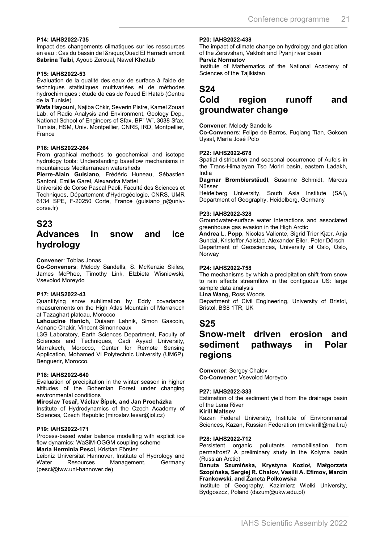#### **P14: IAHS2022-735**

Impact des changements climatiques sur les ressources en eau : Cas du bassin de l' Oued El Harrach amont **Sabrina Taibi**, Ayoub Zeroual, Nawel Khettab

#### **P15: IAHS2022-53**

Évaluation de la qualité des eaux de surface à l'aide de techniques statistiques multivariées et de méthodes hydrochimiques : étude de cas de l'oued El Hatab (Centre de la Tunisie)

**Wafa Hayouni**, Najiba Chkir, Severin Pistre, Kamel Zouari Lab. of Radio Analysis and Environment, Geology Dep., National School of Engineers of Sfax, BP" W", 3038 Sfax, Tunisia, HSM, Univ. Montpellier, CNRS, IRD, Montpellier, France

#### **P16: IAHS2022-264**

From graphical methods to geochemical and isotope hydrology tools: Understanding baseflow mechanisms in mountainous Mediterranean watersheds

**Pierre-Alain Guisiano**, Frédéric Huneau, Sébastien Santoni, Emilie Garel, Alexandra Mattei

Université de Corse Pascal Paoli, Faculté des Sciences et Techniques, Département d'Hydrogéologie, CNRS, UMR 6134 SPE, F-20250 Corte, France (guisiano\_p@univcorse.fr)

#### **S23**

### **Advances in snow and ice hydrology**

**Convener**: Tobias Jonas

**Co-Conveners**: Melody Sandells, S. McKenzie Skiles, James McPhee, Timothy Link, Elzbieta Wisniewski, Vsevolod Moreydo

#### **P17: IAHS2022-43**

Quantifying snow sublimation by Eddy covariance measurements on the High Atlas Mountain of Marrakech at Tazaghart plateau, Morocco

**Lahoucine Hanich**, Ouiaam Lahnik, Simon Gascoin, Adnane Chakir, Vincent Simonneaux

L3G Laboratory, Earth Sciences Department, Faculty of Sciences and Techniques, Cadi Ayyad University, Marrakech, Morocco, Center for Remote Sensing Application, Mohamed VI Polytechnic University (UM6P), Benguerir, Morocco.

#### **P18: IAHS2022-640**

Evaluation of precipitation in the winter season in higher altitudes of the Bohemian Forest under changing environmental conditions

**Miroslav Tesař, Václav Šípek, and Jan Procházka** Institute of Hydrodynamics of the Czech Academy of Sciences, Czech Republic (miroslav.tesar@iol.cz)

#### **P19: IAHS2022-171**

Process-based water balance modelling with explicit ice flow dynamics: WaSiM-OGGM coupling scheme **María Herminia Pesci**, Kristian Förster

Leibniz Universität Hannover, Institute of Hydrology and Water Resources Management, Germany (pesci@iww.uni-hannover.de)

#### **P20: IAHS2022-438**

The impact of climate change on hydrology and glaciation of the Zeravshan, Vakhsh and Pyanj river basin **Parviz Normatov**

Institute of Mathematics of the National Academy of Sciences of the Tajikistan

#### **S24**

### **Cold region runoff and groundwater change**

#### **Convener**: Melody Sandells

**Co-Conveners**: Felipe de Barros, Fuqiang Tian, Gokcen Uysal, María José Polo

#### **P22: IAHS2022-678**

Spatial distribution and seasonal occurrence of Aufeis in the Trans-Himalayan Tso Moriri basin, eastern Ladakh, India

**Dagmar Brombierstäudl**, Susanne Schmidt, Marcus Nüsser

Heidelberg University, South Asia Institute (SAI), Department of Geography, Heidelberg, Germany

#### **P23: IAHS2022-328**

Groundwater-surface water interactions and associated greenhouse gas evasion in the High Arctic

**Andrea L. Popp**, Nicolas Valiente, Sigrid Trier Kjær, Anja Sundal, Kristoffer Aalstad, Alexander Eiler, Peter Dörsch Department of Geosciences, University of Oslo, Oslo, **Norway** 

#### **P24: IAHS2022-758**

The mechanisms by which a precipitation shift from snow to rain affects streamflow in the contiguous US: large sample data analysis

**Lina Wang**, Ross Woods

Department of Civil Engineering, University of Bristol, Bristol, BS8 1TR, UK

### **S25**

### **Snow-melt driven erosion and sediment pathways in Polar regions**

**Convener**: Sergey Chalov **Co-Convener**: Vsevolod Moreydo

#### **P27: IAHS2022-333**

Estimation of the sediment yield from the drainage basin of the Lena River

#### **Kirill Maltsev**

Kazan Federal University, Institute of Environmental Sciences, Kazan, Russian Federation (mlcvkirill@mail.ru)

#### **P28: IAHS2022-712**

Persistent organic pollutants remobilisation from permafrost? A preliminary study in the Kolyma basin (Russian Arctic)

#### **Danuta Szumińska, Krystyna Kozioł, Małgorzata Szopińska, Sergiej R. Chalov, Vasilii A. Efimov, Marcin Frankowski, and Żaneta Polkowska**

Institute of Geography, Kazimierz Wielki University, Bydgoszcz, Poland (dszum@ukw.edu.pl)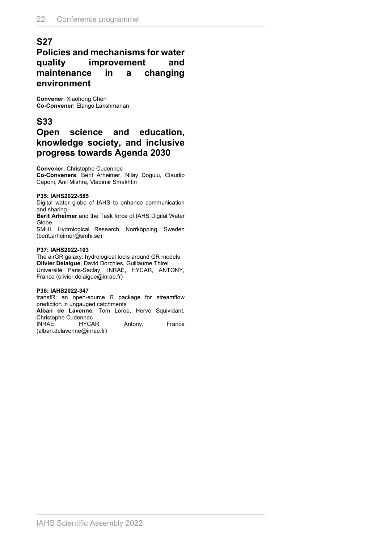### **S27**

### **Policies and mechanisms for water quality improvement and maintenance in a changing environment**

**Convener**: Xiaohong Chen **Co-Convener**: Elango Lakshmanan

### **S33**

### **Open science and education, knowledge society, and inclusive progress towards Agenda 2030**

**Convener**: Christophe Cudennec

**Co-Conveners**: Berit Arheimer, Nilay Dogulu, Claudio Caponi, Anil Mishra, Vladimir Smakhtin

#### **P35: IAHS2022-585**

Digital water globe of IAHS to enhance communication and sharing

**Berit Arheimer** and the Task force of IAHS Digital Water Globe

SMHI, Hydrological Research, Norrköpping, Sweden (berit.arheimer@smhi.se)

#### **P37: IAHS2022-103**

The airGR galaxy: hydrological tools around GR models **Olivier Delaigue**, David Dorchies, Guillaume Thirel Université Paris-Saclay, INRAE, HYCAR, ANTONY, France (olivier.delaigue@inrae.fr)

#### **P38: IAHS2022-347**

transfR: an open-source R package for streamflow prediction in ungauged catchments

**Alban de Lavenne**, Tom Loree, Hervé Squividant, Christophe Cudennec

INRAE, HYCAR, Antony, France (alban.delavenne@inrae.fr)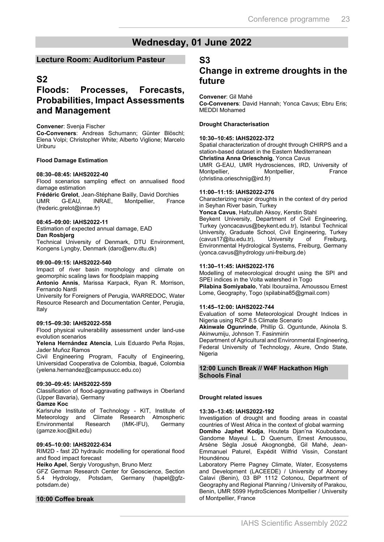### **Wednesday, 01 June 2022**

#### **Lecture Room: Auditorium Pasteur**

### **S2**

### **Floods: Processes, Forecasts, Probabilities, Impact Assessments and Management**

#### **Convener**: Svenja Fischer

**Co-Conveners**: Andreas Schumann; Günter Blöschl; Elena Volpi; Christopher White; Alberto Viglione; Marcelo Uriburu

#### **Flood Damage Estimation**

#### **08:30–08:45: IAHS2022-40**

Flood scenarios sampling effect on annualised flood damage estimation

**Frédéric Grelot**, Jean-Stéphane Bailly, David Dorchies Montpellier, (frederic.grelot@inrae.fr)

#### **08:45–09:00: IAHS2022-11**

Estimation of expected annual damage, EAD

#### **Dan Rosbjerg**

Technical University of Denmark, DTU Environment, Kongens Lyngby, Denmark (daro@env.dtu.dk)

#### **09:00–09:15: IAHS2022-540**

Impact of river basin morphology and climate on geomorphic scaling laws for floodplain mapping

**Antonio Annis**, Marissa Karpack, Ryan R. Morrison, Fernando Nardi

University for Foreigners of Perugia, WARREDOC, Water Resource Research and Documentation Center, Perugia, Italy

#### **09:15–09:30: IAHS2022-558**

Flood physical vulnerability assessment under land-use evolution scenarios

**Yelena Hernández Atencia**, Luis Eduardo Peña Rojas, Jader Muñoz Ramos

Civil Engineering Program, Faculty of Engineering, Universidad Cooperativa de Colombia, Ibagué, Colombia (yelena.hernandez@campusucc.edu.co)

#### **09:30–09:45: IAHS2022-559**

Classification of flood-aggravating pathways in Oberland (Upper Bavaria), Germany

**Gamze Koc**

Karlsruhe Institute of Technology - KIT, Institute of Meteorology and Climate Research Atmospheric Environmental Research (IMK-IFU), Germany (gamze.koc@kit.edu)

#### **09:45–10:00: IAHS2022-634**

RIM2D - fast 2D hydraulic modelling for operational flood and flood impact forecast

**Heiko Apel**, Sergiy Vorogushyn, Bruno Merz

GFZ German Research Center for Geoscience, Section 5.4 Hydrology, Potsdam, Germany (hapel@gfzpotsdam.de)

#### **10:00 Coffee break**

#### **S3**

### **Change in extreme droughts in the future**

### **Convener**: Gil Mahé

**Co-Conveners**: David Hannah; Yonca Cavus; Ebru Eris; MEDDI Mohamed

#### **Drought Characterisation**

#### **10:30–10:45: IAHS2022-372**

Spatial characterization of drought through CHIRPS and a station-based dataset in the Eastern Mediterranean **Christina Anna Orieschnig**, Yonca Cavus

UMR G-EAU, UMR Hydrosciences, IRD, University of Montpellier, Montpellier, France (christina.orieschnig@ird.fr)

#### **11:00–11:15: IAHS2022-276**

Characterizing major droughts in the context of dry period in Seyhan River basin, Turkey

**Yonca Cavus**, Hafzullah Aksoy, Kerstin Stahl

Beykent University, Department of Civil Engineering, Turkey (yoncacavus@beykent.edu.tr), Istanbul Technical University, Graduate School, Civil Engineering, Turkey<br>(cavus17@itu.edu.tr), University of Freiburg, (cavus17@itu.edu.tr), Environmental Hydrological Systems, Freiburg, Germany (yonca.cavus@hydrology.uni-freiburg.de)

#### **11:30–11:45: IAHS2022-176**

Modelling of meteorological drought using the SPI and SPEI indices in the Volta watershed in Togo

**Pilabina Somiyabalo**, Yabi Ibouraïma, Amoussou Ernest Lome, Geography, Togo (spilabina85@gmail.com)

#### **11:45–12:00: IAHS2022-744**

Evaluation of some Meteorological Drought Indices in Nigeria using RCP 8.5 Climate Scenario

**Akinwale Ogunrinde**, Phillip G. Oguntunde, Akinola S. Akinwumiju, Johnson T. Fasinmirin

Department of Agricultural and Environmental Engineering, Federal University of Technology, Akure, Ondo State, Nigeria

#### **12:00 Lunch Break // W4F Hackathon High Schools Final**

#### **Drought related issues**

#### **13:30–13:45: IAHS2022-192**

Investigation of drought and flooding areas in coastal countries of West Africa in the context of global warming **Domiho Japhet Kodja**, Houteta Djan'na Koubodana, Gandome Mayeul L. D Quenum, Ernest Amoussou, Arsène Sègla Josué Akognongbé, Gil Mahé, Jean-Emmanuel Paturel, Expédit Wilfrid Vissin, Constant Houndénou

Laboratory Pierre Pagney Climate, Water, Ecosystems and Development (LACEEDE) / University of Abomey Calavi (Benin), 03 BP 1112 Cotonou, Department of Geography and Regional Planning / University of Parakou, Benin, UMR 5599 HydroSciences Montpellier / University of Montpellier, France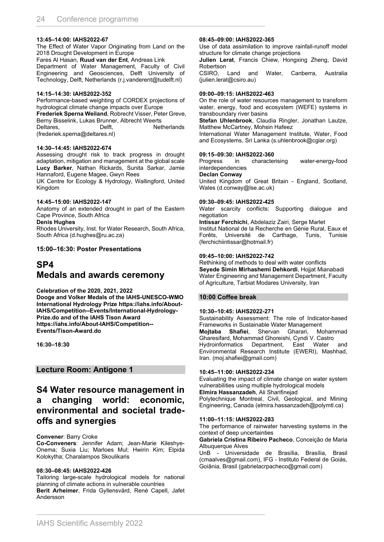#### **13:45–14:00: IAHS2022-67**

The Effect of Water Vapor Originating from Land on the 2018 Drought Development in Europe

Fares Al Hasan, **Ruud van der Ent**, Andreas Link

Department of Water Management, Faculty of Civil Engineering and Geosciences, Delft University of Technology, Delft, Netherlands (r.j.vanderent@tudelft.nl)

#### **14:15–14:30: IAHS2022-352**

Performance-based weighting of CORDEX projections of hydrological climate change impacts over Europe **Frederiek Sperna Weiland**, Robrecht Visser, Peter Greve, Berny Bisselink, Lukas Brunner, Albrecht Weerts Deltares, Delft, Netherlands (frederiek.sperna@deltares.nl)

#### **14:30–14:45: IAHS2022-674**

Assessing drought risk to track progress in drought adaptation, mitigation and management at the global scale **Lucy Barker**, Nathan Rickards, Sunita Sarkar, Jamie Hannaford, Eugene Magee, Gwyn Rees

UK Centre for Ecology & Hydrology, Wallingford, United Kingdom

#### **14:45–15:00: IAHS2022-147**

Anatomy of an extended drought in part of the Eastern Cape Province, South Africa

**Denis Hughes**

Rhodes University, Inst. for Water Research, South Africa, South Africa (d.hughes@ru.ac.za)

#### **15:00–16:30: Poster Presentations**

### **SP4 Medals and awards ceremony**

#### **Celebration of the 2020, 2021, 2022**

**Dooge and Volker Medals of the IAHS-UNESCO-WMO International Hydrology Prize https://iahs.info/About-IAHS/Competition--Events/International-Hydrology-Prize.do and of the IAHS Tison Award https://iahs.info/About-IAHS/Competition-- Events/Tison-Award.do**

**16:30–18:30**

**Lecture Room: Antigone 1**

### **S4 Water resource management in a changing world: economic, environmental and societal tradeoffs and synergies**

#### **Convener**: Barry Croke

**Co-Conveners**: Jennifer Adam; Jean-Marie Kileshye-Onema; Suxia Liu; Marloes Mul; Hwirin Kim; Elpida Kolokytha; Charalampos Skoulikaris

#### **08:30–08:45: IAHS2022-426**

Tailoring large-scale hydrological models for national planning of climate actions in vulnerable countries **Berit Arheimer**, Frida Gyllensvärd, René Capell, Jafet Andersson

#### **08:45–09:00: IAHS2022-365**

Use of data assimilation to improve rainfall-runoff model structure for climate change projections

**Julien Lerat**, Francis Chiew, Hongxing Zheng, David Robertson

CSIRO, Land and Water, Canberra, Australia (julien.lerat@csiro.au)

#### **09:00–09:15: IAHS2022-463**

On the role of water resources management to transform water, energy, food and ecosystem (WEFE) systems in transboundary river basins

**Stefan Uhlenbrook**, Claudia Ringler, Jonathan Lautze, Matthew McCartney, Mohsin Hafeez

International Water Management Institute, Water, Food and Ecosystems, Sri Lanka (s.uhlenbrook@cgiar.org)

#### **09:15–09:30: IAHS2022-360**

Progress in characterising water-energy-food interdependencies

#### **Declan Conway**

United Kingdom of Great Britain - England, Scotland, Wales (d.conway@lse.ac.uk)

#### **09:30–09:45: IAHS2022-425**

Water scarcity conflicts: Supporting dialogue and negotiation

**Intissar Ferchichi**, Abdelaziz Zairi, Serge Marlet

Institut National de la Recherche en Génie Rural, Eaux et Forêts, Université de Carthage, Tunis, Tunisie (ferchichiintissar@hotmail.fr)

#### **09:45–10:00: IAHS2022-742**

Rethinking of methods to deal with water conflicts **Seyede Simin Mirhashemi Dehkordi**, Hojjat Mianabadi Water Engineering and Management Department, Faculty of Agriculture, Tarbiat Modares University, Iran

#### **10:00 Coffee break**

#### **10:30–10:45: IAHS2022-271**

Sustainability Assessment: The role of Indicator-based Frameworks in Sustainable Water Management **Mojtaba Shafiei**, Shervan Gharari, Mohammad Gharesifard, Mohammad Ghoreishi, Cyndi V. Castro Hydroinformatics Department, East Water and Environmental Research Institute (EWERI), Mashhad, Iran. (moj.shafiei@gmail.com)

#### **10:45–11:00: IAHS2022-234**

Evaluating the impact of climate change on water system vulnerabilities using multiple hydrological models **Elmira Hassanzadeh**, Ali Sharifinejad Polytechnique Montreal, Civil, Geological, and Mining Engineering, Canada (elmira.hassanzadeh@polymtl.ca)

#### **11:00–11:15: IAHS2022-283**

The performance of rainwater harvesting systems in the context of deep uncertainties

**Gabriela Cristina Ribeiro Pacheco**, Conceição de Maria Albuquerque Alves

UnB - Universidade de Brasília, Brasília, Brasil (cmaalves@gmail.com), IFG - Instituto Federal de Goiás, Goiânia, Brasil (gabrielacrpacheco@gmail.com)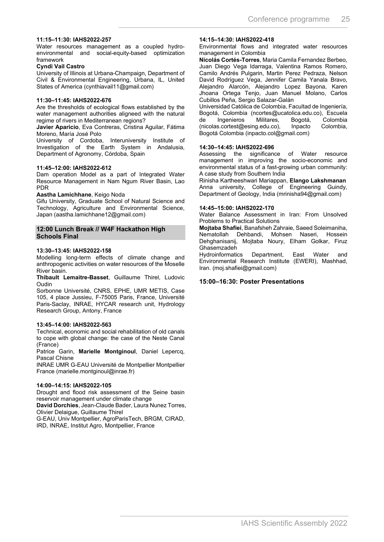#### **11:15–11:30: IAHS2022-257**

Water resources management as a coupled hydroenvironmental and social-equity-based optimization framework

#### **Cyndi Vail Castro**

University of Illinois at Urbana-Champaign, Department of Civil & Environmental Engineering, Urbana, IL, United States of America (cynthiavail11@gmail.com)

#### **11:30–11:45: IAHS2022-676**

Are the thresholds of ecological flows established by the water management authorities aligneed with the natural regime of rivers in Mediterranean regions?

**Javier Aparicio**, Eva Contreras, Cristina Aguilar, Fátima Moreno, María José Polo

University of Cordoba, Interuniversity Institute of Investigation of the Earth System in Andalusia, Department of Agronomy, Córdoba, Spain

#### **11:45–12:00: IAHS2022-612**

Dam operation Model as a part of Integrated Water Resource Management in Nam Ngum River Basin, Lao PDR

#### **Aastha Lamichhane**, Keigo Noda

Gifu University, Graduate School of Natural Science and Technology, Agriculture and Environmental Science, Japan (aastha.lamichhane12@gmail.com)

#### **12:00 Lunch Break // W4F Hackathon High Schools Final**

#### **13:30–13:45: IAHS2022-158**

Modelling long-term effects of climate change and anthropogenic activities on water resources of the Moselle River basin.

**Thibault Lemaitre-Basset**, Guillaume Thirel, Ludovic Oudin

Sorbonne Université, CNRS, EPHE, UMR METIS, Case 105, 4 place Jussieu, F-75005 Paris, France, Université Paris-Saclay, INRAE, HYCAR research unit, Hydrology Research Group, Antony, France

#### **13:45–14:00: IAHS2022-563**

Technical, economic and social rehabilitation of old canals to cope with global change: the case of the Neste Canal (France)

Patrice Garin, **Marielle Montginoul**, Daniel Lepercq, Pascal Chisne

INRAE UMR G-EAU Université de Montpellier Montpellier France (marielle.montginoul@inrae.fr)

#### **14:00–14:15: IAHS2022-105**

Drought and flood risk assessment of the Seine basin reservoir management under climate change

**David Dorchies**, Jean-Claude Bader, Laura Nunez Torres, Olivier Delaigue, Guillaume Thirel

G-EAU, Univ Montpellier, AgroParisTech, BRGM, CIRAD, IRD, INRAE, Institut Agro, Montpellier, France

#### **14:15–14:30: IAHS2022-418**

Environmental flows and integrated water resources management in Colombia

**Nicolás Cortés-Torres**, Maria Camila Fernandez Berbeo, Juan Diego Vega Idarraga, Valentina Ramos Romero, Camilo Andrés Pulgarin, Martin Perez Pedraza, Nelson David Rodríguez Vega, Jennifer Camila Yanala Bravo, Alejandro Alarcón, Alejandro Lopez Bayona, Karen Jhoana Ortega Tenjo, Juan Manuel Molano, Carlos Cubillos Peña, Sergio Salazar-Galán

Universidad Católica de Colombia, Facultad de Ingeniería, Bogotá, Colombia (ncortes@ucatolica.edu.co), Escuela Ingenieros Militares, Bogotá, Colombia<br>s.cortest@esing.edu.co), Inpacto Colombia,  $(nicolas.cortest@esing.edu.co)$ , Bogotá Colombia (inpacto.col@gmail.com)

#### **14:30–14:45: IAHS2022-696**

Assessing the significance of Water resource management in improving the socio-economic and environmental status of a fast-growing urban community: A case study from Southern India

Rinisha Kartheeshwari Mariappan, **Elango Lakshmanan** Anna university, College of Engineering Guindy, Department of Geology, India (mrinisha94@gmail.com)

#### **14:45–15:00: IAHS2022-170**

Water Balance Assessment in Iran: From Unsolved Problems to Practical Solutions

**Mojtaba Shafiei**, Banafsheh Zahraie, Saeed Soleimaniha, Nematollah Dehbandi, Mohsen Naseri, Hossein Dehghanisanij, Mojtaba Noury, Elham Golkar, Firuz Ghasemzadeh

Hydroinformatics Department, East Water and Environmental Research Institute (EWERI), Mashhad, Iran. (moj.shafiei@gmail.com)

#### **15:00–16:30: Poster Presentations**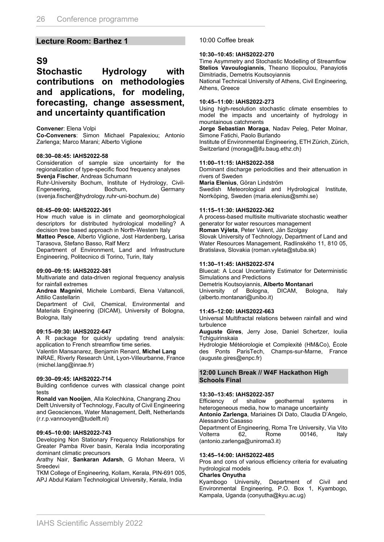#### **Lecture Room: Barthez 1**

### **S9**

**Stochastic Hydrology with contributions on methodologies and applications, for modeling, forecasting, change assessment, and uncertainty quantification**

**Convener**: Elena Volpi

**Co-Conveners**: Simon Michael Papalexiou; Antonio Zarlenga; Marco Marani; Alberto Viglione

#### **08:30–08:45: IAHS2022-58**

Consideration of sample size uncertainty for the regionalization of type-specific flood frequency analyses **Svenja Fischer**, Andreas Schumann

Ruhr-University Bochum, Institute of Hydrology, Civil-Engeneering, Bochum, Germany (svenja.fischer@hydrology.ruhr-uni-bochum.de)

#### **08:45–09:00: IAHS2022-361**

How much value is in climate and geomorphological descriptors for distributed hydrological modelling? A decision tree based approach in North-Western Italy

**Matteo Pesce**, Alberto Viglione, Jost Hardenberg, Larisa Tarasova, Stefano Basso, Ralf Merz

Department of Environment, Land and Infrastructure Engineering, Politecnico di Torino, Turin, Italy

#### **09:00–09:15: IAHS2022-381**

Multivariate and data-driven regional frequency analysis for rainfall extremes

**Andrea Magnini**, Michele Lombardi, Elena Valtancoli, Attilio Castellarin

Department of Civil, Chemical, Environmental and Materials Engineering (DICAM), University of Bologna, Bologna, Italy

#### **09:15–09:30: IAHS2022-647**

A R package for quickly updating trend analysis: application to French streamflow time series.

Valentin Mansanarez, Benjamin Renard, **Michel Lang** INRAE, Riverly Research Unit, Lyon-Villeurbanne, France (michel.lang@inrae.fr)

#### **09:30–09:45: IAHS2022-714**

Building confidence curves with classical change point tests

**Ronald van Nooijen**, Alla Kolechkina, Changrang Zhou Delft University of Technology, Faculty of Civil Engineering and Geosciences, Water Management, Delft, Netherlands (r.r.p.vannooyen@tudelft.nl)

#### **09:45–10:00: IAHS2022-743**

Developing Non Stationary Frequency Relationships for Greater Pamba River basin, Kerala India incorporating dominant climatic precursors

Arathy Nair, **Sankaran Adarsh**, G Mohan Meera, Vi **Sreedevi** 

TKM College of Engineering, Kollam, Kerala, PIN-691 005, APJ Abdul Kalam Technological University, Kerala, India

#### 10:00 Coffee break

#### **10:30–10:45: IAHS2022-270**

Time Asymmetry and Stochastic Modelling of Streamflow **Stelios Vavoulogiannis**, Theano Iliopoulou, Panayiotis Dimitriadis, Demetris Koutsoyiannis

National Technical University of Athens, Civil Engineering, Athens, Greece

#### **10:45–11:00: IAHS2022-273**

Using high-resolution stochastic climate ensembles to model the impacts and uncertainty of hydrology in mountainous catchments

**Jorge Sebastian Moraga**, Nadav Peleg, Peter Molnar, Simone Fatichi, Paolo Burlando

Institute of Environmental Engineering, ETH Zürich, Zürich, Switzerland (moraga@ifu.baug.ethz.ch)

#### **11:00–11:15: IAHS2022-358**

Dominant discharge periodicities and their attenuation in rivers of Sweden

**Maria Elenius**, Göran Lindström

Swedish Meteorological and Hydrological Institute, Norrköping, Sweden (maria.elenius@smhi.se)

#### **11:15–11:30: IAHS2022-362**

A process-based multisite multivariate stochastic weather generator for water resources management

**Roman Výleta**, Peter Valent, Ján Szolgay Slovak University of Technology, Department of Land and Water Resources Management, Radlinského 11, 810 05, Bratislava, Slovakia (roman.vyleta@stuba.sk)

#### **11:30–11:45: IAHS2022-574**

Bluecat: A Local Uncertainty Estimator for Deterministic Simulations and Predictions Demetris Koutsoyiannis, **Alberto Montanari** University of Bologna, DICAM, Bologna, Italy

(alberto.montanari@unibo.it)

#### **11:45–12:00: IAHS2022-663**

Universal Multifractal relations between rainfall and wind turbulence

**Auguste Gires**, Jerry Jose, Daniel Schertzer, Ioulia Tchiguirinskaia

Hydrologie Météorologie et Complexité (HM&Co), École des Ponts ParisTech, Champs-sur-Marne, France (auguste.gires@enpc.fr)

#### **12:00 Lunch Break // W4F Hackathon High Schools Final**

#### **13:30–13:45: IAHS2022-357**

Efficiency of shallow geothermal systems in heterogeneous media, how to manage uncertainty

**Antonio Zarlenga**, Mariaines Di Dato, Claudia D'Angelo, Alessandro Casasso

Department of Engineering, Roma Tre University, Via Vito<br>Volterra 62. Rome 00146, Italy Volterra 62, Rome 00146, Italy (antonio.zarlenga@uniroma3.it)

#### **13:45–14:00: IAHS2022-485**

Pros and cons of various efficiency criteria for evaluating hydrological models

**Charles Onyutha**<br>Kyambogo University, Department of Civil and Environmental Engineering, P.O. Box 1, Kyambogo, Kampala, Uganda (conyutha@kyu.ac.ug)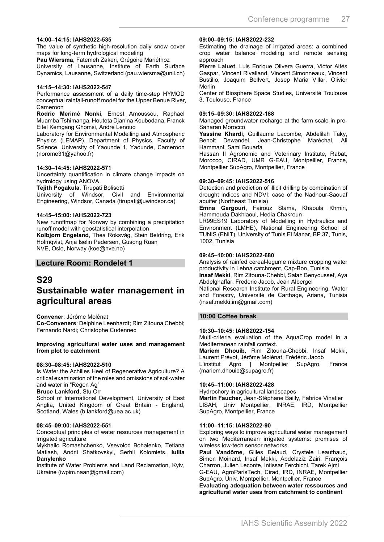#### **14:00–14:15: IAHS2022-535**

The value of synthetic high-resolution daily snow cover maps for long-term hydrological modeling

**Pau Wiersma**, Fatemeh Zakeri, Grégoire Mariéthoz

University of Lausanne, Institute of Earth Surface Dynamics, Lausanne, Switzerland (pau.wiersma@unil.ch)

#### **14:15–14:30: IAHS2022-547**

Performance assessment of a daily time-step HYMOD conceptual rainfall-runoff model for the Upper Benue River, Cameroon

**Rodric Merimé Nonki**, Ernest Amoussou, Raphael Muamba Tshimanga, Houteta Djan'na Koubodana, Franck Eitel Kemgang Ghomsi, André Lenouo

Laboratory for Environmental Modelling and Atmospheric Physics (LEMAP), Department of Physics, Faculty of Science, University of Yaounde 1, Yaounde, Cameroon (norome31@yahoo.fr)

#### **14:30–14:45: IAHS2022-571**

Uncertainty quantification in climate change impacts on hydrology using ANOVA

**Tejith Pogakula**, Tirupati Bolisetti

University of Windsor, Civil and Environmental Engineering, Windsor, Canada (tirupati@uwindsor.ca)

#### **14:45–15:00: IAHS2022-723**

New runoffmap for Norway by combining a precipitation runoff model with geostatistical interpolation **Kolbjørn Engeland**, Thea Roksvåg, Stein Beldring, Erik Holmqvist, Anja Iselin Pedersen, Gusong Ruan NVE, Oslo, Norway (koe@nve.no)

#### **Lecture Room: Rondelet 1**

### **S29**

## **Sustainable water management in agricultural areas**

**Convener**: Jérôme Molénat **Co-Conveners**: Delphine Leenhardt; Rim Zitouna Chebbi; Fernando Nardi; Christophe Cudennec

#### **Improving agricultural water uses and management from plot to catchment**

#### **08:30–08:45: IAHS2022-510**

Is Water the Achilles Heel of Regenerative Agriculture? A critical examination of the roles and omissions of soil-water and water in "Regen Ag"

**Bruce Lankford**, Stu Orr

School of International Development, University of East Anglia, United Kingdom of Great Britain - England, Scotland, Wales (b.lankford@uea.ac.uk)

#### **08:45–09:00: IAHS2022-551**

Conceptual principles of water resources management in irrigated agriculture

Mykhailo Romashchenko, Vsevolod Bohaienko, Tetiana Matiash, Andrii Shatkovskyi, Serhii Kolomiets, **Iuliia Danylenko**

Institute of Water Problems and Land Reclamation, Kyiv, Ukraine (iwpim.naan@gmail.com)

#### **09:00–09:15: IAHS2022-232**

Estimating the drainage of irrigated areas: a combined crop water balance modeling and remote sensing approach

**Pierre Laluet**, Luis Enrique Olivera Guerra, Victor Altés Gaspar, Vincent Rivalland, Vincent Simonneaux, Vincent Bustillo, Joaquim Bellvert, Josep Maria Villar, Olivier Merlin

Center of Biosphere Space Studies, Université Toulouse 3, Toulouse, France

#### **09:15–09:30: IAHS2022-188**

Managed groundwater recharge at the farm scale in pre-Saharan Morocco

**Yassine Khardi**, Guillaume Lacombe, Abdelilah Taky, Benoit Dewandel, Jean-Christophe Maréchal, Ali Hammani, Sami Bouarfa

Hassan II Agronomic and Veterinary Institute, Rabat, Morocco, CIRAD, UMR G-EAU, Montpellier, France, Montpellier SupAgro, Montpellier, France

#### **09:30–09:45: IAHS2022-516**

Detection and prediction of illicit drilling by combination of drought indices and NDVI: case of the Nadhour-Saouaf aquifer (Northeast Tunisia)

**Emna Gargouri**, Fairouz Slama, Khaoula Khmiri, Hammouda Dakhlaoui, Hedia Chakroun

LR99ES19 Laboratory of Modelling in Hydraulics and Environment (LMHE), National Engineering School of TUNIS (ENIT), University of Tunis El Manar, BP 37, Tunis, 1002, Tunisia

#### **09:45–10:00: IAHS2022-680**

Analysis of rainfed cereal-legume mixture cropping water productivity in Lebna catchment, Cap-Bon, Tunisia.

**Insaf Mekki**, Rim Zitouna-Chebbi, Salah Benyoussef, Aya Abdelghaffar, Frederic Jacob, Jean Albergel

National Research Institute for Rural Engineering, Water and Forestry, Université de Carthage, Ariana, Tunisia (insaf.mekki.im@gmail.com)

#### **10:00 Coffee break**

#### **10:30–10:45: IAHS2022-154**

Multi-criteria evaluation of the AquaCrop model in a Mediterranean rainfall context.

**Mariem Dhouib**, Rim Zitouna-Chebbi, Insaf Mekki, Laurent Prévot, Jérôme Molénat, Frédéric Jacob

L'institut Agro | Montpellier SupAgro, France (mariem.dhouib@supagro.fr)

#### **10:45–11:00: IAHS2022-428**

Hydrochory in agricultural landscapes

**Martin Faucher**, Jean-Stéphane Bailly, Fabrice Vinatier LISAH, Univ Montpellier, INRAE, IRD, Montpellier SupAgro, Montpellier, France

#### **11:00–11:15: IAHS2022-90**

Exploring ways to improve agricultural water management on two Mediterranean irrigated systems: promises of wireless low-tech sensor networks.

**Paul Vandôme**, Gilles Belaud, Crystele Leauthaud, Simon Moinard, Insaf Mekki, Abdelaziz Zairi, François Charron, Julien Leconte, Intissar Ferchichi, Tarek Ajmi G-EAU, AgroParisTech, Cirad, IRD, INRAE, Montpellier SupAgro, Univ. Montpellier, Montpellier, France

**Evaluating adequation between water ressources and agricultural water uses from catchment to continent**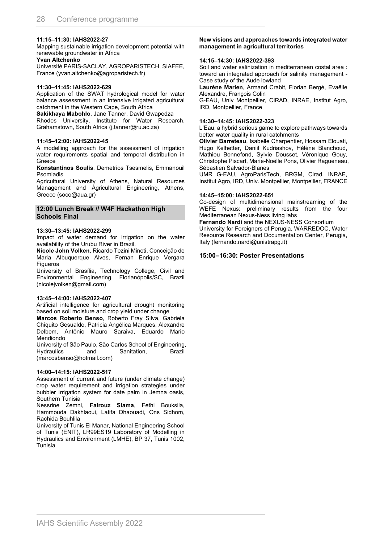#### **11:15–11:30: IAHS2022-27**

Mapping sustainable irrigation development potential with renewable groundwater in Africa

**Yvan Altchenko**

Université PARIS-SACLAY, AGROPARISTECH, SIAFEE, France (yvan.altchenko@agroparistech.fr)

#### **11:30–11:45: IAHS2022-629**

Application of the SWAT hydrological model for water balance assessment in an intensive irrigated agricultural catchment in the Western Cape, South Africa

**Sakikhaya Mabohlo**, Jane Tanner, David Gwapedza Rhodes University, Institute for Water Research, Grahamstown, South Africa (j.tanner@ru.ac.za)

#### **11:45–12:00: IAHS2022-45**

A modelling approach for the assessment of irrigation water requirements spatial and temporal distribution in Greece

**Konstantinos Soulis**, Demetrios Tsesmelis, Emmanouil Psomiadis

Agricultural University of Athens, Natural Resources Management and Agricultural Engineering, Athens, Greece (soco@aua.gr)

#### **12:00 Lunch Break // W4F Hackathon High Schools Final**

#### **13:30–13:45: IAHS2022-299**

Impact of water demand for irrigation on the water availability of the Urubu River in Brazil.

**Nicole John Volken**, Ricardo Tezini Minoti, Conceição de Maria Albuquerque Alves, Fernan Enrique Vergara Figueroa

University of Brasília, Technology College, Civil and Environmental Engineering, Florianópolis/SC, Brazil (nicolejvolken@gmail.com)

#### **13:45–14:00: IAHS2022-407**

Artificial intelligence for agricultural drought monitoring based on soil moisture and crop yield under change

**Marcos Roberto Benso**, Roberto Fray Silva, Gabriela Chiquito Gesualdo, Patricia Angélica Marques, Alexandre Delbem, Antônio Mauro Saraiva, Eduardo Mario Mendiondo

University of São Paulo, São Carlos School of Engineering, Hydraulics and Sanitation, Brazil (marcosbenso@hotmail.com)

#### **14:00–14:15: IAHS2022-517**

Assessment of current and future (under climate change) crop water requirement and irrigation strategies under bubbler irrigation system for date palm in Jemna oasis, Southern Tunisia

Nessrine Zemni, **Fairouz Slama**, Fethi Bouksila, Hammouda Dakhlaoui, Latifa Dhaouadi, Ons Sidhom, Rachida Bouhlila

University of Tunis El Manar, National Engineering School of Tunis (ENIT), LR99ES19 Laboratory of Modelling in Hydraulics and Environment (LMHE), BP 37, Tunis 1002, Tunisia

#### **New visions and approaches towards integrated water management in agricultural territories**

#### **14:15–14:30: IAHS2022-393**

Soil and water salinization in mediterranean costal area : toward an integrated approach for salinity management - Case study of the Aude lowland

**Laurène Marien**, Armand Crabit, Florian Bergé, Evaëlle Alexandre, François Colin

G-EAU, Univ Montpellier, CIRAD, INRAE, Institut Agro, IRD, Montpellier, France

#### **14:30–14:45: IAHS2022-323**

L'Eau, a hybrid serious game to explore pathways towards better water quality in rural catchments

**Olivier Barreteau**, Isabelle Charpentier, Hossam Elouati, Hugo Kelhetter, Daniil Kudriashov, Hélène Blanchoud, Mathieu Bonnefond, Sylvie Dousset, Véronique Gouy, Christophe Piscart, Marie-Noëlle Pons, Olivier Ragueneau, Sébastien Salvador-Blanes

UMR G-EAU, AgroParisTech, BRGM, Cirad, INRAE, Institut Agro, IRD, Univ. Montpellier, Montpellier, FRANCE

#### **14:45–15:00: IAHS2022-651**

Co-design of multidimensional mainstreaming of the WEFE Nexus: preliminary results from the four Mediterranean Nexus-Ness living labs

**Fernando Nardi** and the NEXUS-NESS Consortium

University for Foreigners of Perugia, WARREDOC, Water Resource Research and Documentation Center, Perugia, Italy (fernando.nardi@unistrapg.it)

#### **15:00–16:30: Poster Presentations**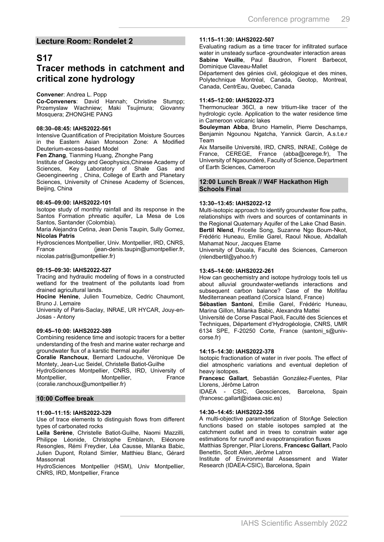#### **Lecture Room: Rondelet 2**

### **S17**

### **Tracer methods in catchment and critical zone hydrology**

#### **Convener**: Andrea L. Popp

**Co-Conveners**: David Hannah; Christine Stumpp; Przemyslaw Wachniew; Maki Tsujimura; Giovanny Mosquera; ZHONGHE PANG

#### **08:30–08:45: IAHS2022-561**

Intensive Quantification of Precipitation Moisture Sources in the Eastern Asian Monsoon Zone: A Modified Deuterium-excess-based Model

**Fen Zhang**, Tianming Huang, Zhonghe Pang

Institute of Geology and Geophysics,Chinese Academy of Sciences, Key Laboratory of Shale Gas and Geoengineering , China, College of Earth and Planetary Sciences, University of Chinese Academy of Sciences, Beijing, China

#### **08:45–09:00: IAHS2022-101**

Isotope study of monthly rainfall and its response in the Santos Formation phreatic aquifer, La Mesa de Los Santos, Santander (Colombia).

Maria Alejandra Cetina, Jean Denis Taupin, Sully Gomez, **Nicolas Patris**

Hydrosciences Montpellier, Univ. Montpellier, IRD, CNRS, France (jean-denis.taupin@umontpellier.fr, nicolas.patris@umontpellier.fr)

#### **09:15–09:30: IAHS2022-527**

Tracing and hydraulic modeling of flows in a constructed wetland for the treatment of the pollutants load from drained agricultural lands.

**Hocine Henine**, Julien Tournebize, Cedric Chaumont, Bruno J. Lemaire

University of Paris-Saclay, INRAE, UR HYCAR, Jouy-en-Josas - Antony

#### **09:45–10:00: IAHS2022-389**

Combining residence time and isotopic tracers for a better understanding of the fresh and marine water recharge and groundwater flux of a karstic thermal aquifer

**Coralie Ranchoux**, Bernard Ladouche, Véronique De Montety, Jean-Luc Seidel, Christelle Batiot-Guilhe

HydroSciences Montpellier, CNRS, IRD, University of Montpellier, (coralie.ranchoux@umontpellier.fr)

#### **10:00 Coffee break**

#### **11:00–11:15: IAHS2022-329**

Use of trace elements to distinguish flows from different types of carbonated rocks

**Leïla Serène**, Christelle Batiot-Guilhe, Naomi Mazzilli, Philippe Léonide, Christophe Emblanch, Eléonore Resongles, Rémi Freydier, Léa Causse, Milanka Babic, Julien Dupont, Roland Simler, Matthieu Blanc, Gérard Massonnat

HydroSciences Montpellier (HSM), Univ Montpellier, CNRS, IRD, Montpellier, France

#### **11:15–11:30: IAHS2022-507**

Evaluating radium as a time tracer for infiltrated surface water in unsteady surface -groundwater interaction areas **Sabine Veuille**, Paul Baudron, Florent Barbecot, Dominique Claveau-Mallet

Département des génies civil, géologique et des mines, Polytechnique Montréal, Canada, Geotop, Montreal, Canada, CentrEau, Quebec, Canada

#### **11:45–12:00: IAHS2022-373**

Thermonuclear 36Cl, a new tritium-like tracer of the hydrologic cycle. Application to the water residence time in Cameroon volcanic lakes

**Souleyman Abba**, Bruno Hamelin, Pierre Deschamps, Benjamin Ngounou Ngatcha, Yannick Garcin, A.s.t.e.r Team

Aix Marseille Université, IRD, CNRS, INRAE, Collège de France, CEREGE, France (abba@cerege.fr), The University of Ngaoundéré, Faculty of Science, Department of Earth Sciences, Cameroon

#### **12:00 Lunch Break // W4F Hackathon High Schools Final**

#### **13:30–13:45: IAHS2022-12**

Multi-isotopic approach to identify groundwater flow paths, relationships with rivers and sources of contaminants in the Regional Quaternary Aquifer of the Lake Chad Basin. **Bertil Nlend**, Fricelle Song, Suzanne Ngo Boum-Nkot, Frédéric Huneau, Emilie Garel, Raoul Nkoue, Abdallah Mahamat Nour, Jacques Etame

University of Douala, Faculté des Sciences, Cameroon (nlendbertil@yahoo.fr)

#### **13:45–14:00: IAHS2022-261**

How can geochemistry and isotope hydrology tools tell us about alluvial groundwater-wetlands interactions and subsequent carbon balance? Case of the Moltifau Mediterranean peatland (Corsica Island, France)

**Sébastien Santoni**, Emilie Garel, Frédéric Huneau, Marina Gillon, Milanka Babic, Alexandra Mattei

Université de Corse Pascal Paoli, Faculté des Sciences et Techniques, Département d'Hydrogéologie, CNRS, UMR 6134 SPE, F-20250 Corte, France (santoni\_s@univcorse.fr)

#### **14:15–14:30: IAHS2022-378**

Isotopic fractionation of water in river pools. The effect of diel atmospheric variations and eventual depletion of heavy isotopes.

**Francesc Gallart**, Sebastián González-Fuentes, Pilar Llorens, Jérôme Latron

IDAEA - CSIC, Geosciences, Barcelona, Spain (francesc.gallart@idaea.csic.es)

#### **14:30–14:45: IAHS2022-356**

A multi-objective parameterization of StorAge Selection functions based on stable isotopes sampled at the catchment outlet and in trees to constrain water age estimations for runoff and evapotranspiration fluxes

Matthias Sprenger, Pilar Llorens, **Francesc Gallart**, Paolo Benettin, Scott Allen, Jérôme Latron

Institute of Environmental Assessment and Water Research (IDAEA-CSIC), Barcelona, Spain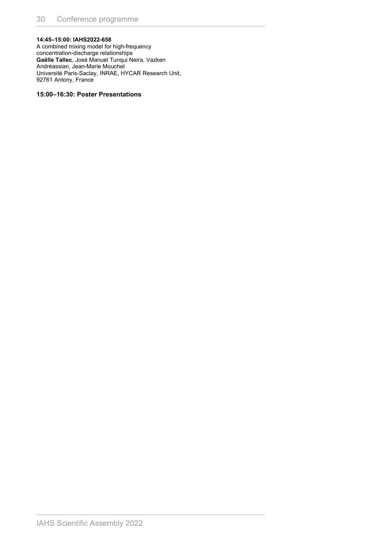#### **14:45–15:00: IAHS2022-658**

A combined mixing model for high-frequency concentration-discharge relationships **Gaëlle Tallec**, José Manuel Tunqui Neira, Vazken Andréassian, Jean-Marie Mouchel Université Paris-Saclay, INRAE, HYCAR Research Unit, 92761 Antony, France

#### **15:00–16:30: Poster Presentations**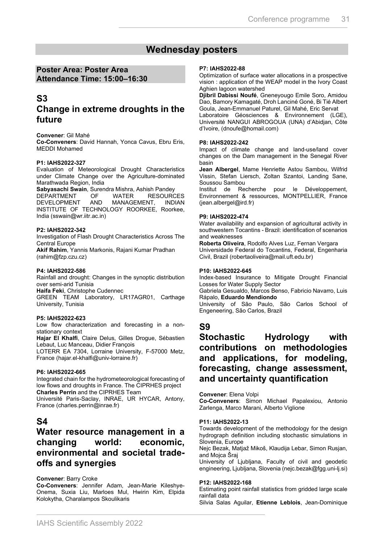### **Wednesday posters**

### **Poster Area: Poster Area Attendance Time: 15:00–16:30**

### **S3**

### **Change in extreme droughts in the future**

#### **Convener**: Gil Mahé

**Co-Conveners**: David Hannah, Yonca Cavus, Ebru Eris, MEDDI Mohamed

#### **P1: IAHS2022-327**

Evaluation of Meteorological Drought Characteristics under Climate Change over the Agriculture-dominated Marathwada Region, India

**Sabyasachi Swain**, Surendra Mishra, Ashish Pandey DEPARTMENT OF WATER RESOURCES<br>DEVELOPMENT AND MANAGEMENT INDIAN MANAGEMENT. INSTITUTE OF TECHNOLOGY ROORKEE, Roorkee, India (sswain@wr.iitr.ac.in)

#### **P2: IAHS2022-342**

Investigation of Flash Drought Characteristics Across The Central Europe

**Akif Rahim**, Yannis Markonis, Rajani Kumar Pradhan (rahim@fzp.czu.cz)

#### **P4: IAHS2022-586**

Rainfall and drought: Changes in the synoptic distribution over semi-arid Tunisia **Haifa Feki**, Christophe Cudennec GREEN TEAM Laboratory, LR17AGR01, Carthage University, Tunisia

#### **P5: IAHS2022-623**

Low flow characterization and forecasting in a nonstationary context

**Hajar El Khalfi**, Claire Delus, Gilles Drogue, Sébastien Lebaut, Luc Manceau, Didier François

LOTERR EA 7304, Lorraine University, F-57000 Metz, France (hajar.el-khalfi@univ-lorraine.fr)

#### **P6: IAHS2022-665**

Integrated chain for the hydrometeorological forecasting of low flows and droughts in France. The CIPRHES project **Charles Perrin** and the CIPRHES Team

Université Paris-Saclay, INRAE, UR HYCAR, Antony, France (charles.perrin@inrae.fr)

### **S4**

### **Water resource management in a changing world: economic, environmental and societal tradeoffs and synergies**

#### **Convener**: Barry Croke

**Co-Conveners**: Jennifer Adam, Jean-Marie Kileshye-Onema, Suxia Liu, Marloes Mul, Hwirin Kim, Elpida Kolokytha, Charalampos Skoulikaris

#### **P7: IAHS2022-88**

Optimization of surface water allocations in a prospective vision : application of the WEAP model in the Ivory Coast Aghien lagoon watershed

**Djibril Dabissi Noufé**, Gneneyougo Emile Soro, Amidou Dao, Bamory Kamagaté, Droh Lanciné Goné, Bi Tié Albert Goula, Jean-Emmanuel Paturel, Gil Mahé, Eric Servat Laboratoire Géosciences & Environnement (LGE), Université NANGUI ABROGOUA (UNA) d'Abidjan, Côte d'Ivoire, (dnoufe@homail.com)

#### **P8: IAHS2022-242**

Impact of climate change and land-use/land cover changes on the Dam management in the Senegal River basin

**Jean Albergel**, Mame Henriette Astou Sambou, Wilfrid Vissin, Stefan Liersch, Zoltan Szantoi, Landing Sane, Soussou Sambou

Institut de Recherche pour le Développement, Environnement & ressources, MONTPELLIER, France (jean.albergel@ird.fr)

#### **P9: IAHS2022-474**

Water availability and expansion of agricultural activity in southwestern Tocantins - Brazil: identification of scenarios and weaknesses

**Roberta Oliveira**, Rodolfo Alves Luz, Fernan Vergara Universidade Federal do Tocantins, Federal, Engenharia Civil, Brazil (robertaoliveira@mail.uft.edu.br)

#### **P10: IAHS2022-645**

Index-based Insurance to Mitigate Drought Financial Losses for Water Supply Sector

Gabriela Gesualdo, Marcos Benso, Fabricio Navarro, Luis Rápalo, **Eduardo Mendiondo**

University of São Paulo, São Carlos School of Engeneering, São Carlos, Brazil

### **S9**

### **Stochastic Hydrology with contributions on methodologies and applications, for modeling, forecasting, change assessment, and uncertainty quantification**

**Convener**: Elena Volpi

**Co-Conveners**: Simon Michael Papalexiou, Antonio Zarlenga, Marco Marani, Alberto Viglione

#### **P11: IAHS2022-13**

Towards development of the methodology for the design hydrograph definition including stochastic simulations in Slovenia, Europe

Nejc Bezak, Matjaž Mikoš, Klaudija Lebar, Simon Rusjan, and Mojca Šraj

University of Ljubljana, Faculty of civil and geodetic engineering, Ljubljana, Slovenia (nejc.bezak@fgg.uni-lj.si)

#### **P12: IAHS2022-168**

Estimating point rainfall statistics from gridded large scale rainfall data

Silvia Salas Aguilar, **Etienne Leblois**, Jean-Dominique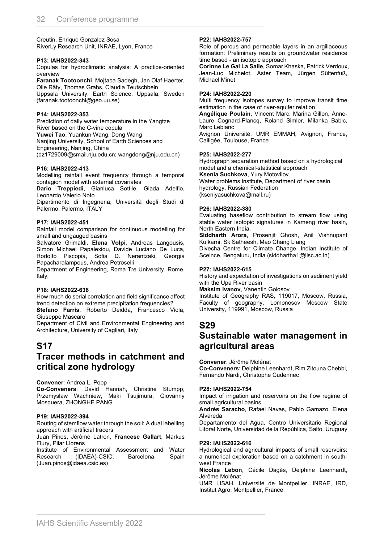Creutin, Enrique Gonzalez Sosa RiverLy Research Unit, INRAE, Lyon, France

#### **P13: IAHS2022-343**

Copulas for hydroclimatic analysis: A practice-oriented overview

**Faranak Tootoonchi**, Mojtaba Sadegh, Jan Olaf Haerter, Olle Räty, Thomas Grabs, Claudia Teutschbein Uppsala University, Earth Science, Uppsala, Sweden (faranak.tootoonchi@geo.uu.se)

#### **P14: IAHS2022-353**

Prediction of daily water temperature in the Yangtze River based on the C-vine copula **Yuwei Tao**, Yuankun Wang, Dong Wang Nanjing University, School of Earth Sciences and Engineering, Nanjing, China (dz1729009@smail.nju.edu.cn; wangdong@nju.edu.cn)

#### **P16: IAHS2022-413**

Modelling rainfall event frequency through a temporal contagion model with external covariates

**Dario Treppiedi**, Gianluca Sottile, Giada Adelfio, Leonardo Valerio Noto

Dipartimento di Ingegneria, Università degli Studi di Palermo, Palermo, ITALY

#### **P17: IAHS2022-451**

Rainfall model comparison for continuous modelling for small and ungauged basins

Salvatore Grimaldi, **Elena Volpi**, Andreas Langousis, Simon Michael Papalexiou, Davide Luciano De Luca, Rodolfo Piscopia, Sofia D. Nerantzaki, Georgia Papacharalampous, Andrea Petroselli

Department of Engineering, Roma Tre University, Rome, Italy;

#### **P18: IAHS2022-636**

How much do serial correlation and field significance affect trend detection on extreme precipitation frequencies?

**Stefano Farris**, Roberto Deidda, Francesco Viola, Giuseppe Mascaro

Department of Civil and Environmental Engineering and Architecture, University of Cagliari, Italy

### **S17**

### **Tracer methods in catchment and critical zone hydrology**

**Convener**: Andrea L. Popp

**Co-Conveners**: David Hannah, Christine Stumpp, Przemyslaw Wachniew, Maki Tsujimura, Giovanny Mosquera, ZHONGHE PANG

#### **P19: IAHS2022-394**

Routing of stemflow water through the soil: A dual labelling approach with artificial tracers

Juan Pinos, Jérôme Latron, **Francesc Gallart**, Markus Flury, Pilar Llorens

Institute of Environmental Assessment and Water Research (IDAEA)-CSIC, Barcelona, Spain (Juan.pinos@idaea.csic.es)

#### **P22: IAHS2022-757**

Role of porous and permeable layers in an argillaceous formation: Preliminary results on groundwater residence time based - an isotopic approach

**Corinne Le Gal La Salle**, Somar Khaska, Patrick Verdoux, Jean-Luc Michelot, Aster Team, Jürgen Sültenfuß, Michael Minet

#### **P24: IAHS2022-220**

Multi frequency isotopes survey to improve transit time estimation in the case of river-aquifer relation

**Angélique Poulain**, Vincent Marc, Marina Gillon, Anne-Laure Cognard-Plancq, Roland Simler, Milanka Babic, Marc Leblanc

Avignon Université, UMR EMMAH, Avignon, France, Calligée, Toulouse, France

#### **P25: IAHS2022-277**

Hydrograph separation method based on a hydrological model and a chemical-statistical approach **Ksenia Suchkova**, Yury Motovilov Water problems institute, Department of river basin hydrology, Russian Federation (kseniyasuchkova@mail.ru)

#### **P26: IAHS2022-380**

Evaluating baseflow contribution to stream flow using stable water isotopic signatures in Kameng river basin, North Eastern India.

**Siddharth Arora**, Prosenjit Ghosh, Anil Vishnupant Kulkarni, Sk Satheesh, Mao Chang Liang

Divecha Centre for Climate Change, Indian Institute of Sceince, Bengaluru, India (siddhartha1@iisc.ac.in)

#### **P27: IAHS2022-615**

History and expectation of investigations on sediment yield with the Upa River basin

**Maksim Ivanov**, Vanentin Golosov

Institute of Geography RAS, 119017, Moscow, Russia, Faculty of geography, Lomonosov Moscow State University, 119991, Moscow, Russia

# **S29**

### **Sustainable water management in agricultural areas**

**Convener**: Jérôme Molénat

**Co-Conveners**: Delphine Leenhardt, Rim Zitouna Chebbi, Fernando Nardi, Christophe Cudennec

#### **P28: IAHS2022-754**

Impact of irrigation and reservoirs on the flow regime of small agricultural basins

**Andrès Saracho**, Rafael Navas, Pablo Gamazo, Elena Alvareda

Departamento del Agua, Centro Universitario Regional Litoral Norte, Universidad de la República, Salto, Uruguay

#### **P29: IAHS2022-616**

Hydrological and agricultural impacts of small reservoirs: a numerical exploration based on a catchment in southwest France

**Nicolas Lebon**, Cécile Dagès, Delphine Leenhardt, Jérôme Molénat

UMR LISAH, Université de Montpellier, INRAE, IRD, Institut Agro, Montpellier, France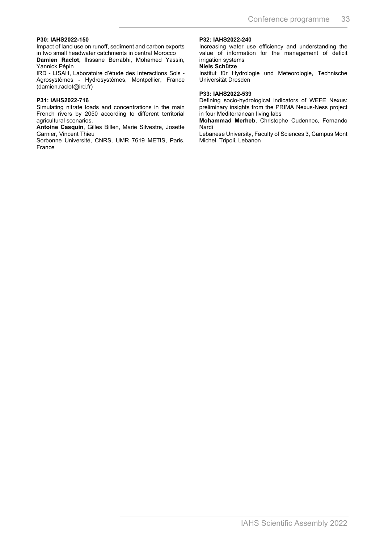#### **P30: IAHS2022-150**

Impact of land use on runoff, sediment and carbon exports in two small headwater catchments in central Morocco

**Damien Raclot**, Ihssane Berrabhi, Mohamed Yassin, Yannick Pépin

IRD - LISAH, Laboratoire d'étude des Interactions Sols - Agrosystèmes - Hydrosystèmes, Montpellier, France (damien.raclot@ird.fr)

#### **P31: IAHS2022-716**

Simulating nitrate loads and concentrations in the main French rivers by 2050 according to different territorial agricultural scenarios.

**Antoine Casquin**, Gilles Billen, Marie Silvestre, Josette Garnier, Vincent Thieu

Sorbonne Université, CNRS, UMR 7619 METIS, Paris, France

#### **P32: IAHS2022-240**

Increasing water use efficiency and understanding the value of information for the management of deficit irrigation systems

#### **Niels Schütze**

Institut für Hydrologie und Meteorologie, Technische Universität Dresden

#### **P33: IAHS2022-539**

Defining socio-hydrological indicators of WEFE Nexus: preliminary insights from the PRIMA Nexus-Ness project in four Mediterranean living labs

**Mohammad Merheb**, Christophe Cudennec, Fernando Nardi

Lebanese University, Faculty of Sciences 3, Campus Mont Michel, Tripoli, Lebanon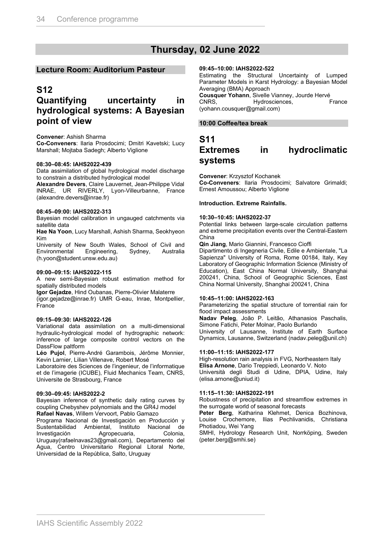### **Thursday, 02 June 2022**

#### **Lecture Room: Auditorium Pasteur**

### **S12**

### **Quantifying uncertainty in hydrological systems: A Bayesian point of view**

#### **Convener**: Ashish Sharma

**Co-Conveners**: Ilaria Prosdocimi; Dmitri Kavetski; Lucy Marshall; Mojtaba Sadegh; Alberto Viglione

#### **08:30–08:45: IAHS2022-439**

Data assimilation of global hydrological model discharge to constrain a distributed hydrological model

**Alexandre Devers**, Claire Lauvernet, Jean-Philippe Vidal INRAE, UR RIVERLY, Lyon-Villeurbanne, France (alexandre.devers@inrae.fr)

#### **08:45–09:00: IAHS2022-313**

Bayesian model calibration in ungauged catchments via satellite data

**Hae Na Yoon**, Lucy Marshall, Ashish Sharma, Seokhyeon Kim

University of New South Wales, School of Civil and<br>Environmental Engineering, Sydney, Australia Environmental (h.yoon@student.unsw.edu.au)

#### **09:00–09:15: IAHS2022-115**

A new semi-Bayesian robust estimation method for spatially distributed models

**Igor Gejadze**, Hind Oubanas, Pierre-Olivier Malaterre

(igor.gejadze@inrae.fr) UMR G-eau, Inrae, Montpellier, **France** 

#### **09:15–09:30: IAHS2022-126**

Variational data assimilation on a multi-dimensional hydraulic-hydrological model of hydrographic network: inference of large composite control vectors on the DassFlow paltform

**Léo Pujol**, Pierre-André Garambois, Jérôme Monnier, Kevin Larnier, Lilian Villenave, Robert Mosé

Laboratoire des Sciences de l'ingenieur, de l'informatique et de l'imagerie (ICUBE), Fluid Mechanics Team, CNRS, Universite de Strasbourg, France

#### **09:30–09:45: IAHS2022-2**

Bayesian inference of synthetic daily rating curves by coupling Chebyshev polynomials and the GR4J model **Rafael Navas**, Willem Vervoort, Pablo Gamazo

Programa Nacional de Investigación en Producción y Sustentabilidad Ambiental, Instituto Nacional de Investigación Agropecuaria, Colonia, Uruguay(rafaelnavas23@gmail.com), Departamento del Agua, Centro Universitario Regional Litoral Norte, Universidad de la República, Salto, Uruguay

#### **09:45–10:00: IAHS2022-522**

Estimating the Structural Uncertainty of Lumped Parameter Models in Karst Hydrology: a Bayesian Model Averaging (BMA) Approach

**Cousquer Yohann**, Sivelle Vianney, Jourde Hervé<br>CNRS, France Hydrosciences, France CNRS, Hydrosciences, (yohann.cousquer@gmail.com)

#### **10:00 Coffee/tea break**

### **S11 Extremes in hydroclimatic systems**

**Convener**: Krzysztof Kochanek

**Co-Conveners**: Ilaria Prosdocimi; Salvatore Grimaldi; Ernest Amoussou; Alberto Viglione

#### **Introduction. Extreme Rainfalls.**

#### **10:30–10:45: IAHS2022-37**

Potential links between large-scale circulation patterns and extreme precipitation events over the Central-Eastern China

**Qin Jiang**, Mario Giannini, Francesco Cioffi

Dipartimento di Ingegneria Civile, Edile e Ambientale, "La Sapienza" University of Roma, Rome 00184, Italy, Key Laboratory of Geographic Information Science (Ministry of Education), East China Normal University, Shanghai 200241, China, School of Geographic Sciences, East China Normal University, Shanghai 200241, China

#### **10:45–11:00: IAHS2022-163**

Parameterizing the spatial structure of torrential rain for flood impact assessments

**Nadav Peleg**, João P. Leitão, Athanasios Paschalis, Simone Fatichi, Peter Molnar, Paolo Burlando

University of Lausanne, Institute of Earth Surface Dynamics, Lausanne, Switzerland (nadav.peleg@unil.ch)

#### **11:00–11:15: IAHS2022-177**

High-resolution rain analysis in FVG, Northeastern Italy **Elisa Arnone**, Dario Treppiedi, Leonardo V. Noto Università degli Studi di Udine, DPIA, Udine, Italy

(elisa.arnone@uniud.it)

#### **11:15–11:30: IAHS2022-191**

Robustness of precipitation and streamflow extremes in the surrogate world of seasonal forecasts

**Peter Berg**, Katharina Klehmet, Denica Bozhinova, Louise Crochemore, Ilias Pechlivanidis, Christiana Photiadou, Wei Yang

SMHI, Hydrology Research Unit, Norrköping, Sweden (peter.berg@smhi.se)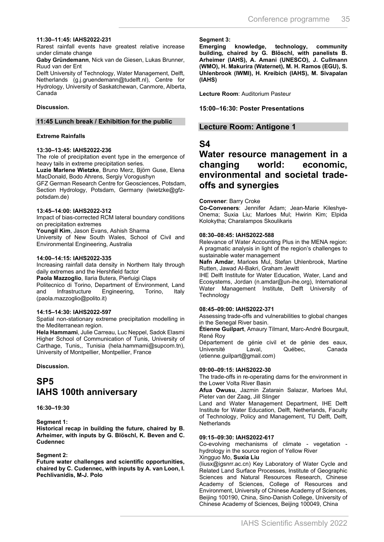#### **11:30–11:45: IAHS2022-231**

Rarest rainfall events have greatest relative increase under climate change

**Gaby Gründemann**, Nick van de Giesen, Lukas Brunner, Ruud van der Ent

Delft University of Technology, Water Management, Delft, Netherlands (g.j.gruendemann@tudelft.nl), Centre for Hydrology, University of Saskatchewan, Canmore, Alberta, Canada

#### **Discussion.**

#### **11:45 Lunch break / Exhibition for the public**

#### **Extreme Rainfalls**

#### **13:30–13:45: IAHS2022-236**

The role of precipitation event type in the emergence of heavy tails in extreme precipitation series.

**Luzie Marlene Wietzke**, Bruno Merz, Björn Guse, Elena MacDonald, Bodo Ahrens, Sergiy Vorogushyn

GFZ German Research Centre for Geosciences, Potsdam, Section Hydrology, Potsdam, Germany (lwietzke@gfzpotsdam.de)

#### **13:45–14:00: IAHS2022-312**

Impact of bias-corrected RCM lateral boundary conditions on precipitation extremes

**Youngil Kim**, Jason Evans, Ashish Sharma

University of New South Wales, School of Civil and Environmental Engineering, Australia

#### **14:00–14:15: IAHS2022-335**

Increasing rainfall data density in Northern Italy through daily extremes and the Hershfield factor

**Paola Mazzoglio**, Ilaria Butera, Pierluigi Claps

Politecnico di Torino, Department of Environment, Land<br>
and Infrastructure Engineering. Torino. Italy and Infrastructure Engineering, Torino, Italy (paola.mazzoglio@polito.it)

#### **14:15–14:30: IAHS2022-597**

Spatial non-stationary extreme precipitation modelling in the Mediterranean region.

**Hela Hammami**, Julie Carreau, Luc Neppel, Sadok Elasmi Higher School of Communication of Tunis, University of Carthage, Tunis,, Tunisia (hela.hammami@supcom.tn), University of Montpellier, Montpellier, France

**Discussion.**

## **SP5 IAHS 100th anniversary**

#### **16:30–19:30**

#### **Segment 1:**

**Historical recap in building the future, chaired by B. Arheimer, with inputs by G. Blöschl, K. Beven and C. Cudennec**

#### **Segment 2:**

**Future water challenges and scientific opportunities, chaired by C. Cudennec, with inputs by A. van Loon, I. Pechlivanidis, M-J. Polo**

**Segment 3:** 

**Emerging knowledge, technology, community building, chaired by G. Blöschl, with panelists B. Arheimer (IAHS), A. Amani (UNESCO), J. Cullmann (WMO), H. Makurira (Waternet), M. H. Ramos (EGU), S. Uhlenbrook (IWMI), H. Kreibich (IAHS), M. Sivapalan (IAHS)**

**Lecture Room**: Auditorium Pasteur

#### **15:00–16:30: Poster Presentations**

#### **Lecture Room: Antigone 1**

### **S4**

### **Water resource management in a changing world: economic, environmental and societal tradeoffs and synergies**

#### **Convener**: Barry Croke

**Co-Conveners**: Jennifer Adam; Jean-Marie Kileshye-Onema; Suxia Liu; Marloes Mul; Hwirin Kim; Elpida Kolokytha; Charalampos Skoulikaris

#### **08:30–08:45: IAHS2022-588**

Relevance of Water Accounting Plus in the MENA region: A pragmatic analysis in light of the region's challenges to sustainable water management

**Nafn Amdar**, Marloes Mul, Stefan Uhlenbrook, Martine Rutten, Jawad Al-Bakri, Graham Jewitt

IHE Delft Institute for Water Education, Water, Land and Ecosystems, Jordan (n.amdar@un-ihe.org), International Water Management Institute, Delft University of **Technology** 

#### **08:45–09:00: IAHS2022-371**

Assessing trade-offs and vulnerabilities to global changes in the Senegal River basin.

**Étienne Guilpart**, Amaury Tilmant, Marc-André Bourgault, René Roy

Département de génie civil et de génie des eaux,<br>Université laval pouébec procanada Laval, Québec, Canada (etienne.guilpart@gmail.com)

#### **09:00–09:15: IAHS2022-30**

The trade-offs in re-operating dams for the environment in the Lower Volta River Basin

**Afua Owusu**, Jazmin Zatarain Salazar, Marloes Mul, Pieter van der Zaag, Jill Slinger

Land and Water Management Department, IHE Delft Institute for Water Education, Delft, Netherlands, Faculty of Technology, Policy and Management, TU Delft, Delft, Netherlands

#### **09:15–09:30: IAHS2022-617**

Co-evolving mechanisms of climate - vegetation hydrology in the source region of Yellow River Xingguo Mo, **Suxia Liu**

(liusx@igsnrr.ac.cn) Key Laboratory of Water Cycle and Related Land Surface Processes, Institute of Geographic Sciences and Natural Resources Research, Chinese Academy of Sciences, College of Resources and Environment, University of Chinese Academy of Sciences, Beijing 100190, China, Sino-Danish College, University of

Chinese Academy of Sciences, Beijing 100049, China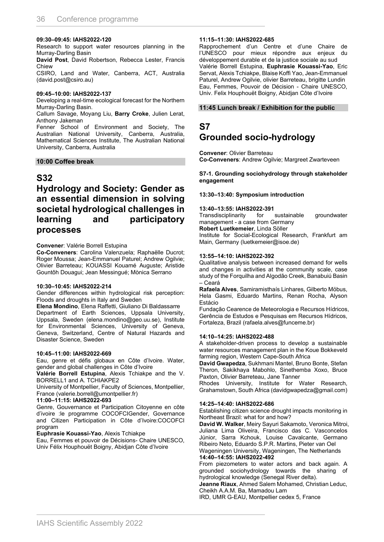#### **09:30–09:45: IAHS2022-120**

Research to support water resources planning in the Murray-Darling Basin

**David Post**, David Robertson, Rebecca Lester, Francis **Chiew** 

CSIRO, Land and Water, Canberra, ACT, Australia (david.post@csiro.au)

#### **09:45–10:00: IAHS2022-137**

Developing a real-time ecological forecast for the Northern Murray-Darling Basin.

Callum Savage, Moyang Liu, **Barry Croke**, Julien Lerat, Anthony Jakeman

Fenner School of Environment and Society, The Australian National University, Canberra, Australia, Mathematical Sciences Institute, The Australian National University, Canberra, Australia

#### **10:00 Coffee break**

#### **S32**

### **Hydrology and Society: Gender as an essential dimension in solving societal hydrological challenges in learning and participatory processes**

#### **Convener**: Valérie Borrell Estupina

**Co-Conveners**: Carolina Valenzuela; Raphaëlle Ducrot; Roger Moussa; Jean-Emmanuel Paturel; Andrew Ogilvie; Olivier Barreteau; KOUASSI Kouamé Auguste; Aristide Gountôh Douagui; Jean Messingué; Mònica Serrano

#### **10:30–10:45: IAHS2022-214**

Gender differences within hydrological risk perception: Floods and droughts in Italy and Sweden

**Elena Mondino**, Elena Raffetti, Giuliano Di Baldassarre

Department of Earth Sciences, Uppsala University, Uppsala, Sweden (elena.mondino@geo.uu.se), Institute for Environmental Sciences, University of Geneva, Geneva, Switzerland, Centre of Natural Hazards and Disaster Science, Sweden

#### **10:45–11:00: IAHS2022-669**

Eau, genre et défis globaux en Côte d'Ivoire. Water, gender and global challenges in Côte d'Ivoire

**Valérie Borrell Estupina**, Alexis Tchiakpe and the V. BORRELL1 and A. TCHIAKPE2

University of Montpellier, Faculty of Sciences, Montpellier, France (valerie.borrell@umontpellier.fr)

#### **11:00–11:15: IAHS2022-693**

Genre, Gouvernance et Participation Citoyenne en côte d'ivoire :le programme COCOFCIGender, Governance and Citizen Participation in Côte d'Ivoire:COCOFCI program

**Euphrasie Kouassi-Yao**, Alexis Tchiakpe

Eau, Femmes et pouvoir de Décisions- Chaire UNESCO, Univ Félix Houphouët Boigny, Abidjan Côte d'Ivoire

#### **11:15–11:30: IAHS2022-685**

Rapprochement d'un Centre et d'une Chaire de l'UNESCO pour mieux répondre aux enjeux du développement durable et de la justice sociale au sud Valérie Borrell Estupina, **Euphrasie Kouassi-Yao**, Eric Servat, Alexis Tchiakpe, Blaise Koffi Yao, Jean-Emmanuel Paturel, Andrew Ogilvie, olivier Barreteau, brigitte Lundin Eau, Femmes, Pouvoir de Décision - Chaire UNESCO, Univ. Felix Houphouët Boigny, Abidjan Côte d'Ivoire

#### **11:45 Lunch break / Exhibition for the public**

### **S7**

### **Grounded socio-hydrology**

**Convener**: Olivier Barreteau **Co-Conveners**: Andrew Ogilvie; Margreet Zwarteveen

#### **S7-1. Grounding sociohydrology through stakeholder engagement**

#### **13:30–13:40: Symposium introduction**

**13:40–13:55: IAHS2022-391** Transdisciplinarity for sustainable groundwater management - a case from Germany

**Robert Luetkemeier**, Linda Söller

Institute for Social-Ecological Research, Frankfurt am Main, Germany (luetkemeier@isoe.de)

#### **13:55–14:10: IAHS2022-392**

Qualitative analysis between increased demand for wells and changes in activities at the community scale, case study of the Forquilha and Algodão Creek, Banabuiú Basin – Ceará

**Rafaela Alves**, Samiramisthaís Linhares, Gilberto Möbus, Hela Gasmi, Eduardo Martins, Renan Rocha, Alyson Estácio

Fundação Cearence de Meteorologia e Recursos Hídricos, Gerência de Estudos e Pesquisas em Recursos Hídricos, Fortaleza, Brazil (rafaela.alves@funceme.br)

#### **14:10–14:25: IAHS2022-488**

A stakeholder-driven process to develop a sustainable water resources management plan in the Koue Bokkeveld farming region, Western Cape-South Africa

**David Gwapedza**, Sukhmani Mantel, Bruno Bonte, Stefan Theron, Sakikhaya Mabohlo, Sinethemba Xoxo, Bruce Paxton, Olivier Barreteau, Jane Tanner

Rhodes University, Institute for Water Research, Grahamstown, South Africa (davidgwapedza@gmail.com)

#### **14:25–14:40: IAHS2022-686**

Establishing citizen science drought impacts monitoring in Northeast Brazil: what for and how?

**David W. Walker**, Meiry Sayuri Sakamoto, Veronica Mitroi, Juliana Lima Oliveira, Francisco das C. Vasconcelos Júnior, Sarra Kchouk, Louise Cavalcante, Germano Ribeiro Neto, Eduardo S.P.R. Martins, Pieter van Oel Wageningen University, Wageningen, The Netherlands **14:40–14:55: IAHS2022-492**

From piezometers to water actors and back again. A grounded sociohydrology towards the sharing of hydrological knowledge (Senegal River delta).

**Jeanne Riaux**, Ahmed Salem Mohamed, Christian Leduc, Cheikh A.A.M. Ba, Mamadou Lam

IRD, UMR G-EAU, Montpellier cedex 5, France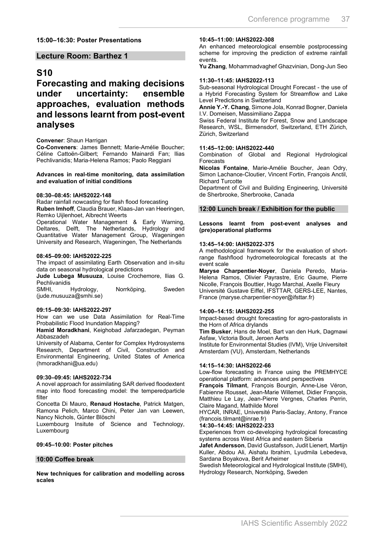#### **15:00–16:30: Poster Presentations**

#### **Lecture Room: Barthez 1**

### **S10**

**Forecasting and making decisions under uncertainty: ensemble approaches, evaluation methods and lessons learnt from post-event analyses**

#### **Convener**: Shaun Harrigan

**Co-Conveners**: James Bennett; Marie-Amélie Boucher; Céline Cattoën-Gilbert; Fernando Mainardi Fan; Ilias Pechlivanidis; Maria-Helena Ramos; Paolo Reggiani

#### **Advances in real-time monitoring, data assimilation and evaluation of initial conditions**

#### **08:30–08:45: IAHS2022-148**

Radar rainfall nowcasting for flash flood forecasting **Ruben Imhoff**, Claudia Brauer, Klaas-Jan van Heeringen, Remko Uijlenhoet, Albrecht Weerts

Operational Water Management & Early Warning, Deltares, Delft, The Netherlands, Hydrology and Quantitative Water Management Group, Wageningen University and Research, Wageningen, The Netherlands

#### **08:45–09:00: IAHS2022-225**

The impact of assimilating Earth Observation and in-situ data on seasonal hydrological predictions

**Jude Lubega Musuuza**, Louise Crochemore, Ilias G. **Pechlivanidis** 

SMHI, Hydrology, Norrköping, Sweden (jude.musuuza@smhi.se)

#### **09:15–09:30: IAHS2022-297**

How can we use Data Assimilation for Real-Time Probabilistic Flood Inundation Mapping?

**Hamid Moradkhani**, Keighobad Jafarzadegan, Peyman Abbaszadeh

University of Alabama, Center for Complex Hydrosystems Research, Department of Civil, Construction and Environmental Engineering, United States of America (hmoradkhani@ua.edu)

#### **09:30–09:45: IAHS2022-734**

A novel approach for assimilating SAR derived floodextent map into flood forecasting model: the temperedparticle filter

Concetta Di Mauro, **Renaud Hostache**, Patrick Matgen, Ramona Pelich, Marco Chini, Peter Jan van Leewen, Nancy Nichols, Günter Blöschl

Luxembourg Insitute of Science and Technology, Luxembourg

#### **09:45–10:00: Poster pitches**

#### **10:00 Coffee break**

**New techniques for calibration and modelling across scales**

#### **10:45–11:00: IAHS2022-308**

An enhanced meteorological ensemble postprocessing scheme for improving the prediction of extreme rainfall events.

**Yu Zhang**, Mohammadvaghef Ghazvinian, Dong-Jun Seo

#### **11:30–11:45: IAHS2022-113**

Sub-seasonal Hydrological Drought Forecast - the use of a Hybrid Forecasting System for Streamflow and Lake Level Predictions in Switzerland

**Annie Y.-Y. Chang**, Simone Jola, Konrad Bogner, Daniela I.V. Domeisen, Massimiliano Zappa

Swiss Federal Institute for Forest, Snow and Landscape Research, WSL, Birmensdorf, Switzerland, ETH Zürich, Zürich, Switzerland

#### **11:45–12:00: IAHS2022-440**

Combination of Global and Regional Hydrological Forecasts

**Nicolas Fontaine**, Marie-Amélie Boucher, Jean Odry, Simon Lachance-Cloutier, Vincent Fortin, François Anctil, Richard Turcotte

Department of Civil and Building Engineering, Université de Sherbrooke, Sherbrooke, Canada

#### **12:00 Lunch break / Exhibition for the public**

**Lessons learnt from post-event analyses and (pre)operational platforms**

#### **13:45–14:00: IAHS2022-375**

A methodological framework for the evaluation of shortrange flashflood hydrometeorological forecasts at the event scale

**Maryse Charpentier-Noyer**, Daniela Peredo, Maria-Helena Ramos, Olivier Payrastre, Eric Gaume, Pierre Nicolle, François Bouttier, Hugo Marchal, Axelle Fleury Université Gustave Eiffel, IFSTTAR, GERS-LEE, Nantes, France (maryse.charpentier-noyer@ifsttar.fr)

#### **14:00–14:15: IAHS2022-255**

Impact-based drought forecasting for agro-pastoralists in the Horn of Africa drylands

**Tim Busker**, Hans de Moel, Bart van den Hurk, Dagmawi Asfaw, Victoria Boult, Jeroen Aerts

Institute for Environmental Studies (IVM), Vrije Universiteit Amsterdam (VU), Amsterdam, Netherlands

#### **14:15–14:30: IAHS2022-66**

Low-flow forecasting in France using the PREMHYCE operational platform: advances and perspectives

**François Tilmant**, François Bourgin, Anne-Lise Véron, Fabienne Rousset, Jean-Marie Willemet, Didier François, Matthieu Le Lay, Jean-Pierre Vergnes, Charles Perrin, Claire Magand, Mathilde Morel

HYCAR, INRAE, Université Paris-Saclay, Antony, France (francois.tilmant@inrae.fr)

#### **14:30–14:45: IAHS2022-233**

Experiences from co-developing hydrological forecasting systems across West Africa and eastern Siberia

**Jafet Andersson**, David Gustafsson, Judit Lienert, Martijn Kuller, Abdou Ali, Aishatu Ibrahim, Lyudmila Lebedeva, Sardana Boyakova, Berit Arheimer

Swedish Meteorological and Hydrological Institute (SMHI), Hydrology Research, Norrköping, Sweden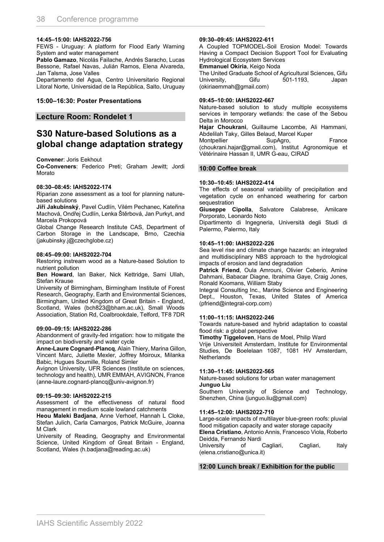#### **14:45–15:00: IAHS2022-756**

FEWS - Uruguay: A platform for Flood Early Warning System and water management

**Pablo Gamazo**, Nicolás Failache, Andrés Saracho, Lucas Bessone, Rafael Navas, Julián Ramos, Elena Alvareda, Jan Talsma, Jose Valles

Departamento del Agua, Centro Universitario Regional Litoral Norte, Universidad de la República, Salto, Uruguay

#### **15:00–16:30: Poster Presentations**

#### **Lecture Room: Rondelet 1**

### **S30 Nature-based Solutions as a global change adaptation strategy**

**Convener**: Joris Eekhout

**Co-Conveners**: Federico Preti; Graham Jewitt; Jordi Morato

#### **08:30–08:45: IAHS2022-174**

Riparian zone assessment as a tool for planning naturebased solutions

**Jiří Jakubínský**, Pavel Cudlín, Vilém Pechanec, Kateřina Machová, Ondřej Cudlín, Lenka Štěrbová, Jan Purkyt, and Marcela Prokopová

Global Change Research Institute CAS, Department of Carbon Storage in the Landscape, Brno, Czechia (jakubinsky.j@czechglobe.cz)

#### **08:45–09:00: IAHS2022-704**

Restoring instream wood as a Nature-based Solution to nutrient pollution

**Ben Howard**, Ian Baker, Nick Kettridge, Sami Ullah, Stefan Krause

University of Birmingham, Birmingham Institute of Forest Research, Geography, Earth and Environmental Sciences, Birmingham, United Kingdom of Great Britain - England, Scotland, Wales (bch823@bham.ac.uk), Small Woods Association, Station Rd, Coalbrookdale, Telford, TF8 7DR

#### **09:00–09:15: IAHS2022-286**

Abandonment of gravity-fed irrigation: how to mitigate the impact on biodiversity and water cycle

**Anne-Laure Cognard-Plancq**, Alain Thiery, Marina Gillon, Vincent Marc, Juliette Mexler, Joffrey Moiroux, Milanka Babic, Hugues Soumille, Roland Simler

Avignon University, UFR Sciences (Institute on sciences, technology and health), UMR EMMAH, AVIGNON, France (anne-laure.cognard-plancq@univ-avignon.fr)

#### **09:15–09:30: IAHS2022-215**

Assessment of the effectiveness of natural flood management in medium scale lowland catchments

**Heou Maleki Badjana**, Anne Verhoef, Hannah L Cloke, Stefan Julich, Carla Camargos, Patrick McGuire, Joanna M Clark

University of Reading, Geography and Environmental Science, United Kingdom of Great Britain - England, Scotland, Wales (h.badjana@reading.ac.uk)

#### **09:30–09:45: IAHS2022-611**

A Coupled TOPMODEL-Soil Erosion Model: Towards Having a Compact Decision Support Tool for Evaluating Hydrological Ecosystem Services

**Emmanuel Okiria**, Keigo Noda

The United Graduate School of Agricultural Sciences, Gifu University, Gifu 501-1193, Japan (okiriaemmah@gmail.com)

#### **09:45–10:00: IAHS2022-667**

Nature-based solution to study multiple ecosystems services in temporary wetlands: the case of the Sebou Delta in Morocco

**Hajar Choukrani**, Guillaume Lacombe, Ali Hammani, Abdelilah Taky, Gilles Belaud, Marcel Kuper

Montpellier SupAgro, France (choukrani.hajar@gmail.com), Institut Agronomique et Vétérinaire Hassan II, UMR G-eau, CIRAD

#### **10:00 Coffee break**

#### **10:30–10:45: IAHS2022-414**

The effects of seasonal variability of precipitation and vegetation cycle on enhanced weathering for carbon sequestration

**Giuseppe Cipolla**, Salvatore Calabrese, Amilcare Porporato, Leonardo Noto

Dipartimento di Ingegneria, Università degli Studi di Palermo, Palermo, Italy

#### **10:45–11:00: IAHS2022-226**

Sea level rise and climate change hazards: an integrated and multidisciplinary NBS approach to the hydrological impacts of erosion and land degradation

**Patrick Friend**, Oula Amrouni, Olivier Ceberio, Amine Dahmani, Babacar Diagne, Ibrahima Gaye, Craig Jones, Ronald Koomans, William Staby

Integral Consulting Inc., Marine Science and Engineering Dept., Houston, Texas, United States of America (pfriend@integral-corp.com)

#### **11:00–11:15: IAHS2022-246**

Towards nature-based and hybrid adaptation to coastal flood risk: a global perspective

**Timothy Tiggeloven**, Hans de Moel, Philip Ward

Vrije Universiteit Amsterdam, Institute for Environmental Studies, De Boelelaan 1087, 1081 HV Amsterdam, **Netherlands** 

#### **11:30–11:45: IAHS2022-565**

Nature-based solutions for urban water management **Junguo Liu**

Southern University of Science and Technology, Shenzhen, China (junguo.liu@gmail.com)

#### **11:45–12:00: IAHS2022-710**

Large-scale impacts of multilayer blue-green roofs: pluvial flood mitigation capacity and water storage capacity **Elena Cristiano**, Antonio Annis, Francesco Viola, Roberto

Deidda, Fernando Nardi

University of Cagliari, Cagliari, Italy (elena.cristiano@unica.it)

#### **12:00 Lunch break / Exhibition for the public**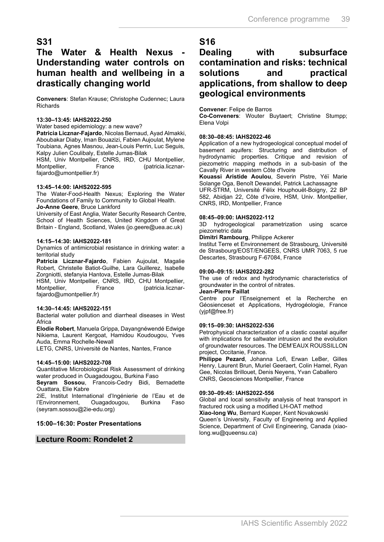### **S31**

### **The Water & Health Nexus - Understanding water controls on human health and wellbeing in a drastically changing world**

**Conveners**: Stefan Krause; Christophe Cudennec; Laura Richards

#### **13:30–13:45: IAHS2022-250**

Water based epidemiology: a new wave?

**Patricia Licznar-Fajardo**, Nicolas Bernaud, Ayad Almakki, Aboubakar Diaby, Iman Bouazizi, Fabien Aujoulat, Mylene Toubiana, Agnes Masnou, Jean-Louis Perrin, Luc Seguis, Kalpy Julien Coulibaly, Estelle Jumas-Bilak

HSM, Univ Montpellier, CNRS, IRD, CHU Montpellier,<br>Montpellier, France (patricia.licznar-(patricia.licznarfajardo@umontpellier.fr)

#### **13:45–14:00: IAHS2022-595**

The Water-Food-Health Nexus; Exploring the Water Foundations of Family to Community to Global Health. **Jo-Anne Geere**, Bruce Lankford

University of East Anglia, Water Security Research Centre, School of Health Sciences, United Kingdom of Great Britain - England, Scotland, Wales (jo.geere@uea.ac.uk)

#### **14:15–14:30: IAHS2022-181**

Dynamics of antimicrobial resistance in drinking water: a territorial study

**Patricia Licznar-Fajardo**, Fabien Aujoulat, Magalie Robert, Christelle Batiot-Guilhe, Lara Guillerez, Isabelle Zorgniotti, stefanyia Hantova, Estelle Jumas-Bilak

HSM, Univ Montpellier, CNRS, IRD, CHU Montpellier, Montpellier, France (patricia.licznarfajardo@umontpellier.fr)

#### **14:30–14:45: IAHS2022-151**

Bacterial water pollution and diarrheal diseases in West Africa

**Elodie Robert**, Manuela Grippa, Dayangnéwendé Edwige Nikiema, Laurent Kergoat, Hamidou Koudougou, Yves Auda, Emma Rochelle-Newall

LETG, CNRS, Université de Nantes, Nantes, France

#### **14:45–15:00: IAHS2022-708**

Quantitative Microbiological Risk Assessment of drinking water produced in Ouagadougou, Burkina Faso

**Seyram Sossou**, Francois-Cedry Bidi, Bernadette Ouattara, Elie Kabre

2iE, Institut International d'Ingénierie de l'Eau et de l'Environnement, Ouagadougou, Burkina Faso (seyram.sossou@2ie-edu.org)

#### **15:00–16:30: Poster Presentations**

**Lecture Room: Rondelet 2**

# **S16**

### **Dealing with subsurface contamination and risks: technical solutions and practical applications, from shallow to deep geological environments**

#### **Convener**: Felipe de Barros

**Co-Conveners**: Wouter Buytaert; Christine Stumpp; Elena Volpi

#### **08:30–08:45: IAHS2022-46**

Application of a new hydrogeological conceptual model of basement aquifers: Structuring and distribution of hydrodynamic properties. Critique and revision of piezometric mapping methods in a sub-basin of the Cavally River in western Côte d'Ivoire

**Kouassi Aristide Aoulou**, Severin Pistre, Yéï Marie Solange Oga, Benoît Dewandel, Patrick Lachassagne UFR-STRM, Université Félix Houphouët-Boigny, 22 BP 582, Abidjan 22, Côte d'Ivoire, HSM, Univ. Montpellier, CNRS, IRD, Montpellier, France

#### **08:45–09:00: IAHS2022-112**

3D hydrogeological parametrization using scarce piezometric data

#### **Dimitri Rambourg**, Philippe Ackerer

Institut Terre et Environnement de Strasbourg, Université de Strasbourg/EOST/ENGEES, CNRS UMR 7063, 5 rue Descartes, Strasbourg F-67084, France

#### **09:00–09:15: IAHS2022-282**

The use of redox and hydrodynamic characteristics of groundwater in the control of nitrates.

#### **Jean-Pierre Faillat**

Centre pour l'Enseignement et la Recherche en Géosienceset et Applications, Hydrogéologie, France (yjpf@free.fr)

#### **09:15–09:30: IAHS2022-536**

Petrophysical characterization of a clastic coastal aquifer with implications for saltwater intrusion and the evolution of groundwater resources. The DEM'EAUX ROUSSILLON project, Occitanie, France.

**Philippe Pezard**, Johanna Lofi, Erwan LeBer, Gilles Henry, Laurent Brun, Muriel Geeraert, Colin Hamel, Ryan Gee, Nicolas Brillouet, Denis Neyens, Yvan Caballero CNRS, Geosciences Montpellier, France

#### **09:30–09:45: IAHS2022-556**

Global and local sensitivity analysis of heat transport in fractured rock using a modified LH-OAT method **Xiao-long Wu**, Bernard Kueper, Kent Novakowski

Queen's University, Faculty of Engineering and Applied Science, Department of Civil Engineering, Canada (xiaolong.wu@queensu.ca)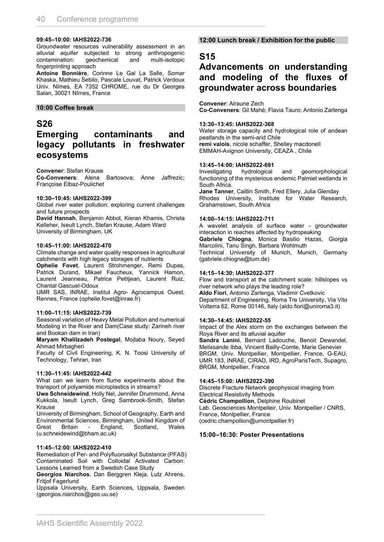#### **09:45–10:00: IAHS2022-736**

Groundwater resources vulnerability assessment in an alluvial aquifer subjected to strong anthropogenic<br>contamination: geochemical and multi-isotopic contamination: fingerprinting approach

**Antoine Bonnière**, Corinne Le Gal La Salle, Somar Khaska, Mathieu Sebilo, Pascale Louvat, Patrick Verdoux Univ. Nîmes, EA 7352 CHROME, rue du Dr Georges Salan, 30021 Nîmes, France

#### **10:00 Coffee break**

### **S26**

### **Emerging contaminants and legacy pollutants in freshwater ecosystems**

#### **Convener**: Stefan Krause

**Co-Conveners**: Alena Bartosova; Anne Jaffrezic; Françoise Elbaz-Poulichet

#### **10:30–10:45: IAHS2022-399**

Global river water pollution: exploring current challenges and future prospects

**David Hannah**, Benjamin Abbot, Kieran Khamis, Christa Kelleher, Iseult Lynch, Stefan Krause, Adam Ward University of Birmingham, UK

#### **10:45–11:00: IAHS2022-470**

Climate change and water quality responses in agricultural catchments with high legacy storages of nutrients

**Ophelie Fovet**, Laurent Strohmenger, Remi Dupas, Patrick Durand, Mikael Faucheux, Yannick Hamon, Laurent Jeanneau, Patrice Petitjean, Laurent Ruiz, Chantal Gascuel-Odoux

UMR SAS, INRAE, Institut Agro- Agrocampus Ouest, Rennes, France (ophelie.fovet@inrae.fr)

#### **11:00–11:15: IAHS2022-739**

Seasonal variation of Heavy Metal Pollution and numerical Modeling in the River and Dam(Case study: Zarineh river and Bookan dam in Iran)

**Maryam Khalilzadeh Postegal**, Mojtaba Noury, Seyed Ahmad Mirbagheri

Faculty of Civil Engineering, K. N. Toosi University of Technology, Tehran, Iran

#### **11:30–11:45: IAHS2022-442**

What can we learn from flume experiments about the transport of polyamide microplastics in streams?

**Uwe Schneidewind**, Holly Nel, Jennifer Drummond, Anna Kukkola, Iseult Lynch, Greg Sambrook-Smith, Stefan Krause

University of Birmingham, School of Geography, Earth and Environmental Sciences, Birmingham, United Kingdom of Great Britain - England, Scotland, (u.schneidewind@bham.ac.uk)

#### **11:45–12:00: IAHS2022-410**

Remediation of Per- and Polyfluoroalkyl Substance (PFAS) Contaminated Soil with Colloidal Activated Carbon: Lessons Learned from a Swedish Case Study

**Georgios Niarchos**, Dan Berggren Kleja, Lutz Ahrens, Fritjof Fagerlund

Uppsala University, Earth Sciences, Uppsala, Sweden (georgios.niarchos@geo.uu.se)

#### **12:00 Lunch break / Exhibition for the public**

### **S15**

### **Advancements on understanding and modeling of the fluxes of groundwater across boundaries**

**Convener**: Alraune Zech **Co-Conveners**: Gil Mahé; Flavia Tauro; Antonio Zarlenga

#### **13:30–13:45: IAHS2022-368**

Water storage capacity and hydrological role of andean peatlands in the semi-arid Chile **remi valois**, nicole schaffer, Shelley macdonell EMMAH-Avignon University, CEAZA , Chile

# **13:45–14:00: IAHS2022-691**

and geomorphological functioning of the mysterious endemic Palmiet wetlands in South Africa. **Jane Tanner**, Caitlin Smith, Fred Ellery, Julia Glenday Rhodes University, Institute for Water Research,

Grahamstown, South Africa

#### **14:00–14:15: IAHS2022-711**

A wavelet analysis of surface water - groundwater interaction in reaches affected by hydropeaking **Gabriele Chiogna**, Monica Basilio Hazas, Giorgia Marcolini, Tanu Singh, Barbara Wohlmuth Technical University of Munich, Munich, Germany (gabriele.chiogna@tum.de)

#### **14:15–14:30: IAHS2022-377**

Flow and transport at the catchment scale: hillslopes vs river network who plays the leading role? **Aldo Fiori**, Antonio Zarlenga, Vladimir Cvetkovic Department of Engineering, Roma Tre University, Via Vito Volterra 62, Rome 00146, Italy (aldo.fiori@uniroma3.it)

#### **14:30–14:45: IAHS2022-55**

Impact of the Alex storm on the exchanges between the Roya River and its alluvial aquifer

**Sandra Lanini**, Bernard Ladouche, Benoit Dewandel, Melissande Ibba, Vincent Bailly-Comte, Marie Genevier BRGM, Univ. Montpellier, Montpellier, France, G-EAU, UMR 183, INRAE, CIRAD, IRD, AgroParisTech, Supagro, BRGM, Montpellier, France

#### **14:45–15:00: IAHS2022-390**

Discrete Fracture Network geophysical imaging from Electrical Resistivity Methods **Cédric Champollion**, Delphine Roubinet Lab. Geosciences Montpelleir, Univ. Montpellier / CNRS, France, Montpellier, France (cedric.champollion@umontpellier.fr)

#### **15:00–16:30: Poster Presentations**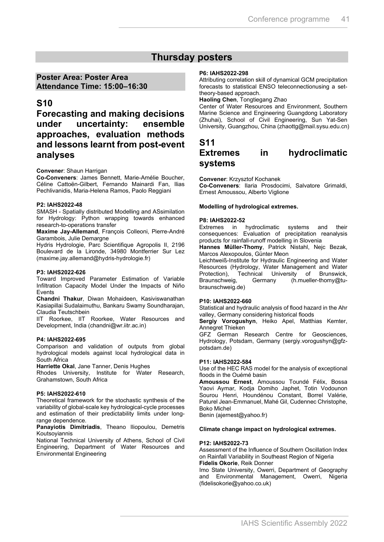### **Thursday posters**

#### **Poster Area: Poster Area Attendance Time: 15:00–16:30**

### **S10**

**Forecasting and making decisions under uncertainty: ensemble approaches, evaluation methods and lessons learnt from post-event analyses**

#### **Convener**: Shaun Harrigan

**Co-Conveners**: James Bennett, Marie-Amélie Boucher, Céline Cattoën-Gilbert, Fernando Mainardi Fan, Ilias Pechlivanidis, Maria-Helena Ramos, Paolo Reggiani

#### **P2: IAHS2022-48**

SMASH - Spatially distributed Modelling and ASsimilation for Hydrology: Python wrapping towards enhanced research-to-operations transfer

**Maxime Jay-Allemand**, François Colleoni, Pierre-André Garambois, Julie Demargne

Hydris Hydrologie, Parc Scientifique Agropolis II, 2196 Boulevard de la Lironde, 34980 Montferrier Sur Lez (maxime.jay.allemand@hydris-hydrologie.fr)

#### **P3: IAHS2022-626**

Toward Improved Parameter Estimation of Variable Infiltration Capacity Model Under the Impacts of Niño Events

**Chandni Thakur**, Diwan Mohaideen, Kasiviswanathan Kasiapillai Sudalaimuthu, Bankaru Swamy Soundharajan, Claudia Teutschbein

IIT Roorkee, IIT Roorkee, Water Resources and Development, India (chandni@wr.iitr.ac.in)

#### **P4: IAHS2022-695**

Comparison and validation of outputs from global hydrological models against local hydrological data in South Africa

**Harriette Okal**, Jane Tanner, Denis Hughes

Rhodes University, Institute for Water Research, Grahamstown, South Africa

#### **P5: IAHS2022-610**

Theoretical framework for the stochastic synthesis of the variability of global-scale key hydrological-cycle processes and estimation of their predictability limits under longrange dependence.

**Panayiotis Dimitriadis**, Theano Iliopoulou, Demetris Koutsoyiannis

National Technical University of Athens, School of Civil Engineering, Department of Water Resources and Environmental Engineering

#### **P6: IAHS2022-298**

Attributing correlation skill of dynamical GCM precipitation forecasts to statistical ENSO teleconnectionusing a settheory-based approach.

#### **Haoling Chen**, Tongtiegang Zhao

Center of Water Resources and Environment, Southern Marine Science and Engineering Guangdong Laboratory (Zhuhai), School of Civil Engineering, Sun Yat-Sen University, Guangzhou, China (zhaottg@mail.sysu.edu.cn)

### **S11 Extremes in hydroclimatic systems**

**Convener**: Krzysztof Kochanek

**Co-Conveners**: Ilaria Prosdocimi, Salvatore Grimaldi, Ernest Amoussou, Alberto Viglione

#### **Modelling of hydrological extremes.**

#### **P8: IAHS2022-52**

Extremes in hydroclimatic systems and their consequences: Evaluation of precipitation reanalysis products for rainfall-runoff modelling in Slovenia

**Hannes Müller-Thomy**, Patrick Nistahl, Nejc Bezak, Marcos Alexopoulos, Günter Meon

Leichtweiß-Institute for Hydraulic Engineering and Water Resources (Hydrology, Water Management and Water Protection), Technical University of Brunswick,<br>Braunschweig. Germany (h.mueller-thomy@tu- $(h$ .mueller-thomy@tubraunschweig.de)

#### **P10: IAHS2022-660**

Statistical and hydraulic analysis of flood hazard in the Ahr valley, Germany considering historical floods

**Sergiy Vorogushyn**, Heiko Apel, Matthias Kemter, Annegret Thieken

GFZ German Research Centre for Geosciences, Hydrology, Potsdam, Germany (sergiy.vorogushyn@gfzpotsdam.de)

#### **P11: IAHS2022-584**

Use of the HEC RAS model for the analysis of exceptional floods in the Ouémé basin

**Amoussou Ernest**, Amoussou Toundé Félix, Bossa Yaovi Aymar, Kodja Domiho Japhet, Totin Vodounon Sourou Henri, Houndénou Constant, Borrel Valérie, Paturel Jean-Emmanuel, Mahé Gil, Cudennec Christophe, Boko Michel

Benin (ajernest@yahoo.fr)

#### **Climate change impact on hydrological extremes.**

#### **P12: IAHS2022-73**

Assessment of the Influence of Southern Oscillation Index on Rainfall Variability in Southeast Region of Nigeria **Fidelis Okorie**, Reik Donner

Imo State University, Owerri, Department of Geography and Environmental Management, Owerri, Nigeria (fidelisokorie@yahoo.co.uk)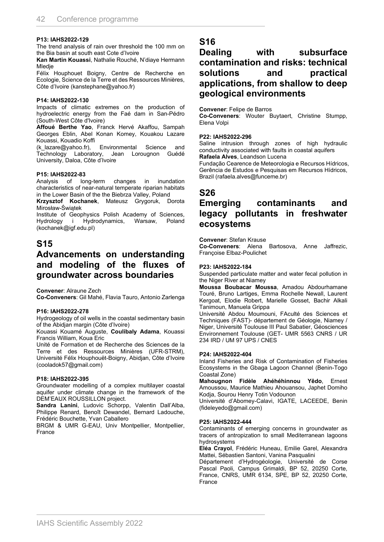#### **P13: IAHS2022-129**

The trend analysis of rain over threshold the 100 mm on the Bia basin at south east Cote d'Ivoire

**Kan Martin Kouassi**, Nathalie Rouché, N'diaye Hermann Mledje

Félix Houphouet Boigny, Centre de Recherche en Ecologie, Science de la Terre et des Ressources Minières, Côte d'Ivoire (kanstephane@yahoo.fr)

#### **P14: IAHS2022-130**

Impacts of climatic extremes on the production of hydroelectric energy from the Faé dam in San-Pédro (South-West Côte d'Ivoire)

**Affoué Berthe Yao**, Franck Hervé Akaffou, Sampah Georges Eblin, Abel Konan Komey, Kouakou Lazare Kouassi, Kouadio Koffi

(k\_lazare@yahoo.fr), Environmental Science and Technology Laboratory, Jean Lorougnon Guédé University, Daloa, Côte d'Ivoire

#### **P15: IAHS2022-83**

Analysis of long-term changes in inundation characteristics of near-natural temperate riparian habitats in the Lower Basin of the the Biebrza Valley, Poland

**Krzysztof Kochanek**, Mateusz Grygoruk, Dorota Mirosław-Świątek

Institute of Geophysics Polish Academy of Sciences,<br>Hydrology i Hydrodynamics, Warsaw, Poland i Hydrodynamics, Warsaw, Poland (kochanek@igf.edu.pl)

### **S15**

### **Advancements on understanding and modeling of the fluxes of groundwater across boundaries**

**Convener**: Alraune Zech

**Co-Conveners**: Gil Mahé, Flavia Tauro, Antonio Zarlenga

#### **P16: IAHS2022-278**

Hydrogeology of oil wells in the coastal sedimentary basin of the Abidjan margin (Côte d'Ivoire)

Kouassi Kouamé Auguste, **Coulibaly Adama**, Kouassi Francis William, Koua Eric

Unité de Formation et de Recherche des Sciences de la Terre et des Ressources Minières (UFR-STRM), Université Félix Houphouët-Boigny, Abidjan, Côte d'Ivoire (cooladok57@gmail.com)

#### **P18: IAHS2022-395**

Groundwater modelling of a complex multilayer coastal aquifer under climate change in the framework of the DEM'EAUX ROUSSILLON project.

**Sandra Lanini**, Ludovic Schorpp, Valentin Dall'Alba, Philippe Renard, Benoît Dewandel, Bernard Ladouche, Frédéric Bouchette, Yvan Caballero

BRGM & UMR G-EAU, Univ Montpellier, Montpellier, France

### **S16**

**Dealing with subsurface contamination and risks: technical solutions and practical applications, from shallow to deep geological environments**

#### **Convener**: Felipe de Barros

**Co-Conveners**: Wouter Buytaert, Christine Stumpp, Elena Volpi

#### **P22: IAHS2022-296**

Saline intrusion through zones of high hydraulic conductivity associated with faults in coastal aquifers **Rafaela Alves**, Leandson Lucena

Fundação Cearence de Meteorologia e Recursos Hídricos, Gerência de Estudos e Pesquisas em Recursos Hídricos, Brazil (rafaela.alves@funceme.br)

### **S26**

### **Emerging contaminants and legacy pollutants in freshwater ecosystems**

**Convener**: Stefan Krause

**Co-Conveners**: Alena Bartosova, Anne Jaffrezic, Françoise Elbaz-Poulichet

#### **P23: IAHS2022-184**

Suspended particulate matter and water fecal pollution in the Niger River at Niamey

**Moussa Boubacar Moussa**, Amadou Abdourhamane Touré, Bruno Lartiges, Emma Rochelle Newall, Laurent Kergoat, Elodie Robert, Marielle Gosset, Bachir Alkali Tanimoun, Manuela Grippa

Université Abdou Moumouni, FAculté des Sciences et Techniques (FAST)- département de Géologie, Niamey / Niger, Université Toulouse III Paul Sabatier, Géosciences Environnement Toulouse (GET- UMR 5563 CNRS / UR 234 IRD / UM 97 UPS / CNES

#### **P24: IAHS2022-404**

Inland Fisheries and Risk of Contamination of Fisheries Ecosystems in the Gbaga Lagoon Channel (Benin-Togo Coastal Zone)

**Mahougnon Fidèle Ahéhéhinnou Yêdo**, Ernest Amoussou, Maurice Mathieu Ahouansou, Japhet Domiho Kodja, Sourou Henry Totin Vodounon

Université d'Abomey-Calavi, IGATE, LACEEDE, Benin (fideleyedo@gmail.com)

#### **P25: IAHS2022-444**

Contaminants of emerging concerns in groundwater as tracers of antropization to small Mediterranean lagoons hydrosystems

**Eléa Crayol**, Frédéric Huneau, Emilie Garel, Alexandra Mattei, Sébastien Santoni, Vanina Pasqualini

Département d'Hydrogéologie, Université de Corse Pascal Paoli, Campus Grimaldi, BP 52, 20250 Corte, France, CNRS, UMR 6134, SPE, BP 52, 20250 Corte, France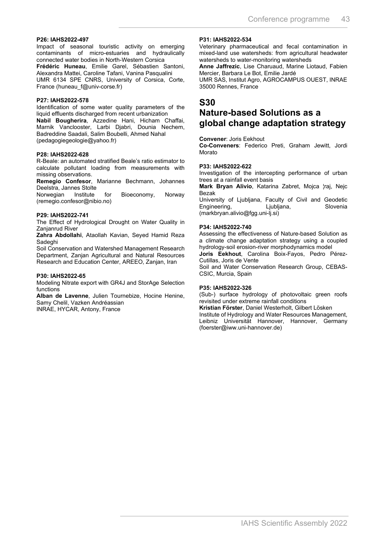#### **P26: IAHS2022-497**

Impact of seasonal touristic activity on emerging contaminants of micro-estuaries and hydraulically connected water bodies in North-Western Corsica

**Frédéric Huneau**, Emilie Garel, Sébastien Santoni, Alexandra Mattei, Caroline Tafani, Vanina Pasqualini UMR 6134 SPE CNRS, University of Corsica, Corte, France (huneau f@univ-corse.fr)

#### **P27: IAHS2022-578**

Identification of some water quality parameters of the liquid effluents discharged from recent urbanization

**Nabil Bougherira**, Azzedine Hani, Hicham Chaffai, Marnik Vanclooster, Larbi Djabri, Dounia Nechem, Badreddine Saadali, Salim Boubelli, Ahmed Nahal (pedagogiegeologie@yahoo.fr)

#### **P28: IAHS2022-628**

R-Beale: an automated stratified Beale's ratio estimator to calculate pollutant loading from measurements with missing observations.

**Remegio Confesor**, Marianne Bechmann, Johannes Deelstra, Jannes Stolte

Norwegian Institute for Bioeconomy, Norway (remegio.confesor@nibio.no)

#### **P29: IAHS2022-741**

The Effect of Hydrological Drought on Water Quality in Zanjanrud River

**Zahra Abdollahi**, Ataollah Kavian, Seyed Hamid Reza Sadeghi

Soil Conservation and Watershed Management Research Department, Zanjan Agricultural and Natural Resources Research and Education Center, AREEO, Zanjan, Iran

#### **P30: IAHS2022-65**

Modeling Nitrate export with GR4J and StorAge Selection functions

**Alban de Lavenne**, Julien Tournebize, Hocine Henine, Samy Chelil, Vazken Andréassian INRAE, HYCAR, Antony, France

#### **P31: IAHS2022-534**

Veterinary pharmaceutical and fecal contamination in mixed-land use watersheds: from agricultural headwater watersheds to water-monitoring watersheds

**Anne Jaffrezic**, Lise Charuaud, Marine Liotaud, Fabien Mercier, Barbara Le Bot, Emilie Jardé

UMR SAS, Institut Agro, AGROCAMPUS OUEST, INRAE 35000 Rennes, France

### **S30**

### **Nature-based Solutions as a global change adaptation strategy**

**Convener**: Joris Eekhout

**Co-Conveners**: Federico Preti, Graham Jewitt, Jordi Morato

#### **P33: IAHS2022-622**

Investigation of the intercepting performance of urban trees at a rainfall event basis

**Mark Bryan Alivio**, Katarina Zabret, Mojca ¦raj, Nejc Bezak

University of Ljubljana, Faculty of Civil and Geodetic Engineering, (markbryan.alivio@fgg.uni-lj.si)

#### **P34: IAHS2022-740**

Assessing the effectiveness of Nature-based Solution as a climate change adaptation strategy using a coupled hydrology-soil erosion-river morphodynamics model

**Joris Eekhout**, Carolina Boix-Fayos, Pedro Pérez-Cutillas, Joris de Vente

Soil and Water Conservation Research Group, CEBAS-CSIC, Murcia, Spain

#### **P35: IAHS2022-326**

(Sub-) surface hydrology of photovoltaic green roofs revisited under extreme rainfall conditions

**Kristian Förster**, Daniel Westerholt, Gilbert Lösken

Institute of Hydrology and Water Resources Management, Leibniz Universität Hannover, Hannover, Germany (foerster@iww.uni-hannover.de)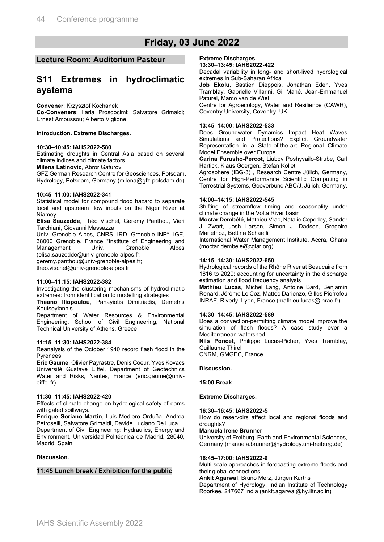# **Friday, 03 June 2022**

#### **Lecture Room: Auditorium Pasteur**

### **S11 Extremes in hydroclimatic systems**

**Convener**: Krzysztof Kochanek

**Co-Conveners**: Ilaria Prosdocimi; Salvatore Grimaldi; Ernest Amoussou; Alberto Viglione

#### **Introduction. Extreme Discharges.**

#### **10:30–10:45: IAHS2022-580**

Estimating droughts in Central Asia based on several climate indices and climate factors

**Milena Latinovic**, Abror Gafurov

GFZ German Research Centre for Geosciences, Potsdam, Hydrology, Potsdam, Germany (milena@gfz-potsdam.de)

#### **10:45–11:00: IAHS2022-341**

Statistical model for compound flood hazard to separate local and upstream flow inputs on the Niger River at Niamey

**Elisa Sauzedde**, Théo Vischel, Geremy Panthou, Vieri Tarchiani, Giovanni Massazza

Univ. Grenoble Alpes, CNRS, IRD, Grenoble INP\*, IGE, 38000 Grenoble, France \*Institute of Engineering and Management Univ. Grenoble Alpes (elisa.sauzedde@univ-grenoble-alpes.fr;

geremy.panthou@univ-grenoble-alpes.fr;

theo.vischel@univ-grenoble-alpes.fr

#### **11:00–11:15: IAHS2022-382**

Investigating the clustering mechanisms of hydroclimatic extremes: from identification to modelling strategies

**Theano Iliopoulou**, Panayiotis Dimitriadis, Demetris Koutsoyiannis

Department of Water Resources & Environmental Engineering, School of Civil Engineering, National Technical University of Athens, Greece

#### **11:15–11:30: IAHS2022-384**

Reanalysis of the October 1940 record flash flood in the Pyrenees

**Eric Gaume**, Olivier Payrastre, Denis Coeur, Yves Kovacs Université Gustave Eiffel, Department of Geotechnics Water and Risks, Nantes, France (eric.gaume@univeiffel.fr)

#### **11:30–11:45: IAHS2022-420**

Effects of climate change on hydrological safety of dams with gated spillways.

**Enrique Soriano Martín**, Luis Mediero Orduña, Andrea Petroselli, Salvatore Grimaldi, Davide Luciano De Luca Department of Civil Engineering: Hydraulics, Energy and Environment, Universidad Politécnica de Madrid, 28040, Madrid, Spain

#### **Discussion.**

#### **11:45 Lunch break / Exhibition for the public**

#### **Extreme Discharges.**

**13:30–13:45: IAHS2022-422**

Decadal variability in long- and short-lived hydrological extremes in Sub-Saharan Africa

**Job Ekolu**, Bastien Dieppois, Jonathan Eden, Yves Tramblay, Gabrielle Villarini, Gil Mahé, Jean-Emmanuel Paturel, Marco van de Wiel

Centre for Agroecology, Water and Resilience (CAWR), Coventry University, Coventry, UK

#### **13:45–14:00: IAHS2022-533**

Does Groundwater Dynamics Impact Heat Waves Simulations and Projections? Explicit Groundwater Representation in a State-of-the-art Regional Climate Model Ensemble over Europe

**Carina Furusho-Percot**, Liubov Poshyvailo-Strube, Carl Hartick, Klaus Goergen, Stefan Kollet

Agrosphere (IBG-3) , Research Centre Jülich, Germany, Centre for High-Performance Scientific Computing in Terrestrial Systems, Geoverbund ABC/J, Jülich, Germany.

#### **14:00–14:15: IAHS2022-545**

Shifting of streamflow timing and seasonality under climate change in the Volta River basin

**Moctar Dembélé**, Mathieu Vrac, Natalie Ceperley, Sander J. Zwart, Josh Larsen, Simon J. Dadson, Grégoire Mariéthoz, Bettina Schaefli

International Water Management Institute, Accra, Ghana (moctar.dembele@cgiar.org)

#### **14:15–14:30: IAHS2022-650**

Hydrological records of the Rhône River at Beaucaire from 1816 to 2020: accounting for uncertainty in the discharge estimation and flood frequency analysis

**Mathieu Lucas**, Michel Lang, Antoine Bard, Benjamin Renard, Jérôme Le Coz, Matteo Darienzo, Gilles Pierrefeu INRAE, Riverly, Lyon, France (mathieu.lucas@inrae.fr)

#### **14:30–14:45: IAHS2022-589**

Does a convection-permitting climate model improve the simulation of flash floods? A case study over a Mediterranean watershed

**Nils Poncet**, Philippe Lucas-Picher, Yves Tramblay, Guillaume Thirel

CNRM, GMGEC, France

#### **Discussion.**

**15:00 Break**

#### **Extreme Discharges.**

#### **16:30–16:45: IAHS2022-5**

How do reservoirs affect local and regional floods and droughts?

#### **Manuela Irene Brunner**

University of Freiburg, Earth and Environmental Sciences, Germany (manuela.brunner@hydrology.uni-freiburg.de)

#### **16:45–17:00: IAHS2022-9**

Multi-scale approaches in forecasting extreme floods and their global connections

**Ankit Agarwal**, Bruno Merz, Jürgen Kurths Department of Hydrology, Indian Institute of Technology Roorkee, 247667 India (ankit.agarwal@hy.iitr.ac.in)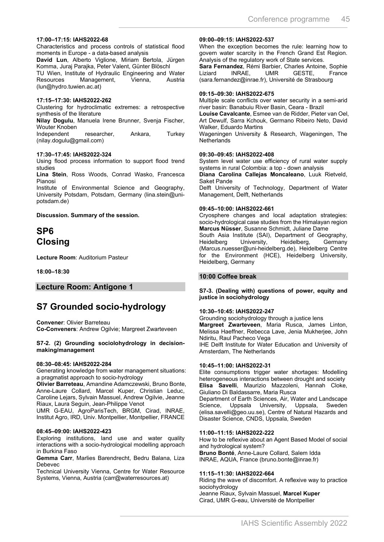#### **17:00–17:15: IAHS2022-68**

Characteristics and process controls of statistical flood moments in Europe - a data-based analysis

**David Lun**, Alberto Viglione, Miriam Bertola, Jürgen Komma, Juraj Parajka, Peter Valent, Günter Blöschl

TU Wien, Institute of Hydraulic Engineering and Water Resources Management, Vienna, Austria (lun@hydro.tuwien.ac.at)

#### **17:15–17:30: IAHS2022-262**

Clustering for hydroclimatic extremes: a retrospective synthesis of the literature

**Nilay Dogulu**, Manuela Irene Brunner, Svenja Fischer, Wouter Knoben

Independent researcher, Ankara, Turkey (nilay.dogulu@gmail.com)

#### **17:30–17:45: IAHS2022-324**

Using flood process information to support flood trend studies

**Lina Stein**, Ross Woods, Conrad Wasko, Francesca Pianosi

Institute of Environmental Science and Geography, University Potsdam, Potsdam, Germany (lina.stein@unipotsdam.de)

**Discussion. Summary of the session.**

### **SP6 Closing**

**Lecture Room**: Auditorium Pasteur

**18:00–18:30**

#### **Lecture Room: Antigone 1**

### **S7 Grounded socio-hydrology**

**Convener**: Olivier Barreteau **Co-Conveners**: Andrew Ogilvie; Margreet Zwarteveen

#### **S7-2. (2) Grounding sociolohydrology in decisionmaking/management**

#### **08:30–08:45: IAHS2022-284**

Generating knowledge from water management situations: a pragmatist approach to socio-hydrology

**Olivier Barreteau**, Amandine Adamczewski, Bruno Bonte, Anne-Laure Collard, Marcel Kuper, Christian Leduc, Caroline Lejars, Sylvain Massuel, Andrew Ogilvie, Jeanne Riaux, Laura Seguin, Jean-Philippe Venot

UMR G-EAU, AgroParisTech, BRGM, Cirad, INRAE, Institut Agro, IRD, Univ. Montpellier, Montpellier, FRANCE

#### **08:45–09:00: IAHS2022-423**

Exploring institutions, land use and water quality interactions with a socio-hydrological modelling approach in Burkina Faso

**Gemma Carr**, Marlies Barendrecht, Bedru Balana, Liza Debevec

Technical University Vienna, Centre for Water Resource Systems, Vienna, Austria (carr@waterresources.at)

#### **09:00–09:15: IAHS2022-537**

When the exception becomes the rule: learning how to govern water scarcity in the French Grand Est Region. Analysis of the regulatory work of State services.

**Sara Fernandez**, Rémi Barbier, Charles Antoine, Sophie GESTE, (sara.fernandez@inrae.fr), Université de Strasbourg

#### **09:15–09:30: IAHS2022-675**

Multiple scale conflicts over water security in a semi-arid river basin: Banabuiu River Basin, Ceara - Brazil

**Louise Cavalcante**, Esmee van de Ridder, Pieter van Oel, Art Dewulf, Sarra Kchouk, Germano Ribeiro Neto, David Walker, Eduardo Martins

Wageningen University & Research, Wageningen, The **Netherlands** 

#### **09:30–09:45: IAHS2022-408**

System level water use efficiency of rural water supply systems in rural Colombia: a top - down analysis

**Diana Carolina Callejas Moncaleano**, Luuk Rietveld, Saket Pande

Delft University of Technology, Department of Water Management, Delft, Netherlands

#### **09:45–10:00: IAHS2022-661**

Cryosphere changes and local adaptation strategies: socio-hydrological case studies from the Himalayan region **Marcus Nüsser**, Susanne Schmidt, Juliane Dame

South Asia Institute (SAI), Department of Geography, Heidelberg University, Heidelberg, Germany (Marcus.nuesser@uni-heidelberg.de), Heidelberg Centre for the Environment (HCE), Heidelberg University, Heidelberg, Germany

#### **10:00 Coffee break**

#### **S7-3. (Dealing with) questions of power, equity and justice in sociohydrology**

#### **10:30–10:45: IAHS2022-247**

Grounding sociohydrology through a justice lens **Margreet Zwarteveen**, Maria Rusca, James Linton, Melissa Haeffner, Rebecca Lave, Jenia Mukherjee, John Ndiritu, Raul Pacheco Vega

IHE Delft Institute for Water Education and University of Amsterdam, The Netherlands

#### **10:45–11:00: IAHS2022-31**

Elite consumptions trigger water shortages: Modelling heterogeneous interactions between drought and society **Elisa Savelli**, Maurizio Mazzoleni, Hannah Cloke, Giuliano Di Baldassarre, Maria Rusca

Department of Earth Sciences, Air, Water and Landscape Science, Uppsala University, Uppsala, Sweden (elisa.savelli@geo.uu.se), Centre of Natural Hazards and Disaster Science, CNDS, Uppsala, Sweden

#### **11:00–11:15: IAHS2022-222**

How to be reflexive about an Agent Based Model of social and hydrological system? **Bruno Bonté**, Anne-Laure Collard, Salem Idda INRAE, AQUA, France (bruno.bonte@inrae.fr)

#### **11:15–11:30: IAHS2022-664**

Riding the wave of discomfort. A reflexive way to practice sociohydrology

Jeanne Riaux, Sylvain Massuel, **Marcel Kuper** Cirad, UMR G-eau, Université de Montpellier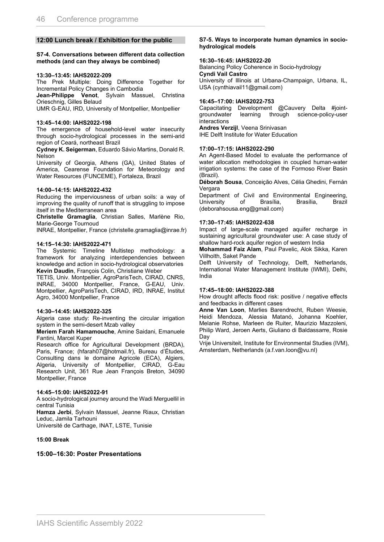#### **12:00 Lunch break / Exhibition for the public**

#### **S7-4. Conversations between different data collection methods (and can they always be combined)**

#### **13:30–13:45: IAHS2022-209**

The Prek Multiple: Doing Difference Together for Incremental Policy Changes in Cambodia

**Jean-Philippe Venot**, Sylvain Massuel, Christina Orieschnig, Gilles Belaud

UMR G-EAU, IRD, University of Montpellier, Montpellier

#### **13:45–14:00: IAHS2022-198**

The emergence of household-level water insecurity through socio-hydrological processes in the semi-arid region of Ceará, northeast Brazil

**Cydney K. Seigerman**, Eduardo Sávio Martins, Donald R. Nelson

University of Georgia, Athens (GA), United States of America, Cearense Foundation for Meteorology and Water Resources (FUNCEME), Fortaleza, Brazil

#### **14:00–14:15: IAHS2022-432**

Reducing the imperviousness of urban soils: a way of improving the quality of runoff that is struggling to impose itself in the Mediterranean area

**Christelle Gramaglia**, Christian Salles, Marlène Rio, Marie-George Tournoud

INRAE, Montpellier, France (christelle.gramaglia@inrae.fr)

#### **14:15–14:30: IAHS2022-471**

The Systemic Timeline Multistep methodology: a framework for analyzing interdependencies between knowledge and action in socio-hydrological observatories **Kevin Daudin**, François Colin, Christiane Weber

TETIS, Univ. Montpellier, AgroParisTech, CIRAD, CNRS, INRAE, 34000 Montpellier, France, G-EAU, Univ. Montpellier, AgroParisTech, CIRAD, IRD, INRAE, Institut Agro, 34000 Montpellier, France

#### **14:30–14:45: IAHS2022-325**

Algeria case study: Re-inventing the circular irrigation system in the semi-desert Mzab valley

**Meriem Farah Hamamouche**, Amine Saidani, Emanuele Fantini, Marcel Kuper

Research office for Agricultural Development (BRDA), Paris, France; (hfarah07@hotmail.fr), Bureau d'Études, Consulting dans le domaine Agricole (ECA), Algiers, Algeria, University of Montpellier, CIRAD, G-Eau Research Unit, 361 Rue Jean François Breton, 34090 Montpellier, France

#### **14:45–15:00: IAHS2022-91**

A socio-hydrological journey around the Wadi Merguellil in central Tunisia

**Hamza Jerbi**, Sylvain Massuel, Jeanne Riaux, Christian Leduc, Jamila Tarhouni

Université de Carthage, INAT, LSTE, Tunisie

#### **15:00 Break**

#### **15:00–16:30: Poster Presentations**

#### **S7-5. Ways to incorporate human dynamics in sociohydrological models**

#### **16:30–16:45: IAHS2022-20**

Balancing Policy Coherence in Socio-hydrology **Cyndi Vail Castro** University of Illinois at Urbana-Champaign, Urbana, IL, USA (cynthiavail11@gmail.com)

#### **16:45–17:00: IAHS2022-753**

Capacitating Development @Cauvery Delta #jointgroundwater learning through science-policy-user interactions

**Andres Verzijl**, Veena Srinivasan IHE Delft Institute for Water Education

#### **17:00–17:15: IAHS2022-290**

An Agent-Based Model to evaluate the performance of water allocation methodologies in coupled human-water irrigation systems: the case of the Formoso River Basin (Brazil).

**Déborah Sousa**, Conceição Alves, Célia Ghedini, Fernán Vergara

Department of Civil and Environmental Engineering, University of Brasília, Brasília, Brazil (deborahsousa.eng@gmail.com)

#### **17:30–17:45: IAHS2022-638**

Impact of large-scale managed aquifer recharge in sustaining agricultural groundwater use: A case study of shallow hard-rock aquifer region of western India

**Mohammad Faiz Alam**, Paul Pavelic, Alok Sikka, Karen Villholth, Saket Pande

Delft University of Technology, Delft, Netherlands, International Water Management Institute (IWMI), Delhi, India

#### **17:45–18:00: IAHS2022-388**

How drought affects flood risk: positive / negative effects and feedbacks in different cases

**Anne Van Loon**, Marlies Barendrecht, Ruben Weesie, Heidi Mendoza, Alessia Matanó, Johanna Koehler, Melanie Rohse, Marleen de Ruiter, Maurizio Mazzoleni, Philip Ward, Jeroen Aerts, Giuliano di Baldassarre, Rosie Day

Vrije Universiteit, Institute for Environmental Studies (IVM), Amsterdam, Netherlands (a.f.van.loon@vu.nl)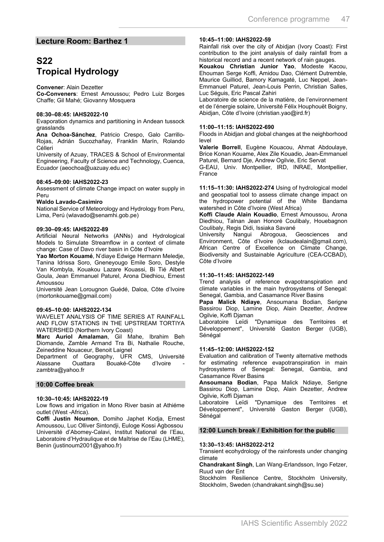#### **Lecture Room: Barthez 1**

### **S22 Tropical Hydrology**

#### **Convener**: Alain Dezetter

**Co-Conveners**: Ernest Amoussou; Pedro Luiz Borges Chaffe; Gil Mahé; Giovanny Mosquera

#### **08:30–08:45: IAHS2022-10**

Evaporation dynamics and partitioning in Andean tussock grasslands

**Ana Ochoa-Sánchez**, Patricio Crespo, Galo Carrillo-Rojas, Adrián Sucozhañay, Franklin Marín, Rolando Célleri

University of Azuay, TRACES & School of Environmental Engineering, Faculty of Science and Technology, Cuenca, Ecuador (aeochoa@uazuay.edu.ec)

#### **08:45–09:00: IAHS2022-23**

Assessment of climate Change impact on water supply in Peru

#### **Waldo Lavado-Casimiro**

National Service of Meteorology and Hydrology from Peru, Lima, Perú (wlavado@senamhi.gob.pe)

#### **09:30–09:45: IAHS2022-89**

Artificial Neural Networks (ANNs) and Hydrological Models to Simulate Streamflow in a context of climate change: Case of Davo river basin in Côte d'Ivoire

**Yao Morton Kouamé**, N'diaye Edwige Hermann Meledje, Tanina Idrissa Soro, Gneneyougo Emile Soro, Destyle Van Kombyla, Kouakou Lazare Kouassi, Bi Tié Albert Goula, Jean Emmanuel Paturel, Arona Diedhiou, Ernest **Amoussou** 

Université Jean Lorougnon Guédé, Daloa, Côte d'Ivoire (mortonkouame@gmail.com)

#### **09:45–10:00: IAHS2022-134**

WAVELET ANALYSIS OF TIME SERIES AT RAINFALL AND FLOW STATIONS IN THE UPSTREAM TORTIYA WATERSHED (Northern Ivory Coast)

**Marc Auriol Amalaman**, Gil Mahe, Ibrahim Beh Diomande, Zamble Armand Tra Bi, Nathalie Rouche, Zeineddine Nouaceur, Benoit Laignel

Department of Geography, UFR CMS, Université Bouaké-Côte zambtra@yahoo.fr

#### **10:00 Coffee break**

#### **10:30–10:45: IAHS2022-19**

Low flows and irrigation in Mono River basin at Athiéme outlet (West -Africa).

**Coffi Justin Noumon**, Domiho Japhet Kodja, Ernest Amoussou, Luc Olliver Sintondji, Euloge Kossi Agbossou Université d'Abomey-Calavi, Institut National de l'Eau, Laboratoire d'Hydraulique et de Maîtrise de l'Eau (LHME), Benin (justinoum2001@yahoo.fr)

#### **10:45–11:00: IAHS2022-59**

Rainfall risk over the city of Abidjan (Ivory Coast): First contribution to the joint analysis of daily rainfall from a historical record and a recent network of rain gauges.

**Kouakou Christian Junior Yao**, Modeste Kacou, Ehouman Serge Koffi, Amidou Dao, Clément Dutremble, Maurice Guilliod, Bamory Kamagaté, Luc Neppel, Jean-Emmanuel Paturel, Jean-Louis Perrin, Christian Salles, Luc Séguis, Eric Pascal Zahiri

Laboratoire de science de la matière, de l'environnement et de l'énergie solaire, Université Félix Houphouët Boigny, Abidjan, Côte d'Ivoire (christian.yao@ird.fr)

#### **11:00–11:15: IAHS2022-690**

Floods in Abidjan and global changes at the neighborhood level

**Valerie Borrell**, Eugène Kouacou, Ahmat Abdoulaye, Brice Konan Kouame, Alex Zile Kouadio, Jean-Emmanuel Paturel, Bernard Dje, Andrew Ogilvie, Eric Servat

G-EAU, Univ. Montpellier, IRD, INRAE, Montpellier, France

**11:15–11:30: IAHS2022-274** Using of hydrological model and geospatial tool to assess climate change impact on the hydropower potential of the White Bandama watershed in Côte d'Ivoire (West Africa)

**Koffi Claude Alain Kouadio**, Ernest Amoussou, Arona Diedhiou, Talnan Jean Honoré Coulibaly, Houebagnon Coulibaly, Regis Didi, Issiaka Savané

University Nangui Abrogoua, Geosciences and Environment, Côte d'Ivoire (kclaudealain@gmail.com), African Centre of Excellence on Climate Change, Biodiversity and Sustainable Agriculture (CEA-CCBAD), Côte d'Ivoire

#### **11:30–11:45: IAHS2022-149**

Trend analysis of reference evapotranspiration and climate variables in the main hydrosystems of Senegal: Senegal, Gambia, and Casamance River Basins

**Papa Malick Ndiaye**, Ansoumana Bodian, Serigne Bassirou Diop, Lamine Diop, Alain Dezetter, Andrew Ogilvie, Koffi Djaman

Laboratoire Leïdi "Dynamique des Territoires et Développement", Université Gaston Berger (UGB), Sénégal

#### **11:45–12:00: IAHS2022-152**

Evaluation and calibration of Twenty alternative methods for estimating reference evapotranspiration in main hydrosystems of Senegal: Senegal, Gambia, and Casamance River Basins

**Ansoumana Bodian**, Papa Malick Ndiaye, Serigne Bassirou Diop, Lamine Diop, Alain Dezetter, Andrew Ogilvie, Koffi Djaman

Laboratoire Leïdi "Dynamique des Territoires et Développement", Université Gaston Berger (UGB), Sénégal

#### **12:00 Lunch break / Exhibition for the public**

#### **13:30–13:45: IAHS2022-212**

Transient ecohydrology of the rainforests under changing climate

**Chandrakant Singh**, Lan Wang-Erlandsson, Ingo Fetzer, Ruud van der Ent

Stockholm Resilience Centre, Stockholm University, Stockholm, Sweden (chandrakant.singh@su.se)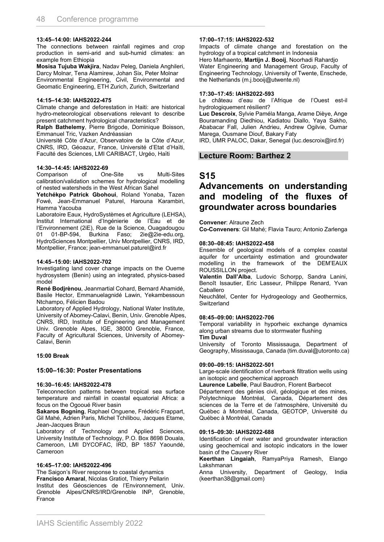#### **13:45–14:00: IAHS2022-244**

The connections between rainfall regimes and crop production in semi-arid and sub-humid climates: an example from Ethiopia

**Mosisa Tujuba Wakjira**, Nadav Peleg, Daniela Anghileri, Darcy Molnar, Tena Alamirew, Johan Six, Peter Molnar Environmental Engineering, Civil, Environmental and Geomatic Engineering, ETH Zurich, Zurich, Switzerland

#### **14:15–14:30: IAHS2022-475**

Climate change and deforestation in Haiti: are historical hydro-meteorological observations relevant to describe present catchment hydrological characteristics?

**Ralph Bathelemy**, Pierre Brigode, Dominique Boisson, Emmanuel Tric, Vazken Andréassian

Université Côte d'Azur, Observatoire de la Côte d'Azur, CNRS, IRD, Géoazur, France, Université d'Etat d'Haïti, Faculté des Sciences, LMI CARIBACT, Urgéo, Haïti

#### **14:30–14:45: IAHS2022-69**

Comparison of One-Site vs Multi-Sites calibration/validation schemes for hydrological modelling of nested watersheds in the West African Sahel

**Yetchékpo Patrick Gbohoui**, Roland Yonaba, Tazen Fowé, Jean-Emmanuel Paturel, Harouna Karambiri, Hamma Yacouba

Laboratoire Eaux, HydroSystèmes et Agriculture (LEHSA), Institut International d'Ingénierie de l'Eau et de l'Environnement (2iE), Rue de la Science, Ouagadougou 01 01-BP-594, Burkina Faso; 2ie@2ie-edu.org, HydroSciences Montpellier, Univ Montpellier, CNRS, IRD, Montpellier, France; jean-emmanuel.paturel@ird.fr

#### **14:45–15:00: IAHS2022-702**

Investigating land cover change impacts on the Oueme hydrosystem (Benin) using an integrated, physics-based model

**René Bodjrènou**, Jeanmartial Cohard, Bernard Ahamidé, Basile Hector, Emmanuelagnidé Lawin, Yekambessoun Ntchampo, Félicien Badou

Laboratory of Applied Hydrology, National Water Institute, University of Abomey-Calavi, Benin, Univ. Grenoble Alpes, CNRS, IRD, Institute of Engineering and Management Univ. Grenoble Alpes, IGE, 38000 Grenoble, France, Faculty of Agricultural Sciences, University of Abomey-Calavi, Benin

#### **15:00 Break**

#### **15:00–16:30: Poster Presentations**

#### **16:30–16:45: IAHS2022-478**

Teleconnection patterns between tropical sea surface temperature and rainfall in coastal equatorial Africa: a focus on the Ogooué River basin

**Sakaros Bogning**, Raphael Onguene, Frédéric Frappart, Gil Mahé, Adrien Paris, Michel Tchilibou, Jacques Etame, Jean-Jacques Braun

Laboratory of Technology and Applied Sciences, University Institute of Technology, P.O. Box 8698 Douala, Cameroon, LMI DYCOFAC, IRD, BP 1857 Yaoundé, Cameroon

#### **16:45–17:00: IAHS2022-496**

The Saigon's River response to coastal dynamics **Francisco Amaral**, Nicolas Gratiot, Thierry Pellarin Institut des Géosciences de l'Environnement, Univ. Grenoble Alpes/CNRS/IRD/Grenoble INP, Grenoble, France

#### **17:00–17:15: IAHS2022-532**

Impacts of climate change and forestation on the hydrology of a tropical catchment in Indonesia

Hero Marhaento, **Martijn J. Booij**, Noorhadi Rahardjo Water Engineering and Management Group, Faculty of Engineering Technology, University of Twente, Enschede, the Netherlands (m.j.booij@utwente.nl)

#### **17:30–17:45: IAHS2022-593**

Le château d'eau de l'Afrique de l'Ouest est-il hydrologiquement résilient?

**Luc Descroix**, Sylvie Paméla Manga, Arame Dièye, Ange Bouramanding Diedhiou, Kadiatou Diallo, Yaya Sakho, Ababacar Fall, Julien Andrieu, Andrew Ogilvie, Oumar Marega, Ousmane Diouf, Bakary Faty

IRD, UMR PALOC, Dakar, Senegal (luc.descroix@ird.fr)

#### **Lecture Room: Barthez 2**

### **S15**

### **Advancements on understanding and modeling of the fluxes of groundwater across boundaries**

**Convener**: Alraune Zech

**Co-Conveners**: Gil Mahé; Flavia Tauro; Antonio Zarlenga

#### **08:30–08:45: IAHS2022-458**

Ensemble of geological models of a complex coastal aquifer for uncertainty estimation and groundwater modelling in the framework of the DEM'EAUX ROUSSILLON project.

**Valentin Dall'Alba**, Ludovic Schorpp, Sandra Lanini, Benoît Issautier, Eric Lasseur, Philippe Renard, Yvan Caballero

Neuchâtel, Center for Hydrogeology and Geothermics, **Switzerland** 

#### **08:45–09:00: IAHS2022-706**

Temporal variability in hyporheic exchange dynamics along urban streams due to stormwater flushing **Tim Duval**

University of Toronto Mississauga, Department of Geography, Mississauga, Canada (tim.duval@utoronto.ca)

#### **09:00–09:15: IAHS2022-501**

Large-scale identification of riverbank filtration wells using an isotopic and geochemical approach

**Laurence Labelle**, Paul Baudron, Florent Barbecot Département des génies civil, géologique et des mines,

Polytechnique Montréal, Canada, Département des sciences de la Terre et de l'atmosphère, Université du Québec à Montréal, Canada, GEOTOP, Université du Québec à Montréal, Canada

#### **09:15–09:30: IAHS2022-688**

Identification of river water and groundwater interaction using geochemical and isotopic indicators in the lower basin of the Cauvery River

**Keerthan Lingaiah**, RamyaPriya Ramesh, Elango Lakshmanan

Anna University, Department of Geology, India (keerthan38@gmail.com)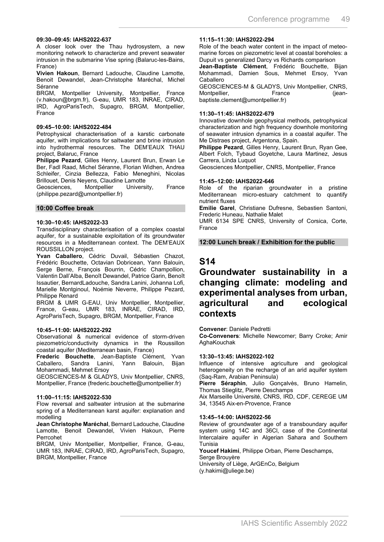#### **09:30–09:45: IAHS2022-637**

A closer look over the Thau hydrosystem, a new monitoring network to characterize and prevent seawater intrusion in the submarine Vise spring (Balaruc-les-Bains, France)

**Vivien Hakoun**, Bernard Ladouche, Claudine Lamotte, Benoit Dewandel, Jean-Christophe Maréchal, Michel Séranne

BRGM, Montpellier University, Montpellier, France (v.hakoun@brgm.fr), G-eau, UMR 183, INRAE, CIRAD, IRD, AgroParisTech, Supagro, BRGM, Montpellier, France

#### **09:45–10:00: IAHS2022-484**

Petrophysical characterisation of a karstic carbonate aquifer, with implications for saltwater and brine intrusion into hydrothermal resources. The DEM'EAUX THAU project, Balaruc, France

**Philippe Pezard**, Gilles Henry, Laurent Brun, Erwan Le Ber, Fadl Raad, Michel Séranne, Florian Widhen, Andrea Schleifer, Cinzia Bellezza, Fabio Meneghini, Nicolas

Brillouet, Denis Neyens, Claudine Lamotte<br>Geosciences, Montpellier Univers Geosciences, Montpellier University, France (philippe.pezard@umontpellier.fr)

#### **10:00 Coffee break**

#### **10:30–10:45: IAHS2022-33**

Transdisciplinary characterisation of a complex coastal aquifer, for a sustainable exploitation of its groundwater resources in a Mediterranean context. The DEM'EAUX ROUSSILLON project.

**Yvan Caballero**, Cédric Duvail, Sébastien Chazot, Frédéric Bouchette, Octavian Dobricean, Yann Balouin, Serge Berne, François Bourrin, Cédric Champollion, Valentin Dall'Alba, Benoît Dewandel, Patrice Garin, Benoît Issautier, BernardLadouche, Sandra Lanini, Johanna Lofi, Marielle Montginoul, Noémie Neverre, Philippe Pezard, Philippe Renard

BRGM & UMR G-EAU, Univ Montpellier, Montpellier, France, G-eau, UMR 183, INRAE, CIRAD, IRD, AgroParisTech, Supagro, BRGM, Montpellier, France

#### **10:45–11:00: IAHS2022-292**

Observational & numerical evidence of storm-driven piezometric/conductivity dynamics in the Roussillon coastal aquifer (Mediterranean basin, France)

**Frederic Bouchette**, Jean-Baptiste Clément, Yvan Caballero, Sandra Lanini, Yann Balouin, Mohammadi, Mehmet Ersoy

GEOSCIENCES-M & GLADYS, Univ Montpellier, CNRS, Montpellier, France (frederic.bouchette@umontpellier.fr)

#### **11:00–11:15: IAHS2022-530**

Flow reversal and saltwater intrusion at the submarine spring of a Mediterranean karst aquifer: explanation and modelling

**Jean Christophe Maréchal**, Bernard Ladouche, Claudine Lamotte, Benoit Dewandel, Vivien Hakoun, Pierre Perrcohet

BRGM, Univ Montpellier, Montpellier, France, G-eau, UMR 183, INRAE, CIRAD, IRD, AgroParisTech, Supagro, BRGM, Montpellier, France

#### **11:15–11:30: IAHS2022-294**

Role of the beach water content in the impact of meteomarine forces on piezometric level at coastal boreholes: a Dupuit vs generalized Darcy vs Richards comparison

**Jean-Baptiste Clément**, Frédéric Bouchette, Bijan Mohammadi, Damien Sous, Mehmet Ersoy, Yvan Caballero

GEOSCIENCES-M & GLADYS, Univ Montpellier, CNRS, Montpellier, France (jeanbaptiste.clement@umontpellier.fr)

#### **11:30–11:45: IAHS2022-679**

Innovative downhole geophysical methods, petrophysical characterization and high frequency downhole monitoring of seawater intrusion dynamics in a coastal aquifer. The Me Distraes project, Argentona, Spain.

**Philippe Pezard**, Gilles Henry, Laurent Brun, Ryan Gee, Albert Folch, Tybaud Goyetche, Laura Martinez, Jesus Carrera, Linda Luquot

Geosciences Montpellier, CNRS, Montpellier, France

#### **11:45–12:00: IAHS2022-646**

Role of the riparian groundwater in a pristine Mediterranean micro-estuary catchment to quantify nutrient fluxes

**Emilie Garel**, Christiane Dufresne, Sebastien Santoni, Frederic Huneau, Nathalie Malet

UMR 6134 SPE CNRS, University of Corsica, Corte, France

#### **12:00 Lunch break / Exhibition for the public**

### **S14**

### **Groundwater sustainability in a changing climate: modeling and experimental analyses from urban, agricultural and ecological contexts**

**Convener**: Daniele Pedretti

**Co-Conveners**: Michelle Newcomer; Barry Croke; Amir AghaKouchak

#### **13:30–13:45: IAHS2022-102**

Influence of intensive agriculture and geological heterogeneity on the recharge of an arid aquifer system (Saq-Ram, Arabian Peninsula)

**Pierre Séraphin**, Julio Gonçalvès, Bruno Hamelin, Thomas Stieglitz, Pierre Deschamps

Aix Marseille Université, CNRS, IRD, CDF, CEREGE UM 34, 13545 Aix-en-Provence, France

#### **13:45–14:00: IAHS2022-56**

Review of groundwater age of a transboundary aquifer system using 14C and 36Cl, case of the Continental Intercalaire aquifer in Algerian Sahara and Southern Tunisia

**Youcef Hakimi**, Philippe Orban, Pierre Deschamps, Serge Brouyère

University of Liège, ArGEnCo, Belgium (y.hakimi@uliege.be)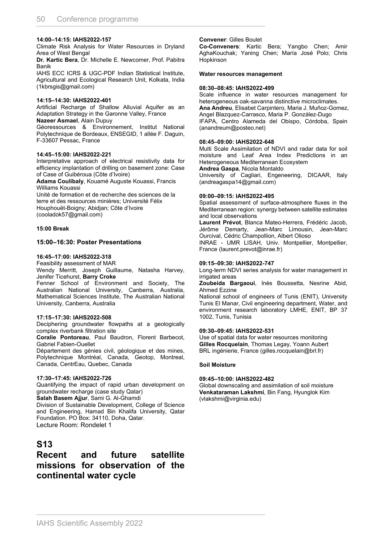#### **14:00–14:15: IAHS2022-157**

Climate Risk Analysis for Water Resources in Dryland Area of West Bengal

**Dr. Kartic Bera**, Dr. Michelle E. Newcomer, Prof. Pabitra Banik

IAHS ECC ICRS & UGC-PDF Indian Statistical Institute, Agricultural and Ecological Research Unit, Kolkata, India (1kbrsgis@gmail.com)

#### **14:15–14:30: IAHS2022-401**

Artificial Recharge of Shallow Alluvial Aquifer as an Adaptation Strategy in the Garonne Valley, France

**Nazeer Asmael**, Alain Dupuy

Géoressources & Environnement, Institut National Polytechnique de Bordeaux, ENSEGID, 1 allée F. Daguin, F-33607 Pessac, France

#### **14:45–15:00: IAHS2022-221**

Interpretative approach of electrical resistivity data for efficiency implantation of drilling on basement zone: Case of Case of Guibéroua (Côte d'Ivoire)

**Adama Coulibaly**, Kouamé Auguste Kouassi, Francis Williams Kouassi

Unité de formation et de recherche des sciences de la terre et des ressources minières; Université Félix Houphouët-Boigny; Abidjan; Côte d'Ivoire (cooladok57@gmail.com)

#### **15:00 Break**

#### **15:00–16:30: Poster Presentations**

#### **16:45–17:00: IAHS2022-318**

Feasibility assessment of MAR Wendy Merritt, Joseph Guillaume, Natasha Harvey, Jenifer Ticehurst, **Barry Croke**

Fenner School of Environment and Society, The Australian National University, Canberra, Australia, Mathematical Sciences Institute, The Australian National University, Canberra, Australia

#### **17:15–17:30: IAHS2022-508**

Deciphering groundwater flowpaths at a geologically complex riverbank filtration site

**Coralie Pontoreau**, Paul Baudron, Florent Barbecot, Gabriel Fabien-Ouellet

Département des génies civil, géologique et des mines, Polytechnique Montréal, Canada, Geotop, Montreal, Canada, CentrEau, Quebec, Canada

#### **17:30–17:45: IAHS2022-726**

Quantifying the impact of rapid urban development on groundwater recharge (case study Qatar)

**Salah Basem Ajjur**, Sami G. Al-Ghamdi

Division of Sustainable Development, College of Science and Engineering, Hamad Bin Khalifa University, Qatar Foundation. PO Box: 34110, Doha, Qatar. Lecture Room: Rondelet 1

### **S13**

### **Recent and future satellite missions for observation of the continental water cycle**

#### **Convener**: Gilles Boulet

**Co-Conveners**: Kartic Bera; Yangbo Chen; Amir AghaKouchak; Yaning Chen; María José Polo; Chris Hopkinson

#### **Water resources management**

#### **08:30–08:45: IAHS2022-499**

Scale influence in water resources management for heterogeneous oak-savanna distinctive microclimates. **Ana Andreu**, Elisabet Carpintero, Maria J. Muñoz-Gomez, Angel Blazquez-Carrasco, Maria P. González-Dugo IFAPA, Centro Alameda del Obispo, Córdoba, Spain (anandreum@posteo.net)

#### **08:45–09:00: IAHS2022-648**

Multi Scale Assimilation of NDVI and radar data for soil moisture and Leaf Area Index Predictions in an Heterogeneous Mediterranean Ecosystem

**Andrea Gaspa**, Nicola Montaldo

University of Cagliari, Engeneering, DICAAR, Italy (andreagaspa14@gmail.com)

#### **09:00–09:15: IAHS2022-495**

Spatial assessment of surface-atmosphere fluxes in the Mediterranean region: synergy between satellite estimates and local observations

**Laurent Prévot**, Blanca Mateo-Herrera, Frédéric Jacob, Jérôme Demarty, Jean-Marc Limousin, Jean-Marc Ourcival, Cédric Champollion, Albert Olioso

INRAE - UMR LISAH, Univ. Montpellier, Montpellier, France (laurent.prevot@inrae.fr)

#### **09:15–09:30: IAHS2022-747**

Long-term NDVI series analysis for water management in irrigated areas

**Zoubeida Bargaoui**, Inès Boussetta, Nesrine Abid, Ahmed Ezzine

National school of engineers of Tunis (ENIT), University Tunis El Manar, Civil engineering department, Water, and environment research laboratory LMHE, ENIT, BP 37 1002, Tunis, Tunisia

#### **09:30–09:45: IAHS2022-531**

Use of spatial data for water resources monitoring **Gilles Rocquelain**, Thomas Legay, Yoann Aubert BRL ingénierie, France (gilles.rocquelain@brl.fr)

#### **Soil Moisture**

#### **09:45–10:00: IAHS2022-482**

Global downscaling and assimilation of soil moisture **Venkataraman Lakshmi**, Bin Fang, Hyunglok Kim (vlakshmi@virginia.edu)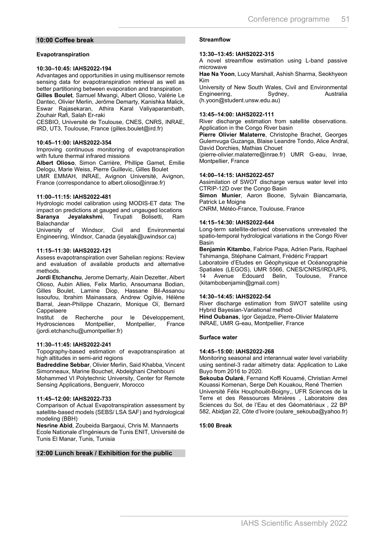#### **10:00 Coffee break**

#### **Evapotranspiration**

#### **10:30–10:45: IAHS2022-194**

Advantages and opportunities in using multisensor remote sensing data for evapotranspiration retrieval as well as better partitioning between evaporation and transpiration **Gilles Boulet**, Samuel Mwangi, Albert Olioso, Valérie Le Dantec, Olivier Merlin, Jerôme Demarty, Kanishka Malick, Eswar Rajasekaran, Athira Karal Valiyaparambath, Zouhair Rafi, Salah Er-raki

CESBIO, Université de Toulouse, CNES, CNRS, INRAE, IRD, UT3, Toulouse, France (gilles.boulet@ird.fr)

#### **10:45–11:00: IAHS2022-354**

Improving continuous monitoring of evapotranspiration with future thermal infrared missions

**Albert Olioso**, Simon Carrière, Phillipe Gamet, Emilie Delogu, Marie Weiss, Pierre Guillevic, Gilles Boulet

UMR EMMAH, INRAE, Avignon Université, Avignon, France (correspondance to albert.olioso@inrae.fr)

#### **11:00–11:15: IAHS2022-481**

Hydrologic model calibration using MODIS-ET data: The impact on predictions at gauged and ungauged locations<br>**Saranya Jevalakshmi**. Tirupati Bolisetti. Ram Saranya Jeyalakshmi. Balachandar

University of Windsor, Civil and Environmental Engineering, Windsor, Canada (jeyalak@uwindsor.ca)

#### **11:15–11:30: IAHS2022-121**

Assess evapotranspiration over Sahelian regions: Review and evaluation of available products and alternative methods.

**Jordi Etchanchu**, Jerome Demarty, Alain Dezetter, Albert Olioso, Aubin Allies, Felix Marlio, Ansoumana Bodian, Gilles Boulet, Lamine Diop, Hassane Bil-Assanou Issoufou, Ibrahim Mainassara, Andrew Ogilvie, Hélène Barral, Jean-Philippe Chazarin, Monique Oï, Bernard Cappelaere

Institut de Recherche pour le Développement,<br>Hydrosciences Montpellier, Montpellier, France Hydrosciences Montpellier, Montpellier, France (jordi.etchanchu@umontpellier.fr)

#### **11:30–11:45: IAHS2022-241**

Topography-based estimation of evapotranspiration at high altitudes in semi-arid regions

**Badreddine Sebbar**, Olivier Merlin, Said Khabba, Vincent Simonneaux, Marine Bouchet, Abdelghani Chehbouni

Mohammed VI Polytechnic University, Center for Remote Sensing Applications, Benguerir, Morocco

#### **11:45–12:00: IAHS2022-733**

Comparison of Actual Evapotranspiration assessment by satellite-based models (SEBS/ LSA SAF) and hydrological modeling (BBH)

**Nesrine Abid**, Zoubeida Bargaoui, Chris M. Mannaerts Ecole Nationale d'Ingénieurs de Tunis ENIT, Université de Tunis El Manar, Tunis, Tunisia

#### **12:00 Lunch break / Exhibition for the public**

#### **Streamflow**

#### **13:30–13:45: IAHS2022-315**

A novel streamflow estimation using L-band passive microwave

**Hae Na Yoon**, Lucy Marshall, Ashish Sharma, Seokhyeon Kim

University of New South Wales, Civil and Environmental Engineering, Sydney, Australia (h.yoon@student.unsw.edu.au)

#### **13:45–14:00: IAHS2022-111**

River discharge estimation from satellite observations. Application in the Congo River basin

**Pierre Olivier Malaterre**, Christophe Brachet, Georges Gulemvuga Guzanga, Blaise Leandre Tondo, Alice Andral, David Dorchies, Mathias Chouet

(pierre-olivier.malaterre@inrae.fr) UMR G-eau, Inrae, Montpellier, France

#### **14:00–14:15: IAHS2022-657**

Assimilation of SWOT discharge versus water level into CTRIP-12D over the Congo Basin

**Simon Munier**, Aaron Boone, Sylvain Biancamaria, Patrick Le Moigne

CNRM, Météo-France, Toulouse, France

#### **14:15–14:30: IAHS2022-644**

Long-term satellite-derived observations unrevealed the spatio-temporal hydrological variations in the Congo River Basin

**Benjamin Kitambo**, Fabrice Papa, Adrien Paris, Raphael Tshimanga, Stéphane Calmant, Frédéric Frappart

Laboratoire d'Etudes en Géophysique et Océanographie Spatiales (LEGOS), UMR 5566, CNES/CNRS/IRD/UPS, 14 Avenue Edouard Belin, Toulouse, France (kitambobenjamin@gmail.com)

#### **14:30–14:45: IAHS2022-54**

River discharge estimation from SWOT satellite using Hybrid Bayesian-Variational method **Hind Oubanas**, Igor Gejadze, Pierre-Olivier Malaterre INRAE, UMR G-eau, Montpellier, France

#### **Surface water**

#### **14:45–15:00: IAHS2022-268**

Monitoring seasonal and interannual water level variability using sentinel-3 radar altimetry data: Application to Lake Buyo from 2016 to 2020.

**Sekouba Oularé**, Fernand Koffi Kouamé, Christian Armel Kouassi Komenan, Serge Deh Kouakou, René Therrien Université Félix Houphouët-Boigny,, UFR Sciences de la

Terre et des Ressources Minières , Laboratoire des Sciences du Sol, de l'Eau et des Géomatériaux , 22 BP 582, Abidjan 22, Côte d'Ivoire (oulare\_sekouba@yahoo.fr)

#### **15:00 Break**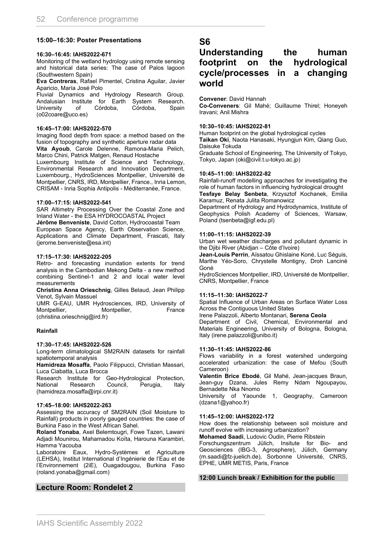#### **15:00–16:30: Poster Presentations**

#### **16:30–16:45: IAHS2022-671**

Monitoring of the wetland hydrology using remote sensing and historical data series: The case of Palos lagoon (Southwestern Spain)

**Eva Contreras**, Rafael Pimentel, Cristina Aguilar, Javier Aparicio, María José Polo

Fluvial Dynamics and Hydrology Research Group. Andalusian Institute for Earth System Research. University (o02coare@uco.es)

#### **16:45–17:00: IAHS2022-570**

Imaging flood depth from space: a method based on the fusion of topography and synthetic aperture radar data **Vita Ayoub**, Carole Delenne, Ramona-Maria Pelich, Marco Chini, Patrick Matgen, Renaud Hostache

Luxembourg Institute of Science and Technology, Environmental Research and Innovation Department, Luxembourg., HydroSciences Montpellier, Université de Montpellier, CNRS, IRD, Montpellier, France., Inria Lemon, CRISAM - Inria Sophia Antipolis - Méditerranée, France.

#### **17:00–17:15: IAHS2022-541**

SAR Altimetry Processing Over the Coastal Zone and Inland Water - the ESA HYDROCOASTAL Project **Jérôme Benveniste**, David Cotton, Hydrocoastal Team European Space Agency, Earth Observation Science, Applications and Climate Department, Frascati, Italy (jerome.benveniste@esa.int)

#### **17:15–17:30: IAHS2022-205**

Retro- and forecasting inundation extents for trend analysis in the Cambodian Mekong Delta - a new method combining Sentinel-1 and 2 and local water level measurements

**Christina Anna Orieschnig**, Gilles Belaud, Jean Philipp Venot, Sylvain Massuel

UMR G-EAU, UMR Hydrosciences, IRD, University of Montpellier, Montpellier, France (christina.orieschnig@ird.fr)

#### **Rainfall**

#### **17:30–17:45: IAHS2022-526**

Long-term climatological SM2RAIN datasets for rainfall spatiotemporal analysis

**Hamidreza Mosaffa**, Paolo Filippucci, Christian Massari, Luca Ciabatta, Luca Brocca

Research Institute for Geo-Hydrological Protection, National Research Council, Perugia, Italy (hamidreza.mosaffa@irpi.cnr.it)

#### **17:45–18:00: IAHS2022-263**

Assessing the accuracy of SM2RAIN (Soil Moisture to Rainfall) products in poorly gauged countries: the case of Burkina Faso in the West African Sahel.

**Roland Yonaba**, Axel Belemtougri, Fowe Tazen, Lawani Adjadi Mounirou, Mahamadou Koïta, Harouna Karambiri, Hamma Yacouba

Laboratoire Eaux, Hydro-Systèmes et Agriculture (LEHSA), Institut International d'Ingénierie de l'Eau et de l'Environnement (2iE), Ouagadougou, Burkina Faso (roland.yonaba@gmail.com)

### **Lecture Room: Rondelet 2**

### **S6**

### **Understanding the human footprint on the hydrological cycle/processes in a changing world**

#### **Convener**: David Hannah

**Co-Conveners**: Gil Mahé; Guillaume Thirel; Honeyeh Iravani; Anil Mishra

#### **10:30–10:45: IAHS2022-81**

Human footprint on the global hydrological cycles **Taikan Oki**, Naota Hanasaki, Hyungjun Kim, Qiang Guo, Daisuke Tokuda

Graduate School of Engineering, The University of Tokyo, Tokyo, Japan (oki@civil.t.u-tokyo.ac.jp)

#### **10:45–11:00: IAHS2022-82**

Rainfall-runoff modelling approaches for investigating the role of human factors in influencing hydrological drought **Tesfaye Belay Senbeta**, Krzysztof Kochanek, Emilia

Karamuz, Renata Julita Romanowicz Department of Hydrology and Hydrodynamics, Institute of

Geophysics Polish Academy of Sciences, Warsaw, Poland (tsenbeta@igf.edu.pl)

#### **11:00–11:15: IAHS2022-39**

Urban wet weather discharges and pollutant dynamic in the Djibi River (Abidjan – Côte d'Ivoire)

**Jean-Louis Perrin**, Aïssatou Ghislaine Koné, Luc Séguis, Marthe Yéo-Soro, Chrystelle Montigny, Droh Lanciné Goné

HydroSciences Montpellier, IRD, Université de Montpellier, CNRS, Montpellier, France

#### **11:15–11:30: IAHS2022-7**

Spatial Influence of Urban Areas on Surface Water Loss Across the Contiguous United States

Irene Palazzoli, Alberto Montanari, **Serena Ceola**

Department of Civil, Chemical, Environmental and Materials Engineering, University of Bologna, Bologna, Italy (irene.palazzoli@unibo.it)

#### **11:30–11:45: IAHS2022-86**

Flows variability in a forest watershed undergoing accelerated urbanization: the case of Mefou (South Cameroon)

**Valentin Brice Ebodé**, Gil Mahé, Jean-jacques Braun, Jean-guy Dzana, Jules Remy Ndam Ngoupayou, Bernadette Nka Nnomo

University of Yaounde 1, Geography, Cameroon (dzana1@yahoo.fr)

#### **11:45–12:00: IAHS2022-172**

How does the relationship between soil moisture and runoff evolve with increasing urbanization?

**Mohamed Saadi**, Ludovic Oudin, Pierre Ribstein

Forschungszentrum Jülich, Insitute for Bio- and Geosciences (IBG-3, Agrosphere), Jülich, Germany (m.saadi@fz-juelich.de), Sorbonne Université, CNRS, EPHE, UMR METIS, Paris, France

#### **12:00 Lunch break / Exhibition for the public**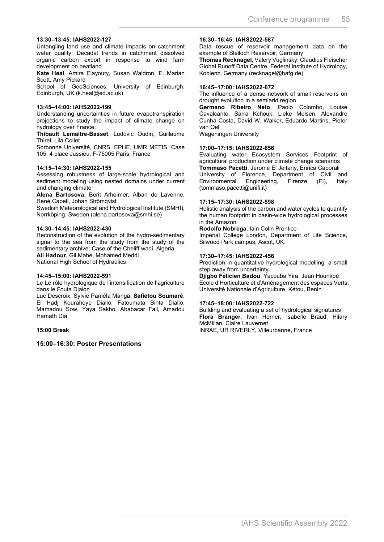#### **13:30–13:45: IAHS2022-127**

Untangling land use and climate impacts on catchment water quality: Decadal trends in catchment dissolved organic carbon export in response to wind farm development on peatland

**Kate Heal**, Amira Elayouty, Susan Waldron, E. Marian Scott, Amy Pickard

School of GeoSciences, University of Edinburgh, Edinburgh, UK (k.heal@ed.ac.uk)

#### **13:45–14:00: IAHS2022-199**

Understanding uncertainties in future evapotranspiration projections to study the impact of climate change on hydrology over France.

**Thibault Lemaitre-Basset**, Ludovic Oudin, Guillaume Thirel, Lila Collet

Sorbonne Université, CNRS, EPHE, UMR METIS, Case 105, 4 place Jussieu, F-75005 Paris, France

#### **14:15–14:30: IAHS2022-155**

Assessing robustness of large-scale hydrological and sediment modeling using nested domains under current and changing climate

**Alena Bartosova**, Berit Arheimer, Alban de Lavenne, René Capell, Johan Strömqvist

Swedish Meteorological and Hydrological Institute (SMHI), Norrköping, Sweden (alena.bartosova@smhi.se)

#### **14:30–14:45: IAHS2022-430**

Reconstruction of the evolution of the hydro-sedimentary signal to the sea from the study from the study of the sedimentary archive: Case of the Cheliff wadi, Algeria. **Ali Hadour**, Gil Mahe, Mohamed Meddi National High School of Hydraulics

#### **14:45–15:00: IAHS2022-591**

Le Le rôle hydrologique de l'intensification de l'agriculture dans le Fouta Dialon

Luc Descroix, Sylvie Paméla Manga, **Safietou Soumaré**, El Hadj Kourahoye Diallo, Fatoumata Binta Diallo, Mamadou Sow, Yaya Sakho, Ababacar Fall, Amadou Hamath Dia

#### **15:00 Break**

**15:00–16:30: Poster Presentations** 

#### **16:30–16:45: IAHS2022-587**

Data rescue of reservoir management data on the example of Bleiloch Reservoir, Germany

**Thomas Recknagel**, Valery Vuglinsky, Claudius Fleischer Global Runoff Data Centre, Federal Institute of Hydrology, Koblenz, Germany (recknagel@bafg.de)

#### **16:45–17:00: IAHS2022-672**

The influence of a dense network of small reservoirs on drought evolution in a semiarid region

**Germano Ribeiro Neto**, Paolo Colombo, Louise Cavalcante, Sarra Kchouk, Lieke Melsen, Alexandre Cunha Costa, David W. Walker, Eduardo Martins, Pieter van Oel

Wageningen University

#### **17:00–17:15: IAHS2022-656**

Evaluating water Ecosystem Services Footprint of agricultural production under climate change scenarios **Tommaso Pacetti**, Jerome El Jeitany, Enrica Caporali University of Florence, Department of Civil and<br>Environmental Engineering, Firenze (FI), Italy Environmental Engineering, Firenze (FI), Italy (tommaso.pacetti@unifi.it)

#### **17:15–17:30: IAHS2022-598**

Holistic analysis of the carbon and water cycles to quantify the human footprint in basin-wide hydrological processes in the Amazon

**Rodolfo Nobrega**, Iain Colin Prentice Imperial College London, Department of Life Science, Silwood Park campus, Ascot, UK.

#### **17:30–17:45: IAHS2022-456**

Prediction in quantitative hydrological modelling: a small step away from uncertainty

**Djigbo Félicien Badou**, Yacouba Yira, Jean Hounkpè Ecole d'Horticulture et d'Aménagement des espaces Verts, Université Nationale d'Agriculture, Kétou, Benin

#### **17:45–18:00: IAHS2022-722**

Building and evaluating a set of hydrological signatures **Flora Branger**, Ivan Horner, Isabelle Braud, Hilary McMillan, Claire Lauvernet INRAE, UR RIVERLY, Villeurbanne, France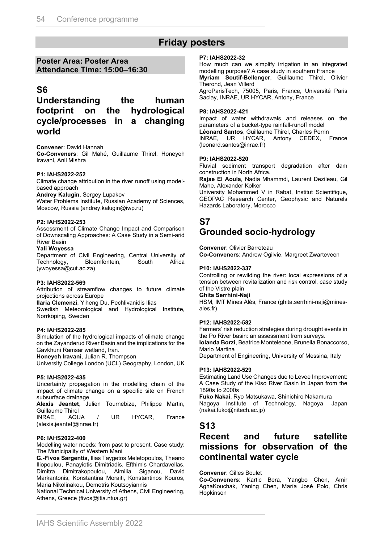## **Friday posters**

### **Poster Area: Poster Area Attendance Time: 15:00–16:30**

### **S6**

### **Understanding the human footprint on the hydrological cycle/processes in a changing world**

#### **Convener**: David Hannah

**Co-Conveners**: Gil Mahé, Guillaume Thirel, Honeyeh Iravani, Anil Mishra

#### **P1: IAHS2022-252**

Climate change attribution in the river runoff using modelbased approach

**Andrey Kalugin**, Sergey Lupakov

Water Problems Institute, Russian Academy of Sciences, Moscow, Russia (andrey.kalugin@iwp.ru)

#### **P2: IAHS2022-253**

Assessment of Climate Change Impact and Comparison of Downscaling Approaches: A Case Study in a Semi-arid River Basin

#### **Yali Woyessa**

Department of Civil Engineering, Central University of Technology, Bloemfontein, South Africa (ywoyessa@cut.ac.za)

#### **P3: IAHS2022-569**

Attribution of streamflow changes to future climate projections across Europe

**Ilaria Clemenzi**, Yiheng Du, Pechlivanidis Ilias

Swedish Meteorological and Hydrological Institute, Norrköping, Sweden

#### **P4: IAHS2022-285**

Simulation of the hydrological impacts of climate change on the Zayanderud River Basin and the implications for the Gavkhuni Ramsar wetland, Iran.

**Honeyeh Iravani**, Julian R. Thompson

University College London (UCL) Geography, London, UK

#### **P5: IAHS2022-435**

Uncertainty propagation in the modelling chain of the impact of climate change on a specific site on French subsurface drainage

**Alexis Jeantet**, Julien Tournebize, Philippe Martin, Guillaume Thirel

INRAE, AQUA / UR HYCAR, France (alexis.jeantet@inrae.fr)

#### **P6: IAHS2022-400**

Modelling water needs: from past to present. Case study: The Municipality of Western Mani

**G.-Fivos Sargentis**, Ilias Taygetos Meletopoulos, Theano Iliopoulou, Panayiotis Dimitriadis, Efthimis Chardavellas, Dimitra Dimitrakopoulou, Aimilia Siganou, David Markantonis, Konstantina Moraiti, Konstantinos Kouros, Maria Nikolinakou, Demetris Koutsoyiannis

National Technical University of Athens, Civil Engineering, Athens, Greece (fivos@itia.ntua.gr)

#### **P7: IAHS2022-32**

How much can we simplify irrigation in an integrated modelling purpose? A case study in southern France **Myriam Soutif-Bellenger**, Guillaume Thirel, Olivier Therond, Jean Villerd

AgroParisTech, 75005, Paris, France, Université Paris Saclay, INRAE, UR HYCAR, Antony, France

#### **P8: IAHS2022-421**

Impact of water withdrawals and releases on the parameters of a bucket-type rainfall-runoff model **Léonard Santos**, Guillaume Thirel, Charles Perrin INRAE, UR HYCAR, Antony CEDEX, France (leonard.santos@inrae.fr)

#### **P9: IAHS2022-520**

Fluvial sediment transport degradation after dam construction in North Africa.

**Rajae El Aoula**, Nadia Mhammdi, Laurent Dezileau, Gil Mahe, Alexander Kolker

University Mohammed V in Rabat, Institut Scientifique, GEOPAC Research Center, Geophysic and Naturels Hazards Laboratory, Morocco

# **S7**

## **Grounded socio-hydrology**

**Convener**: Olivier Barreteau **Co-Conveners**: Andrew Ogilvie, Margreet Zwarteveen

#### **P10: IAHS2022-337**

Controlling or rewilding the river: local expressions of a tension between revitalization and risk control, case study of the Vistre plain

#### **Ghita Serrhini-Naji**

HSM, IMT Mines Alès, France (ghita.serrhini-naji@minesales.fr)

#### **P12: IAHS2022-582**

Farmers' risk reduction strategies during drought events in the Po River basin: an assessment from surveys. **Iolanda Borzì**, Beatrice Monteleone, Brunella Bonaccorso, Mario Martina

Department of Engineering, University of Messina, Italy

#### **P13: IAHS2022-529**

Estimating Land Use Changes due to Levee Improvement: A Case Study of the Kiso River Basin in Japan from the 1890s to 2000s

**Fuko Nakai**, Ryo Matsukawa, Shinichiro Nakamura Nagoya Institute of Technology, Nagoya, Japan (nakai.fuko@nitech.ac.jp)

### **S13**

### **Recent and future satellite missions for observation of the continental water cycle**

#### **Convener**: Gilles Boulet

**Co-Conveners**: Kartic Bera, Yangbo Chen, Amir AghaKouchak, Yaning Chen, María José Polo, Chris Hopkinson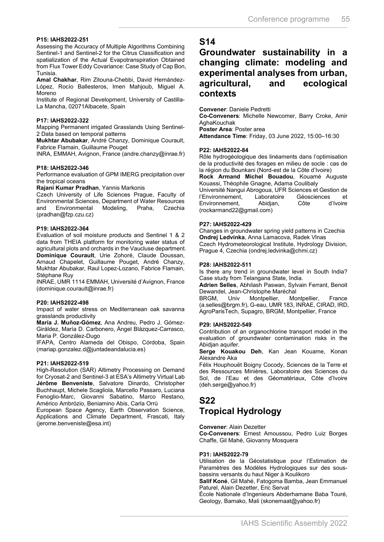#### **P15: IAHS2022-251**

Assessing the Accuracy of Multiple Algorithms Combining Sentinel-1 and Sentinel-2 for the Citrus Classification and spatialization of the Actual Evapotranspiration Obtained from Flux Tower Eddy Covariance: Case Study of Cap Bon, Tunisia.

**Amal Chakhar**, Rim Zitouna-Chebbi, David Hernández-López, Rocío Ballesteros, Imen Mahjoub, Miguel A. Moreno

Institute of Regional Development, University of Castilla-La Mancha, 02071Albacete, Spain

#### **P17: IAHS2022-322**

Mapping Permanent irrigated Grasslands Using Sentinel-2 Data based on temporal patterns

**Mukhtar Abubakar**, André Chanzy, Dominique Courault, Fabrice Flamain, Guillaume Pouget

INRA, EMMAH, Avignon, France (andre.chanzy@inrae.fr)

#### **P18: IAHS2022-346**

Performance evaluation of GPM IMERG precipitation over the tropical oceans

**Rajani Kumar Pradhan**, Yannis Markonis

Czech University of Life Sciences Prague, Faculty of Environmental Sciences, Department of Water Resources Environmental (pradhan@fzp.czu.cz)

#### **P19: IAHS2022-364**

Evaluation of soil moisture products and Sentinel 1 & 2 data from THEIA platform for monitoring water status of agricultural plots and orchards in the Vaucluse department. **Dominique Courault**, Urie Zohoré, Claude Doussan, Arnaud Chapelet, Guillaume Pouget, André Chanzy, Mukhtar Abubakar, Raul Lopez-Lozano, Fabrice Flamain, Stéphane Ruy

INRAE, UMR 1114 EMMAH, Université d'Avignon, France (dominique.courault@inrae.fr)

#### **P20: IAHS2022-498**

Impact of water stress on Mediterranean oak savanna grasslands productivity

**María J. Muñoz-Gómez**, Ana Andreu, Pedro J. Gómez-Giráldez, María D. Carbonero, Ángel Blázquez-Carrasco, Maria P. González-Dugo

IFAPA, Centro Alameda del Obispo, Córdoba, Spain (mariap.gonzalez.d@juntadeandalucia.es)

#### **P21: IAHS2022-519**

High-Resolution (SAR) Altimetry Processing on Demand for Cryosat-2 and Sentinel-3 at ESA's Altimetry Virtual Lab **Jérôme Benveniste**, Salvatore Dinardo, Christopher Buchhaupt, Michele Scagliola, Marcello Passaro, Luciana Fenoglio-Marc, Giovanni Sabatino, Marco Restano, Américo Ambrózio, Beniamino Abis, Carla Orrù

European Space Agency, Earth Observation Science, Applications and Climate Department, Frascati, Italy (jerome.benveniste@esa.int)

### **S14**

### **Groundwater sustainability in a changing climate: modeling and experimental analyses from urban, agricultural, and ecological contexts**

**Convener**: Daniele Pedretti

**Co-Conveners**: Michelle Newcomer, Barry Croke, Amir AghaKouchak

**Poster Area**: Poster area

**Attendance Time**: Friday, 03 June 2022, 15:00–16:30

#### **P22: IAHS2022-84**

Rôle hydrogéologique des linéaments dans l'optimisation de la productivité des forages en milieu de socle : cas de la région du Bounkani (Nord-est de la Côte d'Ivoire)

**Rock Armand Michel Bouadou**, Kouamé Auguste Kouassi, Théophile Gnagne, Adama Coulibaly Université Nangui Abrogoua, UFR Sciences et Gestion de

l'Environnement, Laboratoire Géosciences et Environnement, Abidjan, Côte d'Ivoire (rockarmand22@gmail.com)

#### **P27: IAHS2022-429**

Changes in groundwater spring yield patterns in Czechia **Ondrej Ledvinka**, Anna Lamacova, Radek Vlnas Czech Hydrometeorological Institute, Hydrology Division, Prague 4, Czechia (ondrej.ledvinka@chmi.cz)

#### **P28: IAHS2022-511**

Is there any trend in groundwater level in South India? Case study from Telangana State, India.

**Adrien Selles**, Abhilash Paswan, Sylvain Ferrant, Benoit Dewandel, Jean-Christophe Maréchal<br>BRGM, Univ Montpellier, Montpellier,

Montpellier, Montpellier, France (a.selles@brgm.fr), G-eau, UMR 183, INRAE, CIRAD, IRD, AgroParisTech, Supagro, BRGM, Montpellier, France

#### **P29: IAHS2022-549**

Contribution of an organochlorine transport model in the evaluation of groundwater contamination risks in the Abidjan aquifer.

**Serge Kouakou Deh**, Kan Jean Kouame, Konan Alexandre Aka

Félix Houphouët Boigny Cocody, Sciences de la Terre et des Ressources Minières, Laboratoire des Sciences du Sol, de l'Eau et des Géomatériaux, Côte d'Ivoire (deh.serge@yahoo.fr)

### **S22 Tropical Hydrology**

**Convener**: Alain Dezetter

**Co-Conveners**: Ernest Amoussou, Pedro Luiz Borges Chaffe, Gil Mahé, Giovanny Mosquera

#### **P31: IAHS2022-79**

Utilisation de la Géostatistique pour l'Estimation de Paramètres des Modèles Hydrologiques sur des sousbassins versants du haut Niger à Koulikoro

**Salif Koné**, Gil Mahé, Fatogoma Bamba, Jean Emmanuel Paturel, Alain Dezetter, Eric Servat

École Nationale d'Ingenieurs Abderhamane Baba Touré, Geology, Bamako, Mali (skonemaat@yahoo.fr)